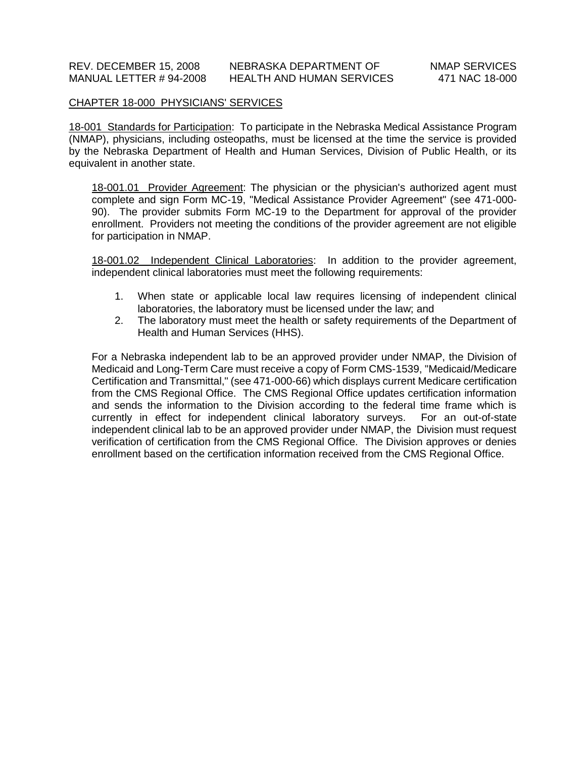# CHAPTER 18-000 PHYSICIANS' SERVICES

18-001 Standards for Participation: To participate in the Nebraska Medical Assistance Program (NMAP), physicians, including osteopaths, must be licensed at the time the service is provided by the Nebraska Department of Health and Human Services, Division of Public Health, or its equivalent in another state.

18-001.01 Provider Agreement: The physician or the physician's authorized agent must complete and sign Form MC-19, "Medical Assistance Provider Agreement" (see 471-000- 90). The provider submits Form MC-19 to the Department for approval of the provider enrollment. Providers not meeting the conditions of the provider agreement are not eligible for participation in NMAP.

18-001.02 Independent Clinical Laboratories: In addition to the provider agreement, independent clinical laboratories must meet the following requirements:

- 1. When state or applicable local law requires licensing of independent clinical laboratories, the laboratory must be licensed under the law; and
- 2. The laboratory must meet the health or safety requirements of the Department of Health and Human Services (HHS).

For a Nebraska independent lab to be an approved provider under NMAP, the Division of Medicaid and Long-Term Care must receive a copy of Form CMS-1539, "Medicaid/Medicare Certification and Transmittal," (see 471-000-66) which displays current Medicare certification from the CMS Regional Office. The CMS Regional Office updates certification information and sends the information to the Division according to the federal time frame which is currently in effect for independent clinical laboratory surveys. For an out-of-state independent clinical lab to be an approved provider under NMAP, the Division must request verification of certification from the CMS Regional Office. The Division approves or denies enrollment based on the certification information received from the CMS Regional Office.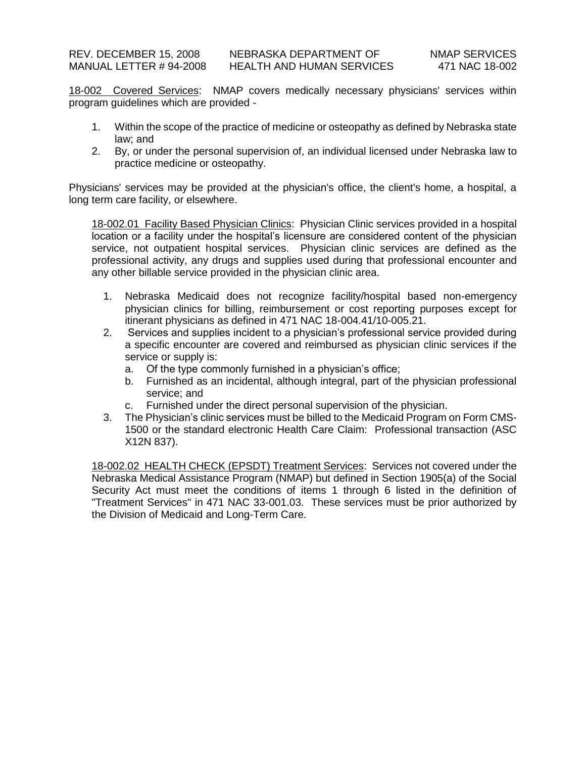18-002 Covered Services: NMAP covers medically necessary physicians' services within program guidelines which are provided -

- 1. Within the scope of the practice of medicine or osteopathy as defined by Nebraska state law; and
- 2. By, or under the personal supervision of, an individual licensed under Nebraska law to practice medicine or osteopathy.

Physicians' services may be provided at the physician's office, the client's home, a hospital, a long term care facility, or elsewhere.

18-002.01 Facility Based Physician Clinics: Physician Clinic services provided in a hospital location or a facility under the hospital's licensure are considered content of the physician service, not outpatient hospital services. Physician clinic services are defined as the professional activity, any drugs and supplies used during that professional encounter and any other billable service provided in the physician clinic area.

- 1. Nebraska Medicaid does not recognize facility/hospital based non-emergency physician clinics for billing, reimbursement or cost reporting purposes except for itinerant physicians as defined in 471 NAC 18-004.41/10-005.21.
- 2. Services and supplies incident to a physician's professional service provided during a specific encounter are covered and reimbursed as physician clinic services if the service or supply is:
	- a. Of the type commonly furnished in a physician's office;
	- b. Furnished as an incidental, although integral, part of the physician professional service; and
	- c. Furnished under the direct personal supervision of the physician.
- 3. The Physician's clinic services must be billed to the Medicaid Program on Form CMS-1500 or the standard electronic Health Care Claim: Professional transaction (ASC X12N 837).

18-002.02 HEALTH CHECK (EPSDT) Treatment Services: Services not covered under the Nebraska Medical Assistance Program (NMAP) but defined in Section 1905(a) of the Social Security Act must meet the conditions of items 1 through 6 listed in the definition of "Treatment Services" in 471 NAC 33-001.03. These services must be prior authorized by the Division of Medicaid and Long-Term Care.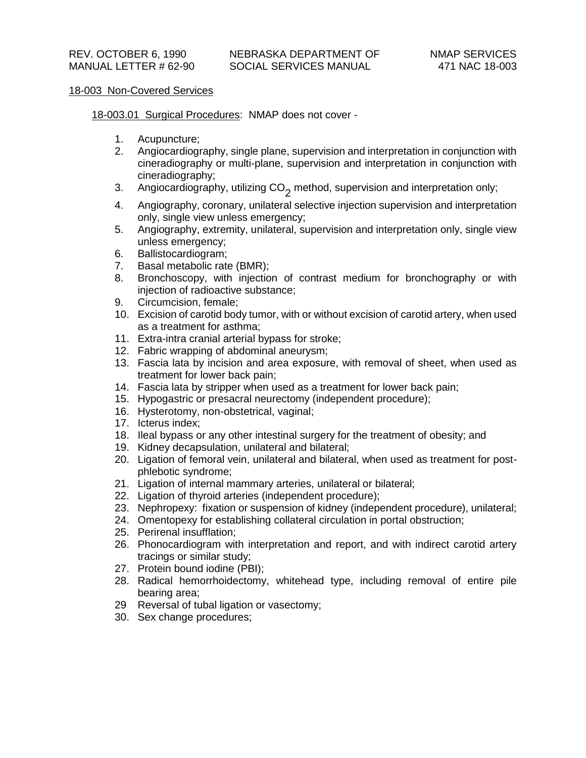# 18-003 Non-Covered Services

18-003.01 Surgical Procedures: NMAP does not cover -

- 1. Acupuncture;
- 2. Angiocardiography, single plane, supervision and interpretation in conjunction with cineradiography or multi-plane, supervision and interpretation in conjunction with cineradiography;
- 3. Angiocardiography, utilizing CO<sub>2</sub> method, supervision and interpretation only;
- 4. Angiography, coronary, unilateral selective injection supervision and interpretation only, single view unless emergency;
- 5. Angiography, extremity, unilateral, supervision and interpretation only, single view unless emergency;
- 6. Ballistocardiogram;
- 7. Basal metabolic rate (BMR);
- 8. Bronchoscopy, with injection of contrast medium for bronchography or with injection of radioactive substance;
- 9. Circumcision, female;
- 10. Excision of carotid body tumor, with or without excision of carotid artery, when used as a treatment for asthma;
- 11. Extra-intra cranial arterial bypass for stroke;
- 12. Fabric wrapping of abdominal aneurysm;
- 13. Fascia lata by incision and area exposure, with removal of sheet, when used as treatment for lower back pain;
- 14. Fascia lata by stripper when used as a treatment for lower back pain;
- 15. Hypogastric or presacral neurectomy (independent procedure);
- 16. Hysterotomy, non-obstetrical, vaginal;
- 17. Icterus index;
- 18. Ileal bypass or any other intestinal surgery for the treatment of obesity; and
- 19. Kidney decapsulation, unilateral and bilateral;
- 20. Ligation of femoral vein, unilateral and bilateral, when used as treatment for postphlebotic syndrome;
- 21. Ligation of internal mammary arteries, unilateral or bilateral;
- 22. Ligation of thyroid arteries (independent procedure);
- 23. Nephropexy: fixation or suspension of kidney (independent procedure), unilateral;
- 24. Omentopexy for establishing collateral circulation in portal obstruction;
- 25. Perirenal insufflation;
- 26. Phonocardiogram with interpretation and report, and with indirect carotid artery tracings or similar study;
- 27. Protein bound iodine (PBI);
- 28. Radical hemorrhoidectomy, whitehead type, including removal of entire pile bearing area;
- 29 Reversal of tubal ligation or vasectomy;
- 30. Sex change procedures;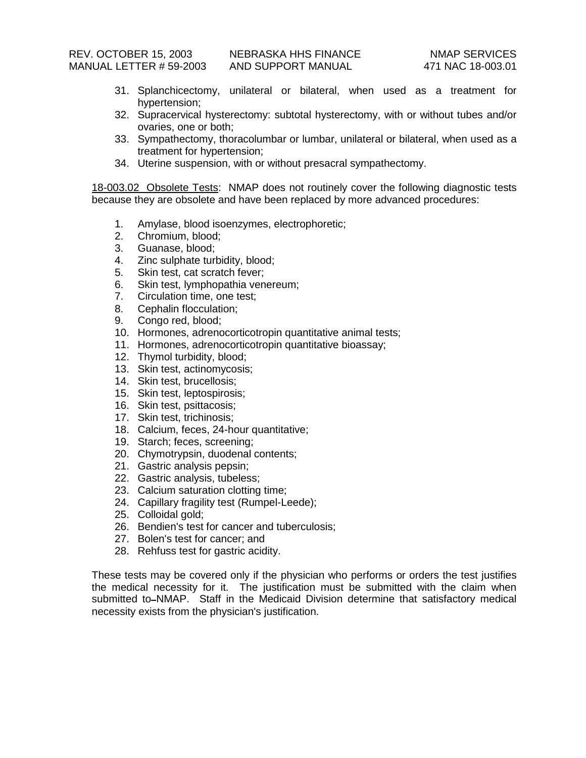- 31. Splanchicectomy, unilateral or bilateral, when used as a treatment for hypertension;
- 32. Supracervical hysterectomy: subtotal hysterectomy, with or without tubes and/or ovaries, one or both;
- 33. Sympathectomy, thoracolumbar or lumbar, unilateral or bilateral, when used as a treatment for hypertension;
- 34. Uterine suspension, with or without presacral sympathectomy.

18-003.02 Obsolete Tests: NMAP does not routinely cover the following diagnostic tests because they are obsolete and have been replaced by more advanced procedures:

- 1. Amylase, blood isoenzymes, electrophoretic;
- 2. Chromium, blood;
- 3. Guanase, blood;
- 4. Zinc sulphate turbidity, blood;
- 5. Skin test, cat scratch fever;
- 6. Skin test, lymphopathia venereum;
- 7. Circulation time, one test;
- 8. Cephalin flocculation;
- 9. Congo red, blood;
- 10. Hormones, adrenocorticotropin quantitative animal tests;
- 11. Hormones, adrenocorticotropin quantitative bioassay;
- 12. Thymol turbidity, blood;
- 13. Skin test, actinomycosis;
- 14. Skin test, brucellosis;
- 15. Skin test, leptospirosis;
- 16. Skin test, psittacosis;
- 17. Skin test, trichinosis;
- 18. Calcium, feces, 24-hour quantitative;
- 19. Starch; feces, screening;
- 20. Chymotrypsin, duodenal contents;
- 21. Gastric analysis pepsin;
- 22. Gastric analysis, tubeless;
- 23. Calcium saturation clotting time;
- 24. Capillary fragility test (Rumpel-Leede);
- 25. Colloidal gold;
- 26. Bendien's test for cancer and tuberculosis;
- 27. Bolen's test for cancer; and
- 28. Rehfuss test for gastric acidity.

These tests may be covered only if the physician who performs or orders the test justifies the medical necessity for it. The justification must be submitted with the claim when submitted to–NMAP. Staff in the Medicaid Division determine that satisfactory medical necessity exists from the physician's justification.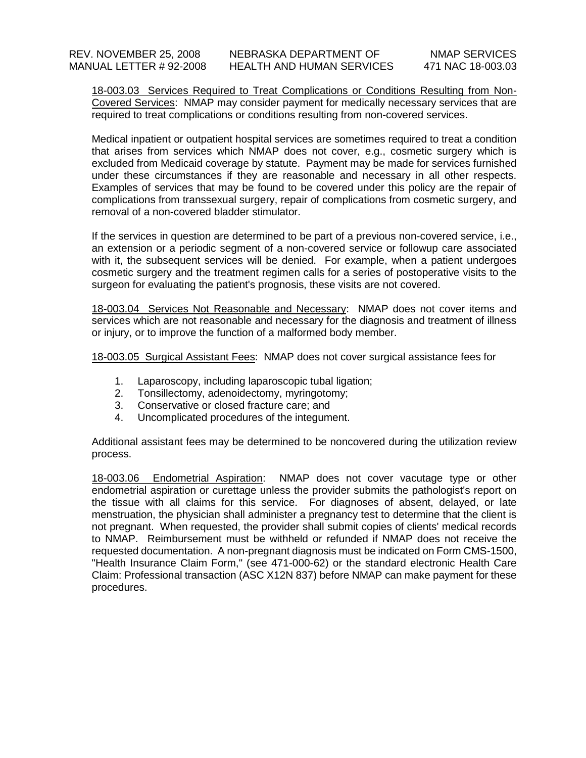18-003.03 Services Required to Treat Complications or Conditions Resulting from Non-Covered Services: NMAP may consider payment for medically necessary services that are required to treat complications or conditions resulting from non-covered services.

Medical inpatient or outpatient hospital services are sometimes required to treat a condition that arises from services which NMAP does not cover, e.g., cosmetic surgery which is excluded from Medicaid coverage by statute. Payment may be made for services furnished under these circumstances if they are reasonable and necessary in all other respects. Examples of services that may be found to be covered under this policy are the repair of complications from transsexual surgery, repair of complications from cosmetic surgery, and removal of a non-covered bladder stimulator.

If the services in question are determined to be part of a previous non-covered service, i.e., an extension or a periodic segment of a non-covered service or followup care associated with it, the subsequent services will be denied. For example, when a patient undergoes cosmetic surgery and the treatment regimen calls for a series of postoperative visits to the surgeon for evaluating the patient's prognosis, these visits are not covered.

18-003.04 Services Not Reasonable and Necessary: NMAP does not cover items and services which are not reasonable and necessary for the diagnosis and treatment of illness or injury, or to improve the function of a malformed body member.

18-003.05 Surgical Assistant Fees: NMAP does not cover surgical assistance fees for

- 1. Laparoscopy, including laparoscopic tubal ligation;
- 2. Tonsillectomy, adenoidectomy, myringotomy;
- 3. Conservative or closed fracture care; and
- 4. Uncomplicated procedures of the integument.

Additional assistant fees may be determined to be noncovered during the utilization review process.

18-003.06 Endometrial Aspiration: NMAP does not cover vacutage type or other endometrial aspiration or curettage unless the provider submits the pathologist's report on the tissue with all claims for this service. For diagnoses of absent, delayed, or late menstruation, the physician shall administer a pregnancy test to determine that the client is not pregnant. When requested, the provider shall submit copies of clients' medical records to NMAP. Reimbursement must be withheld or refunded if NMAP does not receive the requested documentation. A non-pregnant diagnosis must be indicated on Form CMS-1500, "Health Insurance Claim Form," (see 471-000-62) or the standard electronic Health Care Claim: Professional transaction (ASC X12N 837) before NMAP can make payment for these procedures.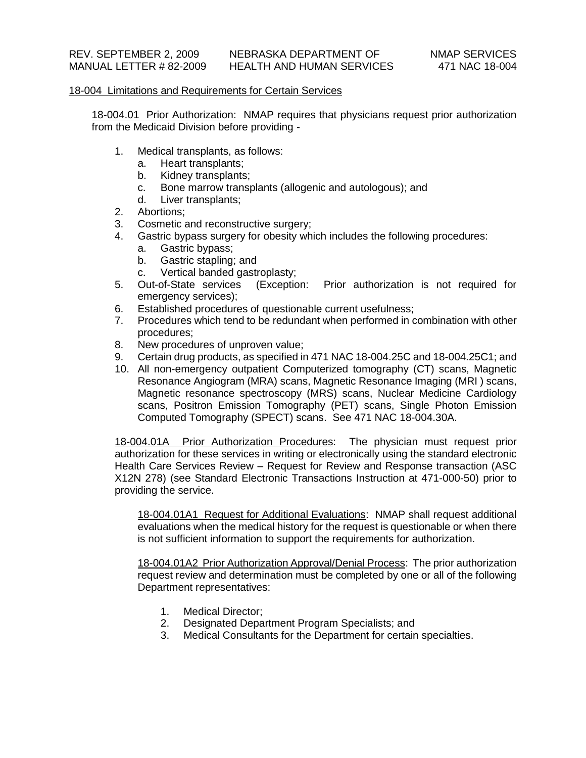### 18-004 Limitations and Requirements for Certain Services

18-004.01 Prior Authorization: NMAP requires that physicians request prior authorization from the Medicaid Division before providing -

- 1. Medical transplants, as follows:
	- a. Heart transplants;
	- b. Kidney transplants;
	- c. Bone marrow transplants (allogenic and autologous); and
	- d. Liver transplants;
- 2. Abortions;
- 3. Cosmetic and reconstructive surgery;
- 4. Gastric bypass surgery for obesity which includes the following procedures:
	- a. Gastric bypass;
	- b. Gastric stapling; and
	- c. Vertical banded gastroplasty;
- 5. Out-of-State services (Exception: Prior authorization is not required for emergency services);
- 6. Established procedures of questionable current usefulness;
- 7. Procedures which tend to be redundant when performed in combination with other procedures;
- 8. New procedures of unproven value;
- 9. Certain drug products, as specified in 471 NAC 18-004.25C and 18-004.25C1; and
- 10. All non-emergency outpatient Computerized tomography (CT) scans, Magnetic Resonance Angiogram (MRA) scans, Magnetic Resonance Imaging (MRI ) scans, Magnetic resonance spectroscopy (MRS) scans, Nuclear Medicine Cardiology scans, Positron Emission Tomography (PET) scans, Single Photon Emission Computed Tomography (SPECT) scans. See 471 NAC 18-004.30A.

18-004.01A Prior Authorization Procedures: The physician must request prior authorization for these services in writing or electronically using the standard electronic Health Care Services Review – Request for Review and Response transaction (ASC X12N 278) (see Standard Electronic Transactions Instruction at 471-000-50) prior to providing the service.

18-004.01A1 Request for Additional Evaluations: NMAP shall request additional evaluations when the medical history for the request is questionable or when there is not sufficient information to support the requirements for authorization.

18-004.01A2 Prior Authorization Approval/Denial Process: The prior authorization request review and determination must be completed by one or all of the following Department representatives:

- 1. Medical Director;
- 2. Designated Department Program Specialists; and
- 3. Medical Consultants for the Department for certain specialties.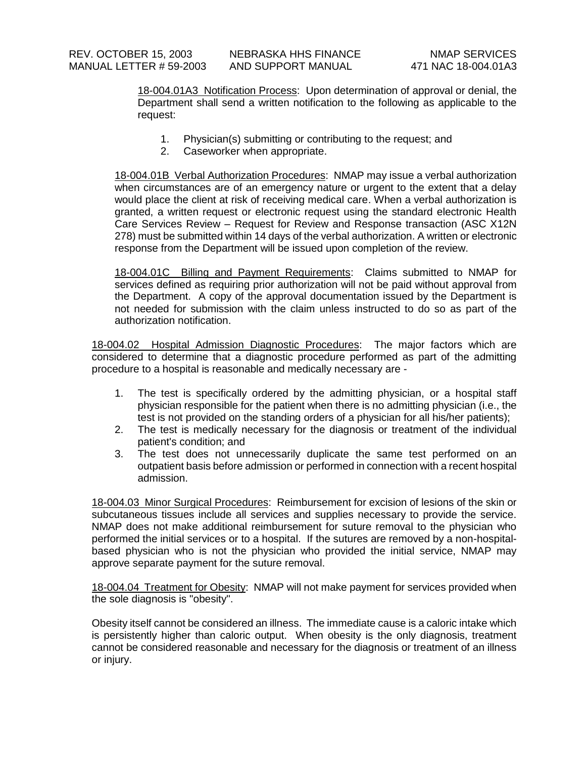18-004.01A3 Notification Process: Upon determination of approval or denial, the Department shall send a written notification to the following as applicable to the request:

- 1. Physician(s) submitting or contributing to the request; and
- 2. Caseworker when appropriate.

18-004.01B Verbal Authorization Procedures: NMAP may issue a verbal authorization when circumstances are of an emergency nature or urgent to the extent that a delay would place the client at risk of receiving medical care. When a verbal authorization is granted, a written request or electronic request using the standard electronic Health Care Services Review – Request for Review and Response transaction (ASC X12N 278) must be submitted within 14 days of the verbal authorization. A written or electronic response from the Department will be issued upon completion of the review.

18-004.01C Billing and Payment Requirements: Claims submitted to NMAP for services defined as requiring prior authorization will not be paid without approval from the Department. A copy of the approval documentation issued by the Department is not needed for submission with the claim unless instructed to do so as part of the authorization notification.

18-004.02 Hospital Admission Diagnostic Procedures: The major factors which are considered to determine that a diagnostic procedure performed as part of the admitting procedure to a hospital is reasonable and medically necessary are -

- 1. The test is specifically ordered by the admitting physician, or a hospital staff physician responsible for the patient when there is no admitting physician (i.e., the test is not provided on the standing orders of a physician for all his/her patients);
- 2. The test is medically necessary for the diagnosis or treatment of the individual patient's condition; and
- 3. The test does not unnecessarily duplicate the same test performed on an outpatient basis before admission or performed in connection with a recent hospital admission.

18-004.03 Minor Surgical Procedures: Reimbursement for excision of lesions of the skin or subcutaneous tissues include all services and supplies necessary to provide the service. NMAP does not make additional reimbursement for suture removal to the physician who performed the initial services or to a hospital. If the sutures are removed by a non-hospitalbased physician who is not the physician who provided the initial service, NMAP may approve separate payment for the suture removal.

18-004.04 Treatment for Obesity: NMAP will not make payment for services provided when the sole diagnosis is "obesity".

Obesity itself cannot be considered an illness. The immediate cause is a caloric intake which is persistently higher than caloric output. When obesity is the only diagnosis, treatment cannot be considered reasonable and necessary for the diagnosis or treatment of an illness or injury.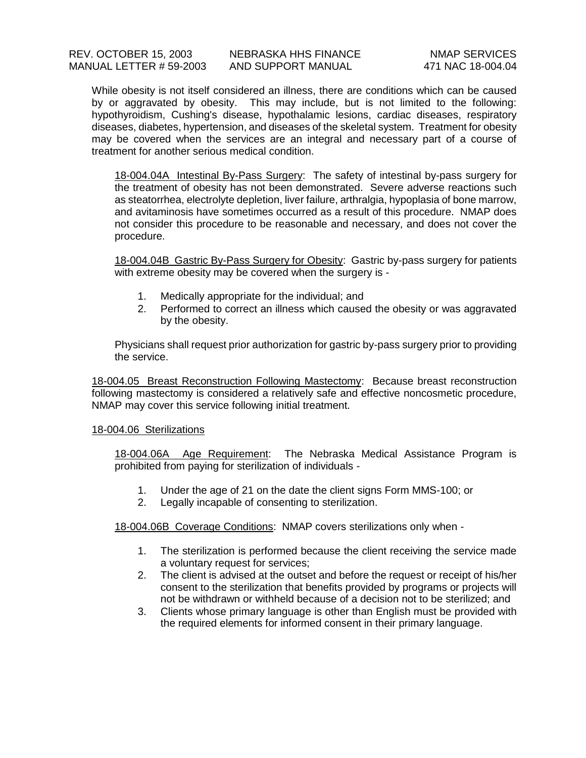While obesity is not itself considered an illness, there are conditions which can be caused by or aggravated by obesity. This may include, but is not limited to the following: hypothyroidism, Cushing's disease, hypothalamic lesions, cardiac diseases, respiratory diseases, diabetes, hypertension, and diseases of the skeletal system. Treatment for obesity may be covered when the services are an integral and necessary part of a course of treatment for another serious medical condition.

18-004.04A Intestinal By-Pass Surgery: The safety of intestinal by-pass surgery for the treatment of obesity has not been demonstrated. Severe adverse reactions such as steatorrhea, electrolyte depletion, liver failure, arthralgia, hypoplasia of bone marrow, and avitaminosis have sometimes occurred as a result of this procedure. NMAP does not consider this procedure to be reasonable and necessary, and does not cover the procedure.

18-004.04B Gastric By-Pass Surgery for Obesity: Gastric by-pass surgery for patients with extreme obesity may be covered when the surgery is -

- 1. Medically appropriate for the individual; and
- 2. Performed to correct an illness which caused the obesity or was aggravated by the obesity.

Physicians shall request prior authorization for gastric by-pass surgery prior to providing the service.

18-004.05 Breast Reconstruction Following Mastectomy: Because breast reconstruction following mastectomy is considered a relatively safe and effective noncosmetic procedure, NMAP may cover this service following initial treatment.

# 18-004.06 Sterilizations

18-004.06A Age Requirement: The Nebraska Medical Assistance Program is prohibited from paying for sterilization of individuals -

- 1. Under the age of 21 on the date the client signs Form MMS-100; or
- 2. Legally incapable of consenting to sterilization.

18-004.06B Coverage Conditions: NMAP covers sterilizations only when -

- 1. The sterilization is performed because the client receiving the service made a voluntary request for services;
- 2. The client is advised at the outset and before the request or receipt of his/her consent to the sterilization that benefits provided by programs or projects will not be withdrawn or withheld because of a decision not to be sterilized; and
- 3. Clients whose primary language is other than English must be provided with the required elements for informed consent in their primary language.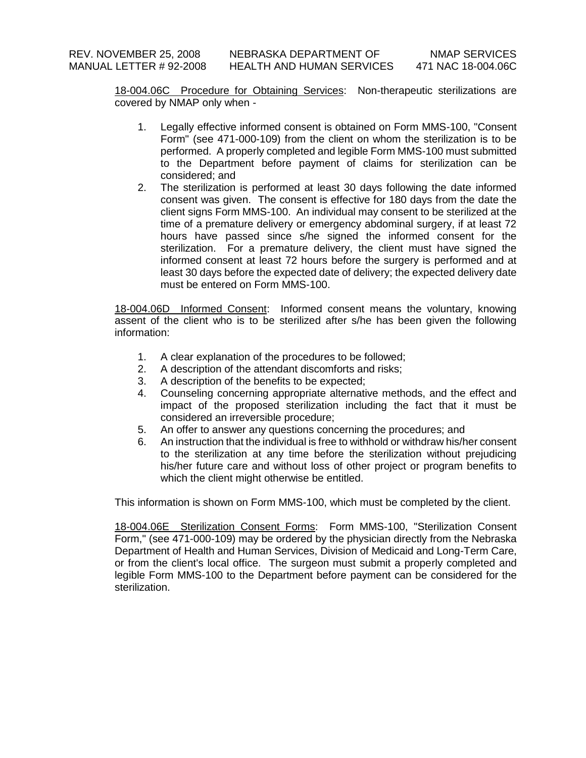18-004.06C Procedure for Obtaining Services: Non-therapeutic sterilizations are covered by NMAP only when -

- 1. Legally effective informed consent is obtained on Form MMS-100, "Consent Form" (see 471-000-109) from the client on whom the sterilization is to be performed. A properly completed and legible Form MMS-100 must submitted to the Department before payment of claims for sterilization can be considered; and
- 2. The sterilization is performed at least 30 days following the date informed consent was given. The consent is effective for 180 days from the date the client signs Form MMS-100. An individual may consent to be sterilized at the time of a premature delivery or emergency abdominal surgery, if at least 72 hours have passed since s/he signed the informed consent for the sterilization. For a premature delivery, the client must have signed the informed consent at least 72 hours before the surgery is performed and at least 30 days before the expected date of delivery; the expected delivery date must be entered on Form MMS-100.

18-004.06D Informed Consent: Informed consent means the voluntary, knowing assent of the client who is to be sterilized after s/he has been given the following information:

- 1. A clear explanation of the procedures to be followed;
- 2. A description of the attendant discomforts and risks;
- 3. A description of the benefits to be expected;
- 4. Counseling concerning appropriate alternative methods, and the effect and impact of the proposed sterilization including the fact that it must be considered an irreversible procedure;
- 5. An offer to answer any questions concerning the procedures; and
- 6. An instruction that the individual is free to withhold or withdraw his/her consent to the sterilization at any time before the sterilization without prejudicing his/her future care and without loss of other project or program benefits to which the client might otherwise be entitled.

This information is shown on Form MMS-100, which must be completed by the client.

18-004.06E Sterilization Consent Forms: Form MMS-100, "Sterilization Consent Form," (see 471-000-109) may be ordered by the physician directly from the Nebraska Department of Health and Human Services, Division of Medicaid and Long-Term Care, or from the client's local office. The surgeon must submit a properly completed and legible Form MMS-100 to the Department before payment can be considered for the sterilization.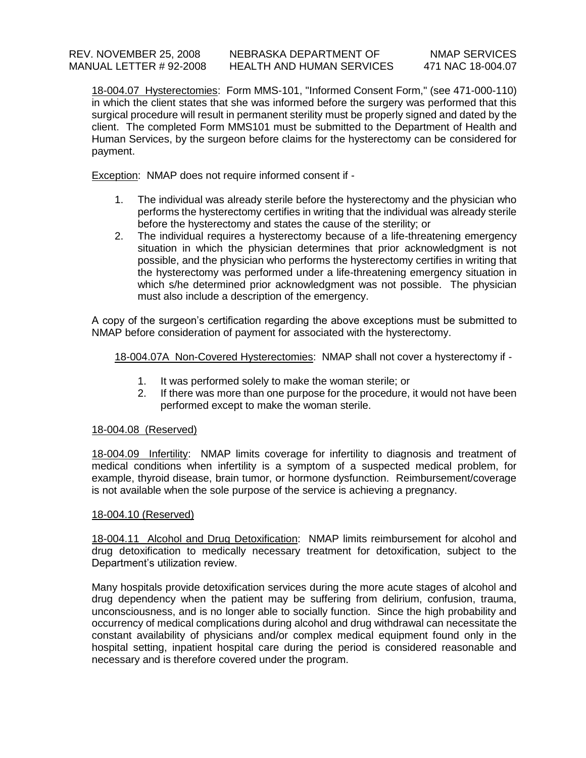18-004.07 Hysterectomies: Form MMS-101, "Informed Consent Form," (see 471-000-110) in which the client states that she was informed before the surgery was performed that this surgical procedure will result in permanent sterility must be properly signed and dated by the client. The completed Form MMS101 must be submitted to the Department of Health and Human Services, by the surgeon before claims for the hysterectomy can be considered for payment.

Exception: NMAP does not require informed consent if -

- 1. The individual was already sterile before the hysterectomy and the physician who performs the hysterectomy certifies in writing that the individual was already sterile before the hysterectomy and states the cause of the sterility; or
- 2. The individual requires a hysterectomy because of a life-threatening emergency situation in which the physician determines that prior acknowledgment is not possible, and the physician who performs the hysterectomy certifies in writing that the hysterectomy was performed under a life-threatening emergency situation in which s/he determined prior acknowledgment was not possible. The physician must also include a description of the emergency.

A copy of the surgeon's certification regarding the above exceptions must be submitted to NMAP before consideration of payment for associated with the hysterectomy.

18-004.07A Non-Covered Hysterectomies: NMAP shall not cover a hysterectomy if -

- 1. It was performed solely to make the woman sterile; or
- 2. If there was more than one purpose for the procedure, it would not have been performed except to make the woman sterile.

# 18-004.08 (Reserved)

18-004.09 Infertility: NMAP limits coverage for infertility to diagnosis and treatment of medical conditions when infertility is a symptom of a suspected medical problem, for example, thyroid disease, brain tumor, or hormone dysfunction. Reimbursement/coverage is not available when the sole purpose of the service is achieving a pregnancy.

# 18-004.10 (Reserved)

18-004.11 Alcohol and Drug Detoxification: NMAP limits reimbursement for alcohol and drug detoxification to medically necessary treatment for detoxification, subject to the Department's utilization review.

Many hospitals provide detoxification services during the more acute stages of alcohol and drug dependency when the patient may be suffering from delirium, confusion, trauma, unconsciousness, and is no longer able to socially function. Since the high probability and occurrency of medical complications during alcohol and drug withdrawal can necessitate the constant availability of physicians and/or complex medical equipment found only in the hospital setting, inpatient hospital care during the period is considered reasonable and necessary and is therefore covered under the program.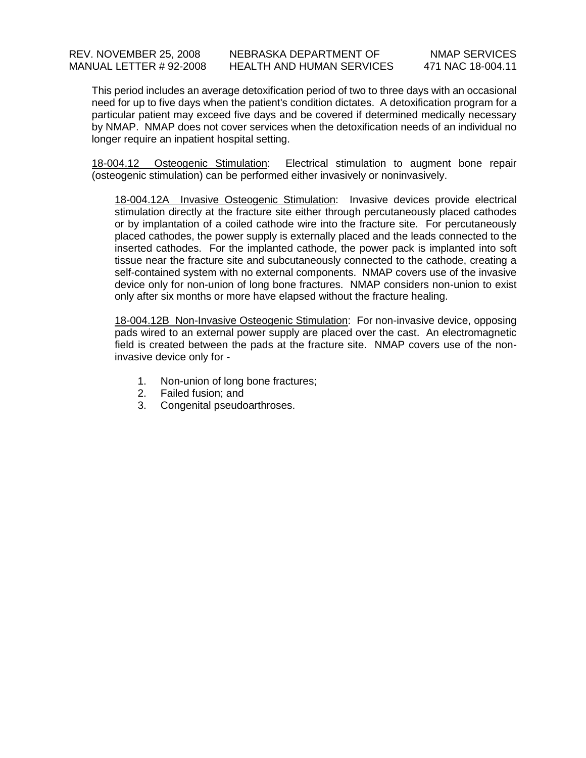This period includes an average detoxification period of two to three days with an occasional need for up to five days when the patient's condition dictates. A detoxification program for a particular patient may exceed five days and be covered if determined medically necessary by NMAP. NMAP does not cover services when the detoxification needs of an individual no longer require an inpatient hospital setting.

18-004.12 Osteogenic Stimulation: Electrical stimulation to augment bone repair (osteogenic stimulation) can be performed either invasively or noninvasively.

18-004.12A Invasive Osteogenic Stimulation: Invasive devices provide electrical stimulation directly at the fracture site either through percutaneously placed cathodes or by implantation of a coiled cathode wire into the fracture site. For percutaneously placed cathodes, the power supply is externally placed and the leads connected to the inserted cathodes. For the implanted cathode, the power pack is implanted into soft tissue near the fracture site and subcutaneously connected to the cathode, creating a self-contained system with no external components. NMAP covers use of the invasive device only for non-union of long bone fractures. NMAP considers non-union to exist only after six months or more have elapsed without the fracture healing.

18-004.12B Non-Invasive Osteogenic Stimulation: For non-invasive device, opposing pads wired to an external power supply are placed over the cast. An electromagnetic field is created between the pads at the fracture site. NMAP covers use of the noninvasive device only for -

- 1. Non-union of long bone fractures;
- 2. Failed fusion; and
- 3. Congenital pseudoarthroses.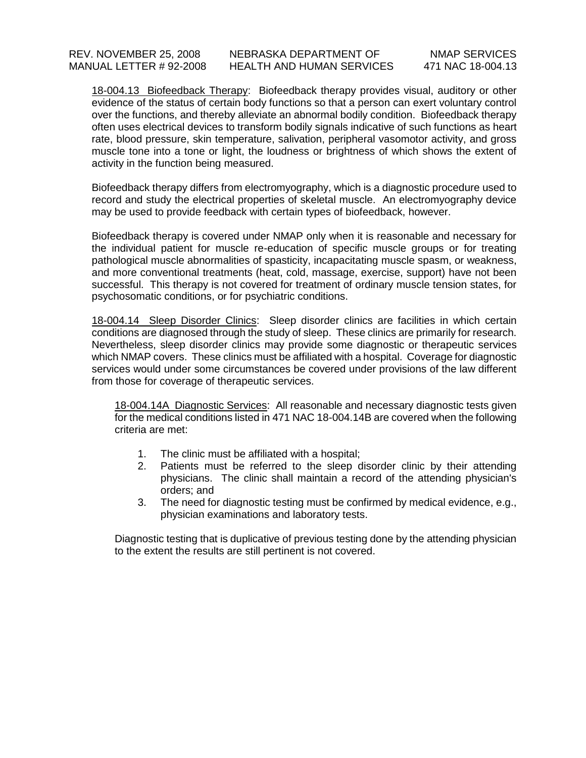18-004.13 Biofeedback Therapy: Biofeedback therapy provides visual, auditory or other evidence of the status of certain body functions so that a person can exert voluntary control over the functions, and thereby alleviate an abnormal bodily condition. Biofeedback therapy often uses electrical devices to transform bodily signals indicative of such functions as heart rate, blood pressure, skin temperature, salivation, peripheral vasomotor activity, and gross muscle tone into a tone or light, the loudness or brightness of which shows the extent of activity in the function being measured.

Biofeedback therapy differs from electromyography, which is a diagnostic procedure used to record and study the electrical properties of skeletal muscle. An electromyography device may be used to provide feedback with certain types of biofeedback, however.

Biofeedback therapy is covered under NMAP only when it is reasonable and necessary for the individual patient for muscle re-education of specific muscle groups or for treating pathological muscle abnormalities of spasticity, incapacitating muscle spasm, or weakness, and more conventional treatments (heat, cold, massage, exercise, support) have not been successful. This therapy is not covered for treatment of ordinary muscle tension states, for psychosomatic conditions, or for psychiatric conditions.

18-004.14 Sleep Disorder Clinics: Sleep disorder clinics are facilities in which certain conditions are diagnosed through the study of sleep. These clinics are primarily for research. Nevertheless, sleep disorder clinics may provide some diagnostic or therapeutic services which NMAP covers. These clinics must be affiliated with a hospital. Coverage for diagnostic services would under some circumstances be covered under provisions of the law different from those for coverage of therapeutic services.

18-004.14A Diagnostic Services: All reasonable and necessary diagnostic tests given for the medical conditions listed in 471 NAC 18-004.14B are covered when the following criteria are met:

- 1. The clinic must be affiliated with a hospital;
- 2. Patients must be referred to the sleep disorder clinic by their attending physicians. The clinic shall maintain a record of the attending physician's orders; and
- 3. The need for diagnostic testing must be confirmed by medical evidence, e.g., physician examinations and laboratory tests.

Diagnostic testing that is duplicative of previous testing done by the attending physician to the extent the results are still pertinent is not covered.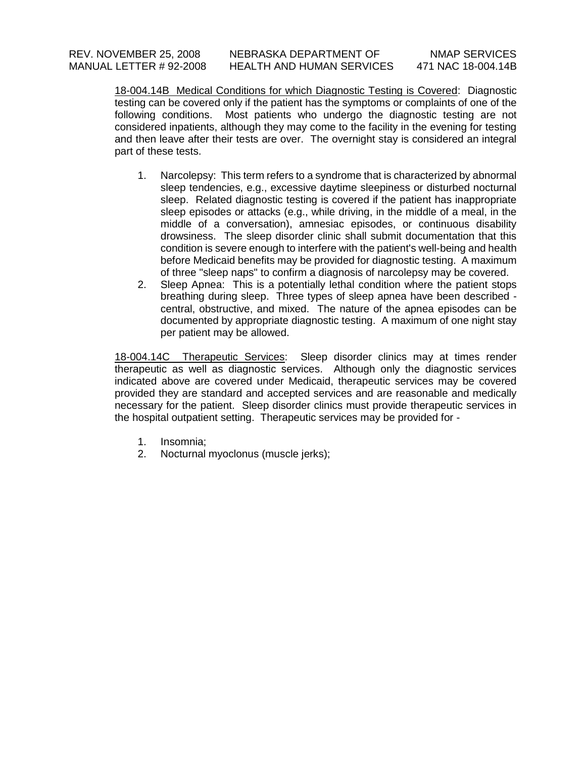18-004.14B Medical Conditions for which Diagnostic Testing is Covered: Diagnostic testing can be covered only if the patient has the symptoms or complaints of one of the following conditions. Most patients who undergo the diagnostic testing are not considered inpatients, although they may come to the facility in the evening for testing and then leave after their tests are over. The overnight stay is considered an integral part of these tests.

- 1. Narcolepsy: This term refers to a syndrome that is characterized by abnormal sleep tendencies, e.g., excessive daytime sleepiness or disturbed nocturnal sleep. Related diagnostic testing is covered if the patient has inappropriate sleep episodes or attacks (e.g., while driving, in the middle of a meal, in the middle of a conversation), amnesiac episodes, or continuous disability drowsiness. The sleep disorder clinic shall submit documentation that this condition is severe enough to interfere with the patient's well-being and health before Medicaid benefits may be provided for diagnostic testing. A maximum of three "sleep naps" to confirm a diagnosis of narcolepsy may be covered.
- 2. Sleep Apnea: This is a potentially lethal condition where the patient stops breathing during sleep. Three types of sleep apnea have been described central, obstructive, and mixed. The nature of the apnea episodes can be documented by appropriate diagnostic testing. A maximum of one night stay per patient may be allowed.

18-004.14C Therapeutic Services: Sleep disorder clinics may at times render therapeutic as well as diagnostic services. Although only the diagnostic services indicated above are covered under Medicaid, therapeutic services may be covered provided they are standard and accepted services and are reasonable and medically necessary for the patient. Sleep disorder clinics must provide therapeutic services in the hospital outpatient setting. Therapeutic services may be provided for -

- 1. Insomnia;
- 2. Nocturnal myoclonus (muscle jerks);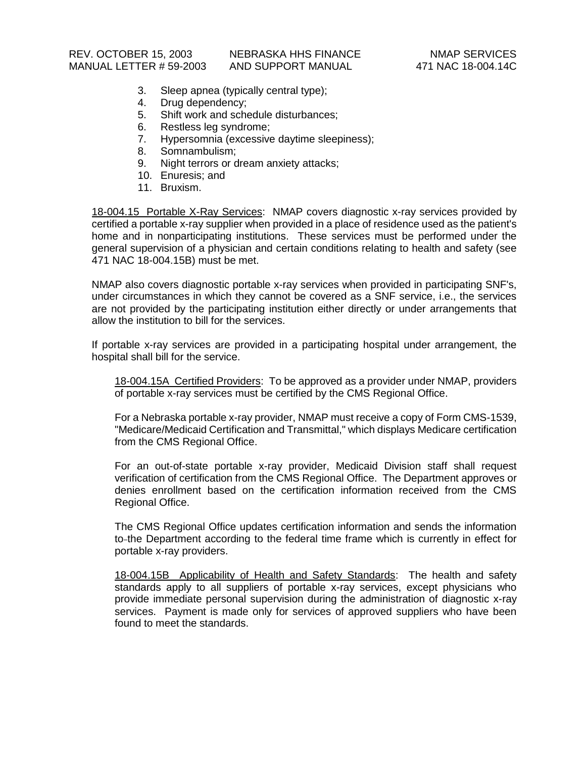- 3. Sleep apnea (typically central type);
- 4. Drug dependency;
- 5. Shift work and schedule disturbances;
- 6. Restless leg syndrome;
- 7. Hypersomnia (excessive daytime sleepiness);
- 8. Somnambulism;
- 9. Night terrors or dream anxiety attacks;
- 10. Enuresis; and
- 11. Bruxism.

18-004.15 Portable X-Ray Services: NMAP covers diagnostic x-ray services provided by certified a portable x-ray supplier when provided in a place of residence used as the patient's home and in nonparticipating institutions. These services must be performed under the general supervision of a physician and certain conditions relating to health and safety (see 471 NAC 18-004.15B) must be met.

NMAP also covers diagnostic portable x-ray services when provided in participating SNF's, under circumstances in which they cannot be covered as a SNF service, i.e., the services are not provided by the participating institution either directly or under arrangements that allow the institution to bill for the services.

If portable x-ray services are provided in a participating hospital under arrangement, the hospital shall bill for the service.

18-004.15A Certified Providers: To be approved as a provider under NMAP, providers of portable x-ray services must be certified by the CMS Regional Office.

For a Nebraska portable x-ray provider, NMAP must receive a copy of Form CMS-1539, "Medicare/Medicaid Certification and Transmittal," which displays Medicare certification from the CMS Regional Office.

For an out-of-state portable x-ray provider, Medicaid Division staff shall request verification of certification from the CMS Regional Office. The Department approves or denies enrollment based on the certification information received from the CMS Regional Office.

The CMS Regional Office updates certification information and sends the information to the Department according to the federal time frame which is currently in effect for portable x-ray providers.

18-004.15B Applicability of Health and Safety Standards: The health and safety standards apply to all suppliers of portable x-ray services, except physicians who provide immediate personal supervision during the administration of diagnostic x-ray services. Payment is made only for services of approved suppliers who have been found to meet the standards.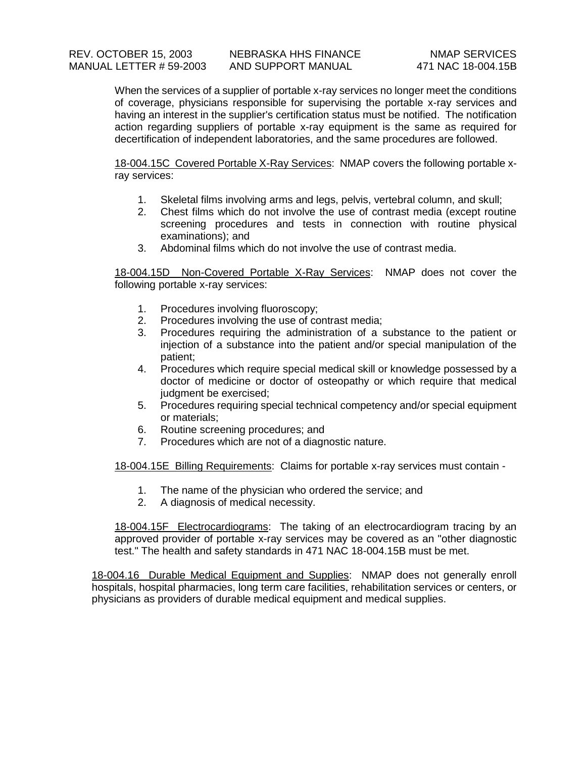When the services of a supplier of portable x-ray services no longer meet the conditions of coverage, physicians responsible for supervising the portable x-ray services and having an interest in the supplier's certification status must be notified. The notification action regarding suppliers of portable x-ray equipment is the same as required for decertification of independent laboratories, and the same procedures are followed.

18-004.15C Covered Portable X-Ray Services: NMAP covers the following portable xray services:

- 1. Skeletal films involving arms and legs, pelvis, vertebral column, and skull;
- 2. Chest films which do not involve the use of contrast media (except routine screening procedures and tests in connection with routine physical examinations); and
- 3. Abdominal films which do not involve the use of contrast media.

18-004.15D Non-Covered Portable X-Ray Services: NMAP does not cover the following portable x-ray services:

- 1. Procedures involving fluoroscopy;
- 2. Procedures involving the use of contrast media;
- 3. Procedures requiring the administration of a substance to the patient or injection of a substance into the patient and/or special manipulation of the patient;
- 4. Procedures which require special medical skill or knowledge possessed by a doctor of medicine or doctor of osteopathy or which require that medical judgment be exercised;
- 5. Procedures requiring special technical competency and/or special equipment or materials;
- 6. Routine screening procedures; and
- 7. Procedures which are not of a diagnostic nature.

18-004.15E Billing Requirements: Claims for portable x-ray services must contain -

- 1. The name of the physician who ordered the service; and
- 2. A diagnosis of medical necessity.

18-004.15F Electrocardiograms: The taking of an electrocardiogram tracing by an approved provider of portable x-ray services may be covered as an "other diagnostic test." The health and safety standards in 471 NAC 18-004.15B must be met.

18-004.16 Durable Medical Equipment and Supplies: NMAP does not generally enroll hospitals, hospital pharmacies, long term care facilities, rehabilitation services or centers, or physicians as providers of durable medical equipment and medical supplies.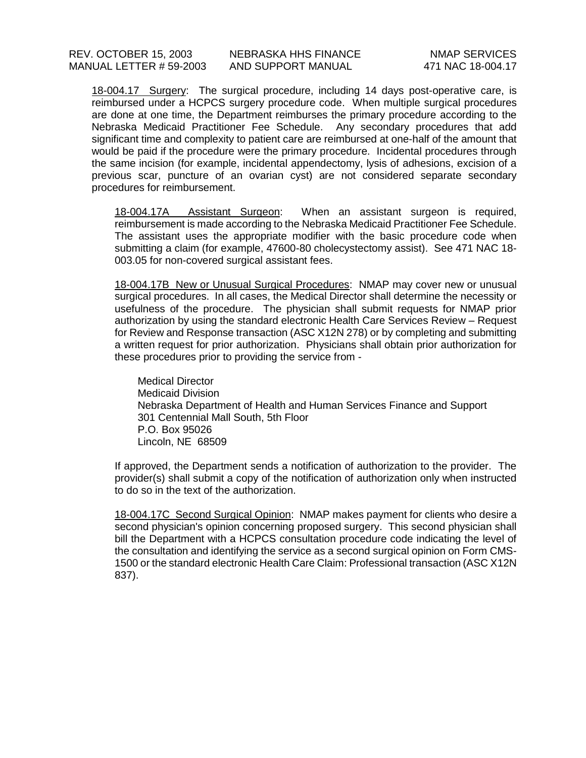18-004.17 Surgery: The surgical procedure, including 14 days post-operative care, is reimbursed under a HCPCS surgery procedure code. When multiple surgical procedures are done at one time, the Department reimburses the primary procedure according to the Nebraska Medicaid Practitioner Fee Schedule. Any secondary procedures that add significant time and complexity to patient care are reimbursed at one-half of the amount that would be paid if the procedure were the primary procedure. Incidental procedures through the same incision (for example, incidental appendectomy, lysis of adhesions, excision of a previous scar, puncture of an ovarian cyst) are not considered separate secondary procedures for reimbursement.

18-004.17A Assistant Surgeon: When an assistant surgeon is required, reimbursement is made according to the Nebraska Medicaid Practitioner Fee Schedule. The assistant uses the appropriate modifier with the basic procedure code when submitting a claim (for example, 47600-80 cholecystectomy assist). See 471 NAC 18- 003.05 for non-covered surgical assistant fees.

18-004.17B New or Unusual Surgical Procedures: NMAP may cover new or unusual surgical procedures. In all cases, the Medical Director shall determine the necessity or usefulness of the procedure. The physician shall submit requests for NMAP prior authorization by using the standard electronic Health Care Services Review – Request for Review and Response transaction (ASC X12N 278) or by completing and submitting a written request for prior authorization. Physicians shall obtain prior authorization for these procedures prior to providing the service from -

Medical Director Medicaid Division Nebraska Department of Health and Human Services Finance and Support 301 Centennial Mall South, 5th Floor P.O. Box 95026 Lincoln, NE 68509

If approved, the Department sends a notification of authorization to the provider. The provider(s) shall submit a copy of the notification of authorization only when instructed to do so in the text of the authorization.

18-004.17C Second Surgical Opinion: NMAP makes payment for clients who desire a second physician's opinion concerning proposed surgery. This second physician shall bill the Department with a HCPCS consultation procedure code indicating the level of the consultation and identifying the service as a second surgical opinion on Form CMS-1500 or the standard electronic Health Care Claim: Professional transaction (ASC X12N 837).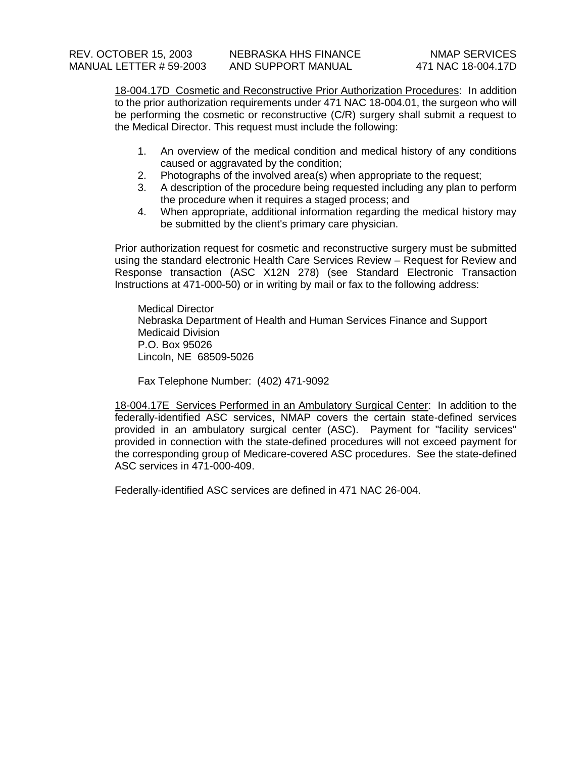18-004.17D Cosmetic and Reconstructive Prior Authorization Procedures: In addition to the prior authorization requirements under 471 NAC 18-004.01, the surgeon who will be performing the cosmetic or reconstructive (C/R) surgery shall submit a request to the Medical Director. This request must include the following:

- 1. An overview of the medical condition and medical history of any conditions caused or aggravated by the condition;
- 2. Photographs of the involved area(s) when appropriate to the request;
- 3. A description of the procedure being requested including any plan to perform the procedure when it requires a staged process; and
- 4. When appropriate, additional information regarding the medical history may be submitted by the client's primary care physician.

Prior authorization request for cosmetic and reconstructive surgery must be submitted using the standard electronic Health Care Services Review – Request for Review and Response transaction (ASC X12N 278) (see Standard Electronic Transaction Instructions at 471-000-50) or in writing by mail or fax to the following address:

Medical Director Nebraska Department of Health and Human Services Finance and Support Medicaid Division P.O. Box 95026 Lincoln, NE 68509-5026

Fax Telephone Number: (402) 471-9092

18-004.17E Services Performed in an Ambulatory Surgical Center: In addition to the federally-identified ASC services, NMAP covers the certain state-defined services provided in an ambulatory surgical center (ASC). Payment for "facility services" provided in connection with the state-defined procedures will not exceed payment for the corresponding group of Medicare-covered ASC procedures. See the state-defined ASC services in 471-000-409.

Federally-identified ASC services are defined in 471 NAC 26-004.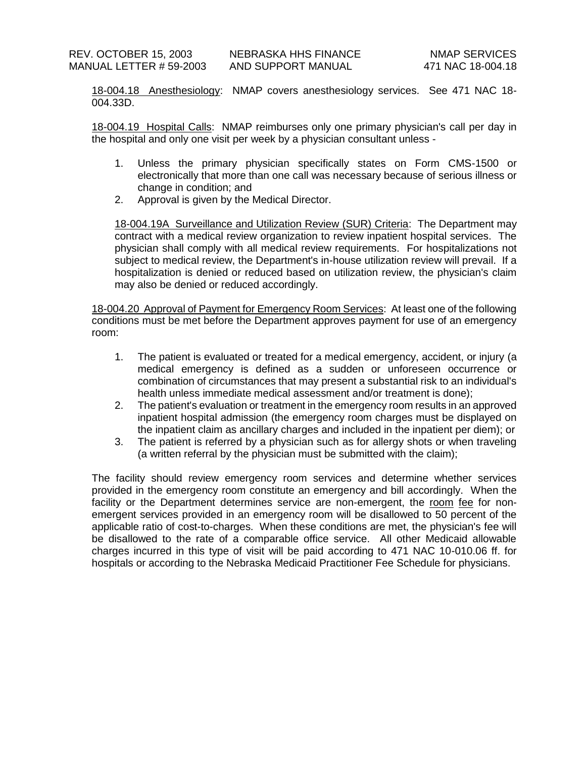18-004.18 Anesthesiology: NMAP covers anesthesiology services. See 471 NAC 18- 004.33D.

18-004.19 Hospital Calls: NMAP reimburses only one primary physician's call per day in the hospital and only one visit per week by a physician consultant unless -

- 1. Unless the primary physician specifically states on Form CMS-1500 or electronically that more than one call was necessary because of serious illness or change in condition; and
- 2. Approval is given by the Medical Director.

18-004.19A Surveillance and Utilization Review (SUR) Criteria: The Department may contract with a medical review organization to review inpatient hospital services. The physician shall comply with all medical review requirements. For hospitalizations not subject to medical review, the Department's in-house utilization review will prevail. If a hospitalization is denied or reduced based on utilization review, the physician's claim may also be denied or reduced accordingly.

18-004.20 Approval of Payment for Emergency Room Services: At least one of the following conditions must be met before the Department approves payment for use of an emergency room:

- 1. The patient is evaluated or treated for a medical emergency, accident, or injury (a medical emergency is defined as a sudden or unforeseen occurrence or combination of circumstances that may present a substantial risk to an individual's health unless immediate medical assessment and/or treatment is done);
- 2. The patient's evaluation or treatment in the emergency room results in an approved inpatient hospital admission (the emergency room charges must be displayed on the inpatient claim as ancillary charges and included in the inpatient per diem); or
- 3. The patient is referred by a physician such as for allergy shots or when traveling (a written referral by the physician must be submitted with the claim);

The facility should review emergency room services and determine whether services provided in the emergency room constitute an emergency and bill accordingly. When the facility or the Department determines service are non-emergent, the room fee for nonemergent services provided in an emergency room will be disallowed to 50 percent of the applicable ratio of cost-to-charges. When these conditions are met, the physician's fee will be disallowed to the rate of a comparable office service. All other Medicaid allowable charges incurred in this type of visit will be paid according to 471 NAC 10-010.06 ff. for hospitals or according to the Nebraska Medicaid Practitioner Fee Schedule for physicians.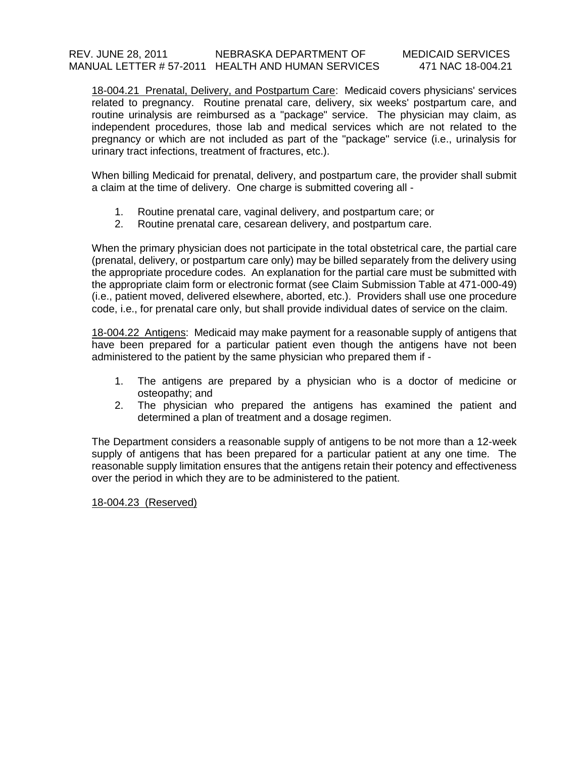### REV. JUNE 28, 2011 NEBRASKA DEPARTMENT OF MEDICAID SERVICES MANUAL LETTER # 57-2011 HEALTH AND HUMAN SERVICES 471 NAC 18-004.21

18-004.21 Prenatal, Delivery, and Postpartum Care: Medicaid covers physicians' services related to pregnancy. Routine prenatal care, delivery, six weeks' postpartum care, and routine urinalysis are reimbursed as a "package" service. The physician may claim, as independent procedures, those lab and medical services which are not related to the pregnancy or which are not included as part of the "package" service (i.e., urinalysis for urinary tract infections, treatment of fractures, etc.).

When billing Medicaid for prenatal, delivery, and postpartum care, the provider shall submit a claim at the time of delivery. One charge is submitted covering all -

- 1. Routine prenatal care, vaginal delivery, and postpartum care; or
- 2. Routine prenatal care, cesarean delivery, and postpartum care.

When the primary physician does not participate in the total obstetrical care, the partial care (prenatal, delivery, or postpartum care only) may be billed separately from the delivery using the appropriate procedure codes. An explanation for the partial care must be submitted with the appropriate claim form or electronic format (see Claim Submission Table at 471-000-49) (i.e., patient moved, delivered elsewhere, aborted, etc.). Providers shall use one procedure code, i.e., for prenatal care only, but shall provide individual dates of service on the claim.

18-004.22 Antigens: Medicaid may make payment for a reasonable supply of antigens that have been prepared for a particular patient even though the antigens have not been administered to the patient by the same physician who prepared them if -

- 1. The antigens are prepared by a physician who is a doctor of medicine or osteopathy; and
- 2. The physician who prepared the antigens has examined the patient and determined a plan of treatment and a dosage regimen.

The Department considers a reasonable supply of antigens to be not more than a 12-week supply of antigens that has been prepared for a particular patient at any one time. The reasonable supply limitation ensures that the antigens retain their potency and effectiveness over the period in which they are to be administered to the patient.

18-004.23 (Reserved)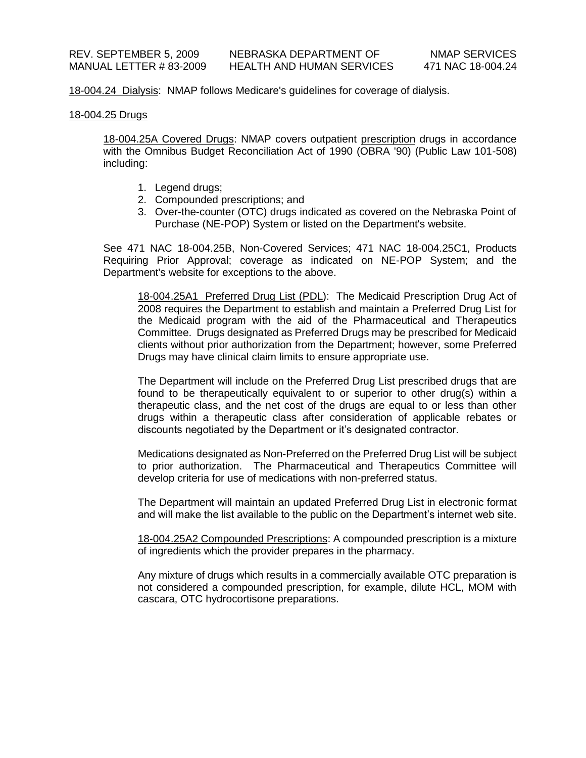18-004.24 Dialysis: NMAP follows Medicare's guidelines for coverage of dialysis.

#### 18-004.25 Drugs

18-004.25A Covered Drugs: NMAP covers outpatient prescription drugs in accordance with the Omnibus Budget Reconciliation Act of 1990 (OBRA '90) (Public Law 101-508) including:

- 1. Legend drugs;
- 2. Compounded prescriptions; and
- 3. Over-the-counter (OTC) drugs indicated as covered on the Nebraska Point of Purchase (NE-POP) System or listed on the Department's website.

See 471 NAC 18-004.25B, Non-Covered Services; 471 NAC 18-004.25C1, Products Requiring Prior Approval; coverage as indicated on NE-POP System; and the Department's website for exceptions to the above.

18-004.25A1 Preferred Drug List (PDL): The Medicaid Prescription Drug Act of 2008 requires the Department to establish and maintain a Preferred Drug List for the Medicaid program with the aid of the Pharmaceutical and Therapeutics Committee. Drugs designated as Preferred Drugs may be prescribed for Medicaid clients without prior authorization from the Department; however, some Preferred Drugs may have clinical claim limits to ensure appropriate use.

The Department will include on the Preferred Drug List prescribed drugs that are found to be therapeutically equivalent to or superior to other drug(s) within a therapeutic class, and the net cost of the drugs are equal to or less than other drugs within a therapeutic class after consideration of applicable rebates or discounts negotiated by the Department or it's designated contractor.

Medications designated as Non-Preferred on the Preferred Drug List will be subject to prior authorization. The Pharmaceutical and Therapeutics Committee will develop criteria for use of medications with non-preferred status.

The Department will maintain an updated Preferred Drug List in electronic format and will make the list available to the public on the Department's internet web site.

18-004.25A2 Compounded Prescriptions: A compounded prescription is a mixture of ingredients which the provider prepares in the pharmacy.

Any mixture of drugs which results in a commercially available OTC preparation is not considered a compounded prescription, for example, dilute HCL, MOM with cascara, OTC hydrocortisone preparations.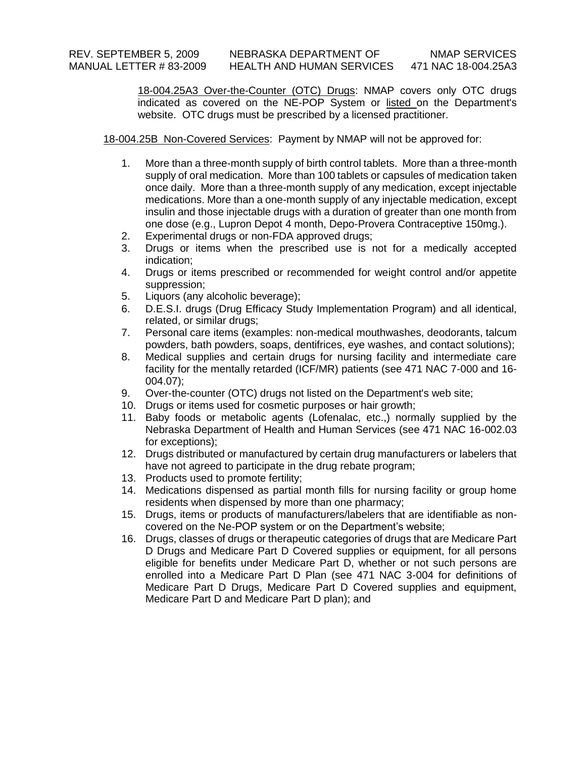18-004.25A3 Over-the-Counter (OTC) Drugs: NMAP covers only OTC drugs indicated as covered on the NE-POP System or listed on the Department's website. OTC drugs must be prescribed by a licensed practitioner.

18-004.25B Non-Covered Services: Payment by NMAP will not be approved for:

- 1. More than a three-month supply of birth control tablets. More than a three-month supply of oral medication. More than 100 tablets or capsules of medication taken once daily. More than a three-month supply of any medication, except injectable medications. More than a one-month supply of any injectable medication, except insulin and those injectable drugs with a duration of greater than one month from one dose (e.g., Lupron Depot 4 month, Depo-Provera Contraceptive 150mg.).
- 2. Experimental drugs or non-FDA approved drugs;
- 3. Drugs or items when the prescribed use is not for a medically accepted indication;
- 4. Drugs or items prescribed or recommended for weight control and/or appetite suppression;
- 5. Liquors (any alcoholic beverage);
- 6. D.E.S.I. drugs (Drug Efficacy Study Implementation Program) and all identical, related, or similar drugs;
- 7. Personal care items (examples: non-medical mouthwashes, deodorants, talcum powders, bath powders, soaps, dentifrices, eye washes, and contact solutions);
- 8. Medical supplies and certain drugs for nursing facility and intermediate care facility for the mentally retarded (ICF/MR) patients (see 471 NAC 7-000 and 16- 004.07);
- 9. Over-the-counter (OTC) drugs not listed on the Department's web site;
- 10. Drugs or items used for cosmetic purposes or hair growth;
- 11. Baby foods or metabolic agents (Lofenalac, etc.,) normally supplied by the Nebraska Department of Health and Human Services (see 471 NAC 16-002.03 for exceptions);
- 12. Drugs distributed or manufactured by certain drug manufacturers or labelers that have not agreed to participate in the drug rebate program;
- 13. Products used to promote fertility;
- 14. Medications dispensed as partial month fills for nursing facility or group home residents when dispensed by more than one pharmacy;
- 15. Drugs, items or products of manufacturers/labelers that are identifiable as noncovered on the Ne-POP system or on the Department's website;
- 16. Drugs, classes of drugs or therapeutic categories of drugs that are Medicare Part D Drugs and Medicare Part D Covered supplies or equipment, for all persons eligible for benefits under Medicare Part D, whether or not such persons are enrolled into a Medicare Part D Plan (see 471 NAC 3-004 for definitions of Medicare Part D Drugs, Medicare Part D Covered supplies and equipment, Medicare Part D and Medicare Part D plan); and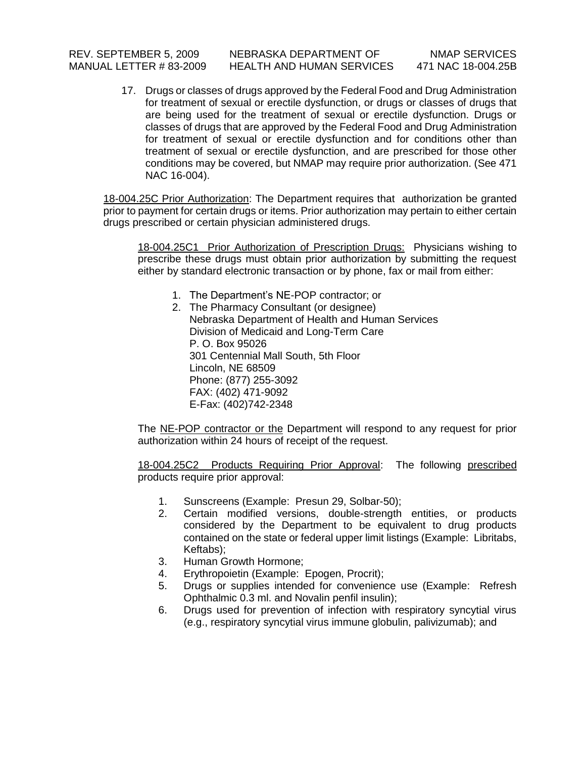17. Drugs or classes of drugs approved by the Federal Food and Drug Administration for treatment of sexual or erectile dysfunction, or drugs or classes of drugs that are being used for the treatment of sexual or erectile dysfunction. Drugs or classes of drugs that are approved by the Federal Food and Drug Administration for treatment of sexual or erectile dysfunction and for conditions other than treatment of sexual or erectile dysfunction, and are prescribed for those other conditions may be covered, but NMAP may require prior authorization. (See 471 NAC 16-004).

18-004.25C Prior Authorization: The Department requires that authorization be granted prior to payment for certain drugs or items. Prior authorization may pertain to either certain drugs prescribed or certain physician administered drugs.

18-004.25C1 Prior Authorization of Prescription Drugs: Physicians wishing to prescribe these drugs must obtain prior authorization by submitting the request either by standard electronic transaction or by phone, fax or mail from either:

- 1. The Department's NE-POP contractor; or
- 2. The Pharmacy Consultant (or designee) Nebraska Department of Health and Human Services Division of Medicaid and Long-Term Care P. O. Box 95026 301 Centennial Mall South, 5th Floor Lincoln, NE 68509 Phone: (877) 255-3092 FAX: (402) 471-9092 E-Fax: (402)742-2348

The NE-POP contractor or the Department will respond to any request for prior authorization within 24 hours of receipt of the request.

18-004.25C2 Products Requiring Prior Approval: The following prescribed products require prior approval:

- 1. Sunscreens (Example: Presun 29, Solbar-50);
- 2. Certain modified versions, double-strength entities, or products considered by the Department to be equivalent to drug products contained on the state or federal upper limit listings (Example: Libritabs, Keftabs);
- 3. Human Growth Hormone;
- 4. Erythropoietin (Example: Epogen, Procrit);
- 5. Drugs or supplies intended for convenience use (Example: Refresh Ophthalmic 0.3 ml. and Novalin penfil insulin);
- 6. Drugs used for prevention of infection with respiratory syncytial virus (e.g., respiratory syncytial virus immune globulin, palivizumab); and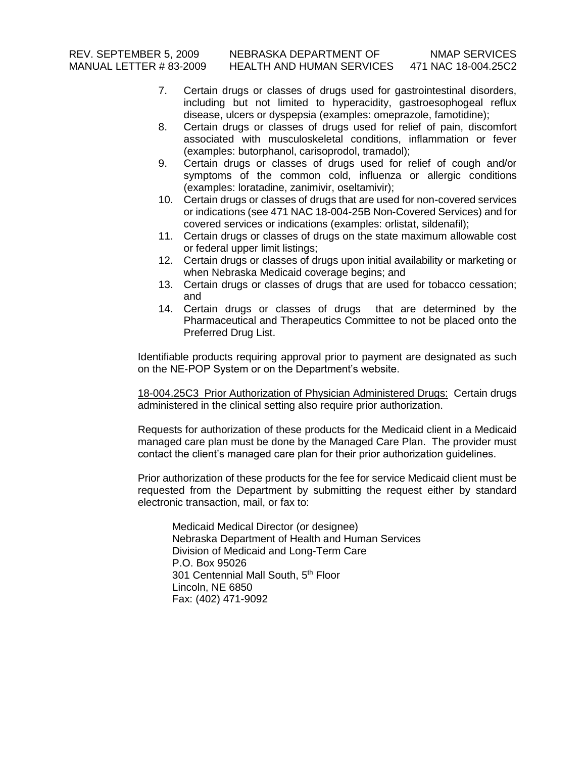- 7. Certain drugs or classes of drugs used for gastrointestinal disorders, including but not limited to hyperacidity, gastroesophogeal reflux disease, ulcers or dyspepsia (examples: omeprazole, famotidine);
- 8. Certain drugs or classes of drugs used for relief of pain, discomfort associated with musculoskeletal conditions, inflammation or fever (examples: butorphanol, carisoprodol, tramadol);
- 9. Certain drugs or classes of drugs used for relief of cough and/or symptoms of the common cold, influenza or allergic conditions (examples: loratadine, zanimivir, oseltamivir);
- 10. Certain drugs or classes of drugs that are used for non-covered services or indications (see 471 NAC 18-004-25B Non-Covered Services) and for covered services or indications (examples: orlistat, sildenafil);
- 11. Certain drugs or classes of drugs on the state maximum allowable cost or federal upper limit listings;
- 12. Certain drugs or classes of drugs upon initial availability or marketing or when Nebraska Medicaid coverage begins; and
- 13. Certain drugs or classes of drugs that are used for tobacco cessation; and
- 14. Certain drugs or classes of drugs that are determined by the Pharmaceutical and Therapeutics Committee to not be placed onto the Preferred Drug List.

Identifiable products requiring approval prior to payment are designated as such on the NE-POP System or on the Department's website.

18-004.25C3 Prior Authorization of Physician Administered Drugs: Certain drugs administered in the clinical setting also require prior authorization.

Requests for authorization of these products for the Medicaid client in a Medicaid managed care plan must be done by the Managed Care Plan. The provider must contact the client's managed care plan for their prior authorization guidelines.

Prior authorization of these products for the fee for service Medicaid client must be requested from the Department by submitting the request either by standard electronic transaction, mail, or fax to:

Medicaid Medical Director (or designee) Nebraska Department of Health and Human Services Division of Medicaid and Long-Term Care P.O. Box 95026 301 Centennial Mall South, 5<sup>th</sup> Floor Lincoln, NE 6850 Fax: (402) 471-9092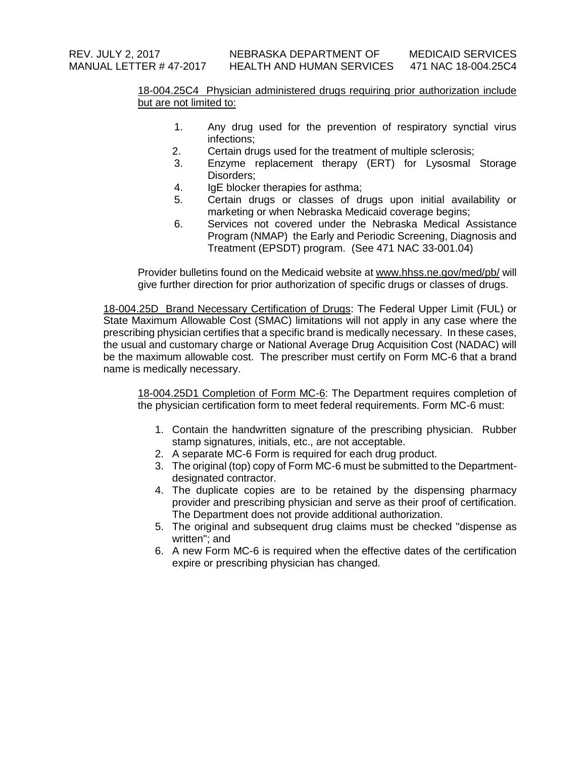# 18-004.25C4 Physician administered drugs requiring prior authorization include but are not limited to:

- 1. Any drug used for the prevention of respiratory synctial virus infections;
- 2. Certain drugs used for the treatment of multiple sclerosis;
- 3. Enzyme replacement therapy (ERT) for Lysosmal Storage Disorders;
- 4. IgE blocker therapies for asthma;
- 5. Certain drugs or classes of drugs upon initial availability or marketing or when Nebraska Medicaid coverage begins;
- 6. Services not covered under the Nebraska Medical Assistance Program (NMAP) the Early and Periodic Screening, Diagnosis and Treatment (EPSDT) program. (See 471 NAC 33-001.04)

Provider bulletins found on the Medicaid website at [www.hhss.ne.gov/med/pb/](http://www.hhss.ne.gov/med/pb/) will give further direction for prior authorization of specific drugs or classes of drugs.

18-004.25D Brand Necessary Certification of Drugs: The Federal Upper Limit (FUL) or State Maximum Allowable Cost (SMAC) limitations will not apply in any case where the prescribing physician certifies that a specific brand is medically necessary. In these cases, the usual and customary charge or National Average Drug Acquisition Cost (NADAC) will be the maximum allowable cost. The prescriber must certify on Form MC-6 that a brand name is medically necessary.

18-004.25D1 Completion of Form MC-6: The Department requires completion of the physician certification form to meet federal requirements. Form MC-6 must:

- 1. Contain the handwritten signature of the prescribing physician. Rubber stamp signatures, initials, etc., are not acceptable.
- 2. A separate MC-6 Form is required for each drug product.
- 3. The original (top) copy of Form MC-6 must be submitted to the Departmentdesignated contractor.
- 4. The duplicate copies are to be retained by the dispensing pharmacy provider and prescribing physician and serve as their proof of certification. The Department does not provide additional authorization.
- 5. The original and subsequent drug claims must be checked "dispense as written"; and
- 6. A new Form MC-6 is required when the effective dates of the certification expire or prescribing physician has changed.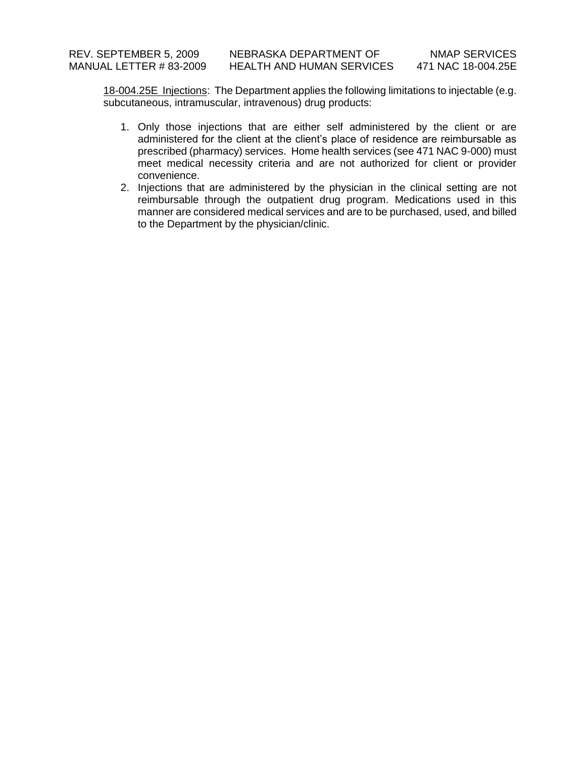18-004.25E Injections: The Department applies the following limitations to injectable (e.g. subcutaneous, intramuscular, intravenous) drug products:

- 1. Only those injections that are either self administered by the client or are administered for the client at the client's place of residence are reimbursable as prescribed (pharmacy) services. Home health services (see 471 NAC 9-000) must meet medical necessity criteria and are not authorized for client or provider convenience.
- 2. Injections that are administered by the physician in the clinical setting are not reimbursable through the outpatient drug program. Medications used in this manner are considered medical services and are to be purchased, used, and billed to the Department by the physician/clinic.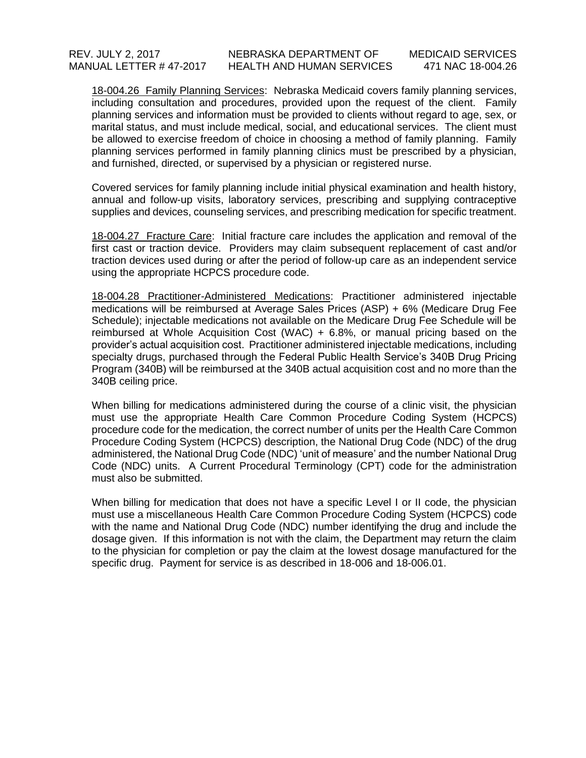18-004.26 Family Planning Services: Nebraska Medicaid covers family planning services, including consultation and procedures, provided upon the request of the client. Family planning services and information must be provided to clients without regard to age, sex, or marital status, and must include medical, social, and educational services. The client must be allowed to exercise freedom of choice in choosing a method of family planning. Family planning services performed in family planning clinics must be prescribed by a physician, and furnished, directed, or supervised by a physician or registered nurse.

Covered services for family planning include initial physical examination and health history, annual and follow-up visits, laboratory services, prescribing and supplying contraceptive supplies and devices, counseling services, and prescribing medication for specific treatment.

18-004.27 Fracture Care: Initial fracture care includes the application and removal of the first cast or traction device. Providers may claim subsequent replacement of cast and/or traction devices used during or after the period of follow-up care as an independent service using the appropriate HCPCS procedure code.

18-004.28 Practitioner-Administered Medications: Practitioner administered injectable medications will be reimbursed at Average Sales Prices (ASP) + 6% (Medicare Drug Fee Schedule); injectable medications not available on the Medicare Drug Fee Schedule will be reimbursed at Whole Acquisition Cost (WAC) + 6.8%, or manual pricing based on the provider's actual acquisition cost. Practitioner administered injectable medications, including specialty drugs, purchased through the Federal Public Health Service's 340B Drug Pricing Program (340B) will be reimbursed at the 340B actual acquisition cost and no more than the 340B ceiling price.

When billing for medications administered during the course of a clinic visit, the physician must use the appropriate Health Care Common Procedure Coding System (HCPCS) procedure code for the medication, the correct number of units per the Health Care Common Procedure Coding System (HCPCS) description, the National Drug Code (NDC) of the drug administered, the National Drug Code (NDC) 'unit of measure' and the number National Drug Code (NDC) units. A Current Procedural Terminology (CPT) code for the administration must also be submitted.

When billing for medication that does not have a specific Level I or II code, the physician must use a miscellaneous Health Care Common Procedure Coding System (HCPCS) code with the name and National Drug Code (NDC) number identifying the drug and include the dosage given. If this information is not with the claim, the Department may return the claim to the physician for completion or pay the claim at the lowest dosage manufactured for the specific drug. Payment for service is as described in 18-006 and 18-006.01.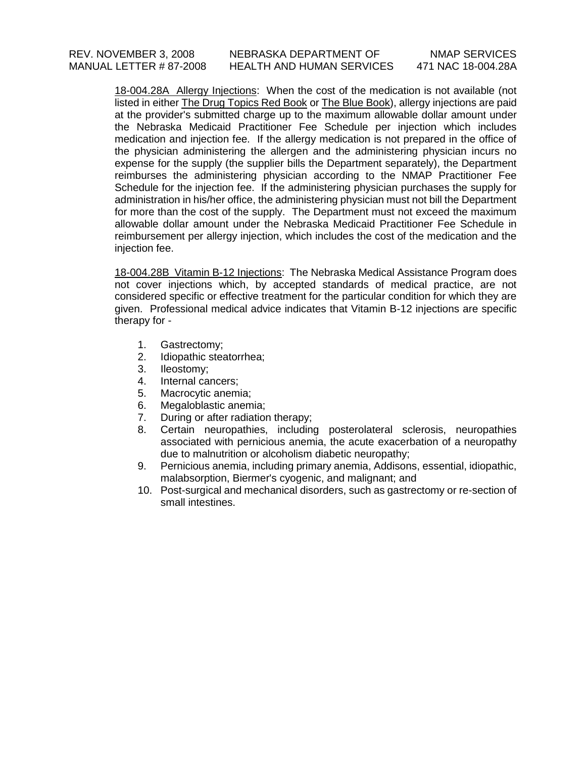18-004.28A Allergy Injections: When the cost of the medication is not available (not listed in either The Drug Topics Red Book or The Blue Book), allergy injections are paid at the provider's submitted charge up to the maximum allowable dollar amount under the Nebraska Medicaid Practitioner Fee Schedule per injection which includes medication and injection fee. If the allergy medication is not prepared in the office of the physician administering the allergen and the administering physician incurs no expense for the supply (the supplier bills the Department separately), the Department reimburses the administering physician according to the NMAP Practitioner Fee Schedule for the injection fee. If the administering physician purchases the supply for administration in his/her office, the administering physician must not bill the Department for more than the cost of the supply. The Department must not exceed the maximum allowable dollar amount under the Nebraska Medicaid Practitioner Fee Schedule in reimbursement per allergy injection, which includes the cost of the medication and the injection fee.

18-004.28B Vitamin B-12 Injections: The Nebraska Medical Assistance Program does not cover injections which, by accepted standards of medical practice, are not considered specific or effective treatment for the particular condition for which they are given. Professional medical advice indicates that Vitamin B-12 injections are specific therapy for -

- 1. Gastrectomy;
- 2. Idiopathic steatorrhea;
- 3. Ileostomy;
- 4. Internal cancers;
- 5. Macrocytic anemia;
- 6. Megaloblastic anemia;
- 7. During or after radiation therapy;
- 8. Certain neuropathies, including posterolateral sclerosis, neuropathies associated with pernicious anemia, the acute exacerbation of a neuropathy due to malnutrition or alcoholism diabetic neuropathy;
- 9. Pernicious anemia, including primary anemia, Addisons, essential, idiopathic, malabsorption, Biermer's cyogenic, and malignant; and
- 10. Post-surgical and mechanical disorders, such as gastrectomy or re-section of small intestines.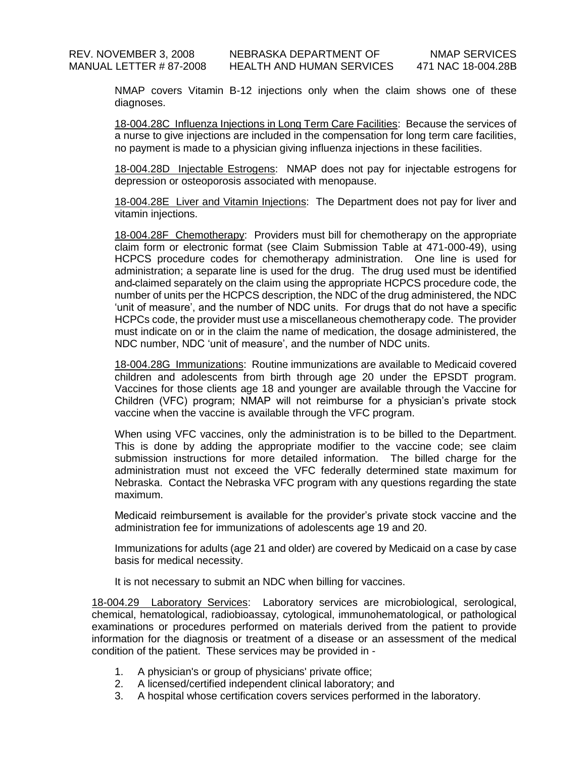NMAP covers Vitamin B-12 injections only when the claim shows one of these diagnoses.

18-004.28C Influenza Injections in Long Term Care Facilities: Because the services of a nurse to give injections are included in the compensation for long term care facilities, no payment is made to a physician giving influenza injections in these facilities.

18-004.28D Injectable Estrogens: NMAP does not pay for injectable estrogens for depression or osteoporosis associated with menopause.

18-004.28E Liver and Vitamin Injections: The Department does not pay for liver and vitamin injections.

18-004.28F Chemotherapy: Providers must bill for chemotherapy on the appropriate claim form or electronic format (see Claim Submission Table at 471-000-49), using HCPCS procedure codes for chemotherapy administration. One line is used for administration; a separate line is used for the drug. The drug used must be identified and claimed separately on the claim using the appropriate HCPCS procedure code, the number of units per the HCPCS description, the NDC of the drug administered, the NDC 'unit of measure', and the number of NDC units. For drugs that do not have a specific HCPCs code, the provider must use a miscellaneous chemotherapy code. The provider must indicate on or in the claim the name of medication, the dosage administered, the NDC number, NDC 'unit of measure', and the number of NDC units.

18-004.28G Immunizations: Routine immunizations are available to Medicaid covered children and adolescents from birth through age 20 under the EPSDT program. Vaccines for those clients age 18 and younger are available through the Vaccine for Children (VFC) program; NMAP will not reimburse for a physician's private stock vaccine when the vaccine is available through the VFC program.

When using VFC vaccines, only the administration is to be billed to the Department. This is done by adding the appropriate modifier to the vaccine code; see claim submission instructions for more detailed information. The billed charge for the administration must not exceed the VFC federally determined state maximum for Nebraska. Contact the Nebraska VFC program with any questions regarding the state maximum.

Medicaid reimbursement is available for the provider's private stock vaccine and the administration fee for immunizations of adolescents age 19 and 20.

Immunizations for adults (age 21 and older) are covered by Medicaid on a case by case basis for medical necessity.

It is not necessary to submit an NDC when billing for vaccines.

18-004.29 Laboratory Services: Laboratory services are microbiological, serological, chemical, hematological, radiobioassay, cytological, immunohematological, or pathological examinations or procedures performed on materials derived from the patient to provide information for the diagnosis or treatment of a disease or an assessment of the medical condition of the patient. These services may be provided in -

- 1. A physician's or group of physicians' private office;
- 2. A licensed/certified independent clinical laboratory; and
- 3. A hospital whose certification covers services performed in the laboratory.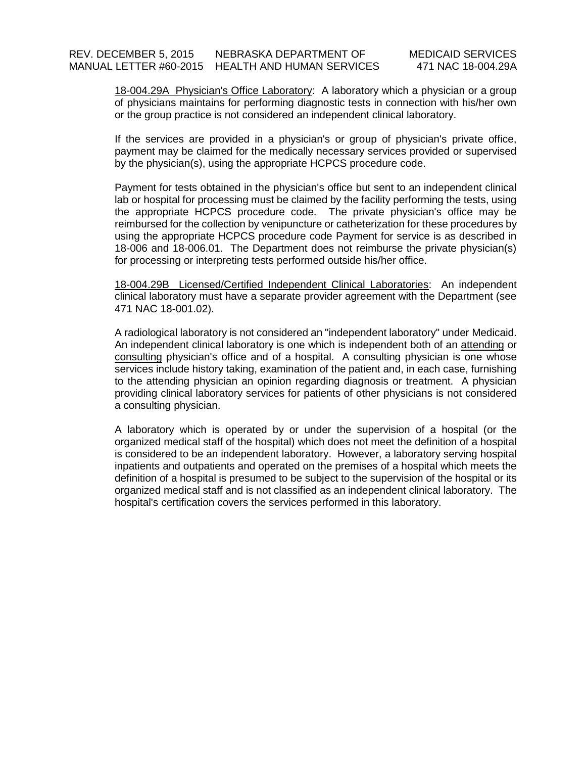18-004.29A Physician's Office Laboratory: A laboratory which a physician or a group of physicians maintains for performing diagnostic tests in connection with his/her own or the group practice is not considered an independent clinical laboratory.

If the services are provided in a physician's or group of physician's private office, payment may be claimed for the medically necessary services provided or supervised by the physician(s), using the appropriate HCPCS procedure code.

Payment for tests obtained in the physician's office but sent to an independent clinical lab or hospital for processing must be claimed by the facility performing the tests, using the appropriate HCPCS procedure code. The private physician's office may be reimbursed for the collection by venipuncture or catheterization for these procedures by using the appropriate HCPCS procedure code Payment for service is as described in 18-006 and 18-006.01. The Department does not reimburse the private physician(s) for processing or interpreting tests performed outside his/her office.

18-004.29B Licensed/Certified Independent Clinical Laboratories: An independent clinical laboratory must have a separate provider agreement with the Department (see 471 NAC 18-001.02).

A radiological laboratory is not considered an "independent laboratory" under Medicaid. An independent clinical laboratory is one which is independent both of an attending or consulting physician's office and of a hospital. A consulting physician is one whose services include history taking, examination of the patient and, in each case, furnishing to the attending physician an opinion regarding diagnosis or treatment. A physician providing clinical laboratory services for patients of other physicians is not considered a consulting physician.

A laboratory which is operated by or under the supervision of a hospital (or the organized medical staff of the hospital) which does not meet the definition of a hospital is considered to be an independent laboratory. However, a laboratory serving hospital inpatients and outpatients and operated on the premises of a hospital which meets the definition of a hospital is presumed to be subject to the supervision of the hospital or its organized medical staff and is not classified as an independent clinical laboratory. The hospital's certification covers the services performed in this laboratory.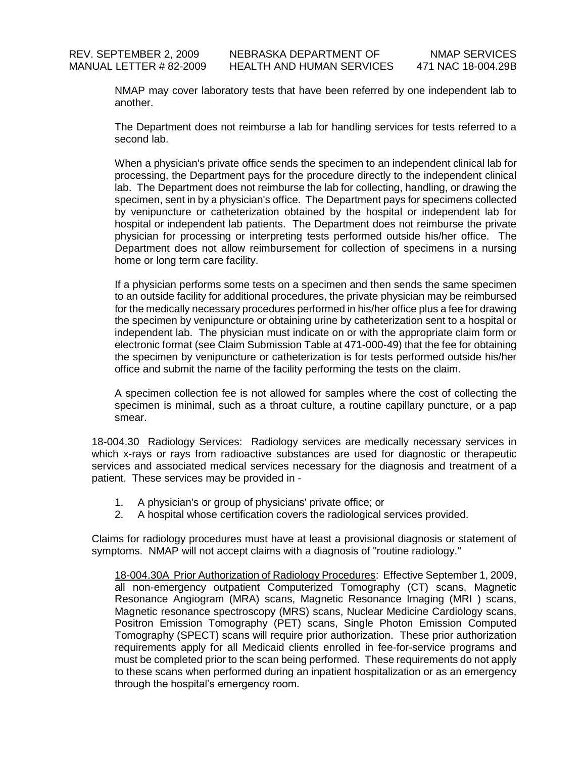NMAP may cover laboratory tests that have been referred by one independent lab to another.

The Department does not reimburse a lab for handling services for tests referred to a second lab.

When a physician's private office sends the specimen to an independent clinical lab for processing, the Department pays for the procedure directly to the independent clinical lab. The Department does not reimburse the lab for collecting, handling, or drawing the specimen, sent in by a physician's office. The Department pays for specimens collected by venipuncture or catheterization obtained by the hospital or independent lab for hospital or independent lab patients. The Department does not reimburse the private physician for processing or interpreting tests performed outside his/her office. The Department does not allow reimbursement for collection of specimens in a nursing home or long term care facility.

If a physician performs some tests on a specimen and then sends the same specimen to an outside facility for additional procedures, the private physician may be reimbursed for the medically necessary procedures performed in his/her office plus a fee for drawing the specimen by venipuncture or obtaining urine by catheterization sent to a hospital or independent lab. The physician must indicate on or with the appropriate claim form or electronic format (see Claim Submission Table at 471-000-49) that the fee for obtaining the specimen by venipuncture or catheterization is for tests performed outside his/her office and submit the name of the facility performing the tests on the claim.

A specimen collection fee is not allowed for samples where the cost of collecting the specimen is minimal, such as a throat culture, a routine capillary puncture, or a pap smear.

18-004.30 Radiology Services: Radiology services are medically necessary services in which x-rays or rays from radioactive substances are used for diagnostic or therapeutic services and associated medical services necessary for the diagnosis and treatment of a patient. These services may be provided in -

- 1. A physician's or group of physicians' private office; or
- 2. A hospital whose certification covers the radiological services provided.

Claims for radiology procedures must have at least a provisional diagnosis or statement of symptoms. NMAP will not accept claims with a diagnosis of "routine radiology."

18-004.30A Prior Authorization of Radiology Procedures: Effective September 1, 2009, all non-emergency outpatient Computerized Tomography (CT) scans, Magnetic Resonance Angiogram (MRA) scans, Magnetic Resonance Imaging (MRI ) scans, Magnetic resonance spectroscopy (MRS) scans, Nuclear Medicine Cardiology scans, Positron Emission Tomography (PET) scans, Single Photon Emission Computed Tomography (SPECT) scans will require prior authorization. These prior authorization requirements apply for all Medicaid clients enrolled in fee-for-service programs and must be completed prior to the scan being performed. These requirements do not apply to these scans when performed during an inpatient hospitalization or as an emergency through the hospital's emergency room.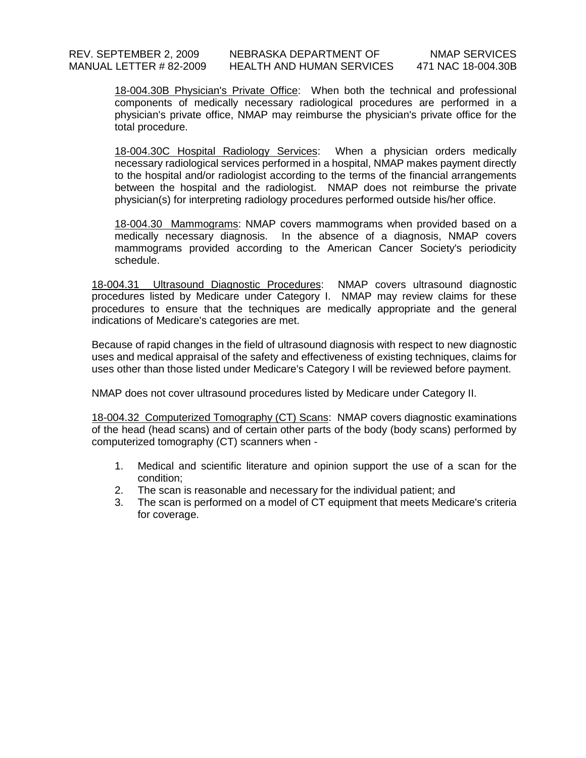18-004.30B Physician's Private Office: When both the technical and professional components of medically necessary radiological procedures are performed in a physician's private office, NMAP may reimburse the physician's private office for the total procedure.

18-004.30C Hospital Radiology Services: When a physician orders medically necessary radiological services performed in a hospital, NMAP makes payment directly to the hospital and/or radiologist according to the terms of the financial arrangements between the hospital and the radiologist. NMAP does not reimburse the private physician(s) for interpreting radiology procedures performed outside his/her office.

18-004.30 Mammograms: NMAP covers mammograms when provided based on a medically necessary diagnosis. In the absence of a diagnosis, NMAP covers mammograms provided according to the American Cancer Society's periodicity schedule.

18-004.31 Ultrasound Diagnostic Procedures: NMAP covers ultrasound diagnostic procedures listed by Medicare under Category I. NMAP may review claims for these procedures to ensure that the techniques are medically appropriate and the general indications of Medicare's categories are met.

Because of rapid changes in the field of ultrasound diagnosis with respect to new diagnostic uses and medical appraisal of the safety and effectiveness of existing techniques, claims for uses other than those listed under Medicare's Category I will be reviewed before payment.

NMAP does not cover ultrasound procedures listed by Medicare under Category II.

18-004.32 Computerized Tomography (CT) Scans: NMAP covers diagnostic examinations of the head (head scans) and of certain other parts of the body (body scans) performed by computerized tomography (CT) scanners when -

- 1. Medical and scientific literature and opinion support the use of a scan for the condition;
- 2. The scan is reasonable and necessary for the individual patient; and
- 3. The scan is performed on a model of CT equipment that meets Medicare's criteria for coverage.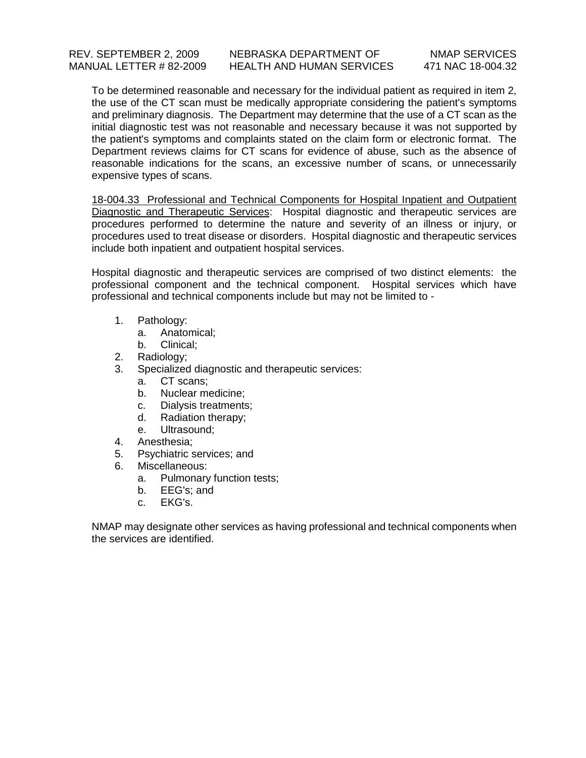To be determined reasonable and necessary for the individual patient as required in item 2, the use of the CT scan must be medically appropriate considering the patient's symptoms and preliminary diagnosis. The Department may determine that the use of a CT scan as the initial diagnostic test was not reasonable and necessary because it was not supported by the patient's symptoms and complaints stated on the claim form or electronic format. The Department reviews claims for CT scans for evidence of abuse, such as the absence of reasonable indications for the scans, an excessive number of scans, or unnecessarily expensive types of scans.

18-004.33 Professional and Technical Components for Hospital Inpatient and Outpatient Diagnostic and Therapeutic Services: Hospital diagnostic and therapeutic services are procedures performed to determine the nature and severity of an illness or injury, or procedures used to treat disease or disorders. Hospital diagnostic and therapeutic services include both inpatient and outpatient hospital services.

Hospital diagnostic and therapeutic services are comprised of two distinct elements: the professional component and the technical component. Hospital services which have professional and technical components include but may not be limited to -

- 1. Pathology:
	- a. Anatomical;
	- b. Clinical;
- 2. Radiology;
- 3. Specialized diagnostic and therapeutic services:
	- a. CT scans;
	- b. Nuclear medicine;
	- c. Dialysis treatments;
	- d. Radiation therapy;
	- e. Ultrasound;
- 4. Anesthesia;
- 5. Psychiatric services; and
- 6. Miscellaneous:
	- a. Pulmonary function tests;
	- b. EEG's; and
	- c. EKG's.

NMAP may designate other services as having professional and technical components when the services are identified.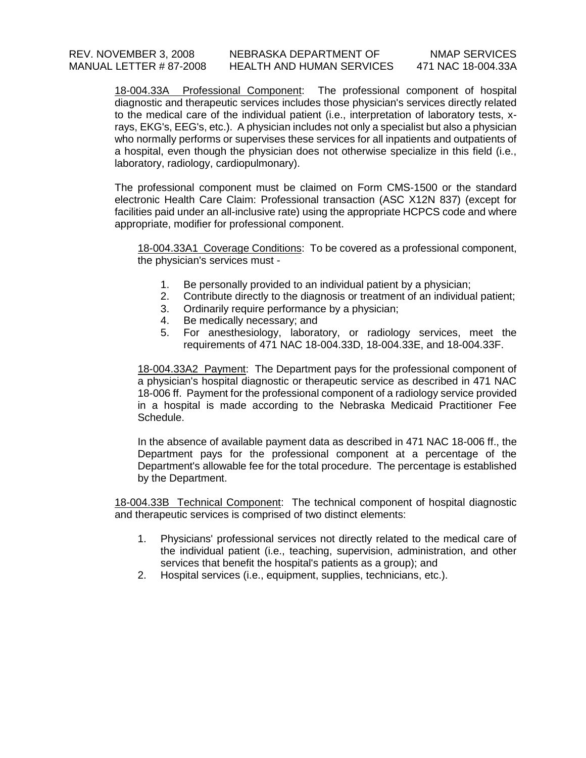18-004.33A Professional Component: The professional component of hospital diagnostic and therapeutic services includes those physician's services directly related to the medical care of the individual patient (i.e., interpretation of laboratory tests, xrays, EKG's, EEG's, etc.). A physician includes not only a specialist but also a physician who normally performs or supervises these services for all inpatients and outpatients of a hospital, even though the physician does not otherwise specialize in this field (i.e., laboratory, radiology, cardiopulmonary).

The professional component must be claimed on Form CMS-1500 or the standard electronic Health Care Claim: Professional transaction (ASC X12N 837) (except for facilities paid under an all-inclusive rate) using the appropriate HCPCS code and where appropriate, modifier for professional component.

18-004.33A1 Coverage Conditions: To be covered as a professional component, the physician's services must -

- 1. Be personally provided to an individual patient by a physician;
- 2. Contribute directly to the diagnosis or treatment of an individual patient;
- 3. Ordinarily require performance by a physician;
- 4. Be medically necessary; and
- 5. For anesthesiology, laboratory, or radiology services, meet the requirements of 471 NAC 18-004.33D, 18-004.33E, and 18-004.33F.

18-004.33A2 Payment: The Department pays for the professional component of a physician's hospital diagnostic or therapeutic service as described in 471 NAC 18-006 ff. Payment for the professional component of a radiology service provided in a hospital is made according to the Nebraska Medicaid Practitioner Fee Schedule.

In the absence of available payment data as described in 471 NAC 18-006 ff., the Department pays for the professional component at a percentage of the Department's allowable fee for the total procedure. The percentage is established by the Department.

18-004.33B Technical Component: The technical component of hospital diagnostic and therapeutic services is comprised of two distinct elements:

- 1. Physicians' professional services not directly related to the medical care of the individual patient (i.e., teaching, supervision, administration, and other services that benefit the hospital's patients as a group); and
- 2. Hospital services (i.e., equipment, supplies, technicians, etc.).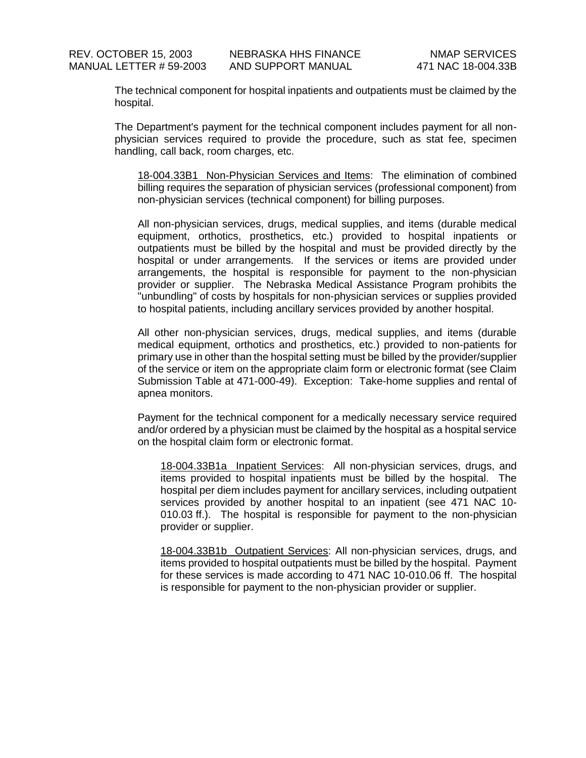The technical component for hospital inpatients and outpatients must be claimed by the hospital.

The Department's payment for the technical component includes payment for all nonphysician services required to provide the procedure, such as stat fee, specimen handling, call back, room charges, etc.

18-004.33B1 Non-Physician Services and Items: The elimination of combined billing requires the separation of physician services (professional component) from non-physician services (technical component) for billing purposes.

All non-physician services, drugs, medical supplies, and items (durable medical equipment, orthotics, prosthetics, etc.) provided to hospital inpatients or outpatients must be billed by the hospital and must be provided directly by the hospital or under arrangements. If the services or items are provided under arrangements, the hospital is responsible for payment to the non-physician provider or supplier. The Nebraska Medical Assistance Program prohibits the "unbundling" of costs by hospitals for non-physician services or supplies provided to hospital patients, including ancillary services provided by another hospital.

All other non-physician services, drugs, medical supplies, and items (durable medical equipment, orthotics and prosthetics, etc.) provided to non-patients for primary use in other than the hospital setting must be billed by the provider/supplier of the service or item on the appropriate claim form or electronic format (see Claim Submission Table at 471-000-49). Exception: Take-home supplies and rental of apnea monitors.

Payment for the technical component for a medically necessary service required and/or ordered by a physician must be claimed by the hospital as a hospital service on the hospital claim form or electronic format.

18-004.33B1a Inpatient Services: All non-physician services, drugs, and items provided to hospital inpatients must be billed by the hospital. The hospital per diem includes payment for ancillary services, including outpatient services provided by another hospital to an inpatient (see 471 NAC 10- 010.03 ff.). The hospital is responsible for payment to the non-physician provider or supplier.

18-004.33B1b Outpatient Services: All non-physician services, drugs, and items provided to hospital outpatients must be billed by the hospital. Payment for these services is made according to 471 NAC 10-010.06 ff. The hospital is responsible for payment to the non-physician provider or supplier.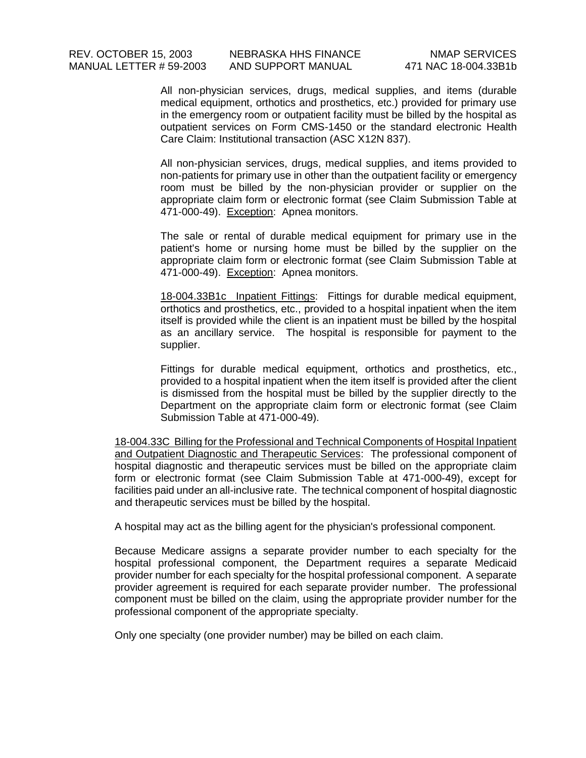All non-physician services, drugs, medical supplies, and items (durable medical equipment, orthotics and prosthetics, etc.) provided for primary use in the emergency room or outpatient facility must be billed by the hospital as outpatient services on Form CMS-1450 or the standard electronic Health Care Claim: Institutional transaction (ASC X12N 837).

All non-physician services, drugs, medical supplies, and items provided to non-patients for primary use in other than the outpatient facility or emergency room must be billed by the non-physician provider or supplier on the appropriate claim form or electronic format (see Claim Submission Table at 471-000-49). Exception: Apnea monitors.

The sale or rental of durable medical equipment for primary use in the patient's home or nursing home must be billed by the supplier on the appropriate claim form or electronic format (see Claim Submission Table at 471-000-49). Exception: Apnea monitors.

18-004.33B1c Inpatient Fittings: Fittings for durable medical equipment, orthotics and prosthetics, etc., provided to a hospital inpatient when the item itself is provided while the client is an inpatient must be billed by the hospital as an ancillary service. The hospital is responsible for payment to the supplier.

Fittings for durable medical equipment, orthotics and prosthetics, etc., provided to a hospital inpatient when the item itself is provided after the client is dismissed from the hospital must be billed by the supplier directly to the Department on the appropriate claim form or electronic format (see Claim Submission Table at 471-000-49).

18-004.33C Billing for the Professional and Technical Components of Hospital Inpatient and Outpatient Diagnostic and Therapeutic Services: The professional component of hospital diagnostic and therapeutic services must be billed on the appropriate claim form or electronic format (see Claim Submission Table at 471-000-49), except for facilities paid under an all-inclusive rate. The technical component of hospital diagnostic and therapeutic services must be billed by the hospital.

A hospital may act as the billing agent for the physician's professional component.

Because Medicare assigns a separate provider number to each specialty for the hospital professional component, the Department requires a separate Medicaid provider number for each specialty for the hospital professional component. A separate provider agreement is required for each separate provider number. The professional component must be billed on the claim, using the appropriate provider number for the professional component of the appropriate specialty.

Only one specialty (one provider number) may be billed on each claim.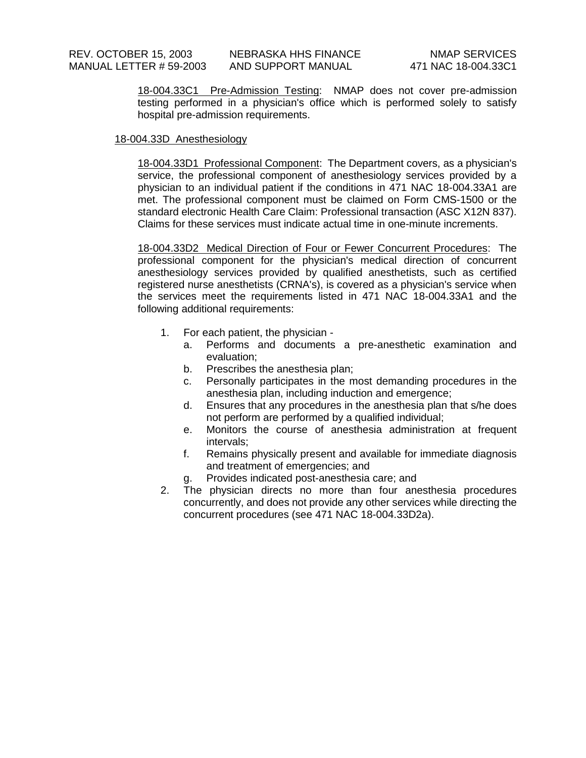18-004.33C1 Pre-Admission Testing: NMAP does not cover pre-admission testing performed in a physician's office which is performed solely to satisfy hospital pre-admission requirements.

# 18-004.33D Anesthesiology

18-004.33D1 Professional Component: The Department covers, as a physician's service, the professional component of anesthesiology services provided by a physician to an individual patient if the conditions in 471 NAC 18-004.33A1 are met. The professional component must be claimed on Form CMS-1500 or the standard electronic Health Care Claim: Professional transaction (ASC X12N 837). Claims for these services must indicate actual time in one-minute increments.

18-004.33D2 Medical Direction of Four or Fewer Concurrent Procedures: The professional component for the physician's medical direction of concurrent anesthesiology services provided by qualified anesthetists, such as certified registered nurse anesthetists (CRNA's), is covered as a physician's service when the services meet the requirements listed in 471 NAC 18-004.33A1 and the following additional requirements:

- 1. For each patient, the physician
	- a. Performs and documents a pre-anesthetic examination and evaluation;
	- b. Prescribes the anesthesia plan;
	- c. Personally participates in the most demanding procedures in the anesthesia plan, including induction and emergence;
	- d. Ensures that any procedures in the anesthesia plan that s/he does not perform are performed by a qualified individual;
	- e. Monitors the course of anesthesia administration at frequent intervals;
	- f. Remains physically present and available for immediate diagnosis and treatment of emergencies; and
	- g. Provides indicated post-anesthesia care; and
- 2. The physician directs no more than four anesthesia procedures concurrently, and does not provide any other services while directing the concurrent procedures (see 471 NAC 18-004.33D2a).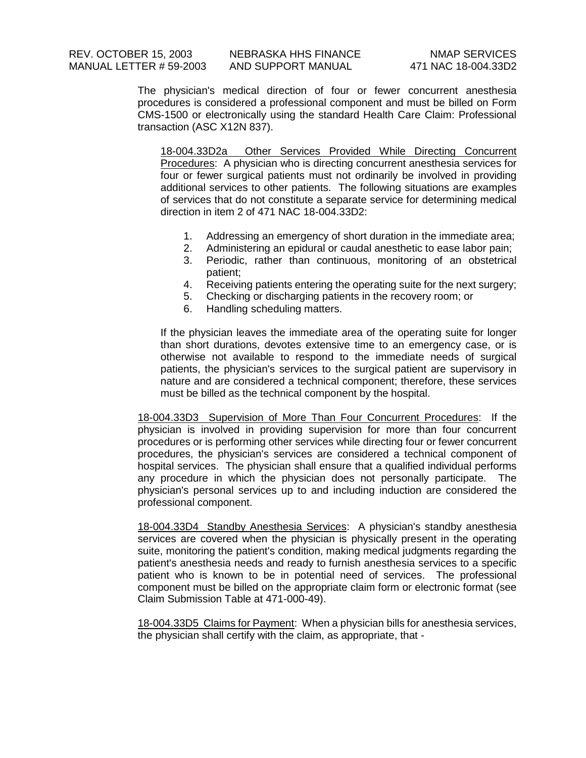The physician's medical direction of four or fewer concurrent anesthesia procedures is considered a professional component and must be billed on Form CMS-1500 or electronically using the standard Health Care Claim: Professional transaction (ASC X12N 837).

18-004.33D2a Other Services Provided While Directing Concurrent Procedures: A physician who is directing concurrent anesthesia services for four or fewer surgical patients must not ordinarily be involved in providing additional services to other patients. The following situations are examples of services that do not constitute a separate service for determining medical direction in item 2 of 471 NAC 18-004.33D2:

- 1. Addressing an emergency of short duration in the immediate area;
- 2. Administering an epidural or caudal anesthetic to ease labor pain;
- 3. Periodic, rather than continuous, monitoring of an obstetrical patient;
- 4. Receiving patients entering the operating suite for the next surgery;
- 5. Checking or discharging patients in the recovery room; or
- 6. Handling scheduling matters.

If the physician leaves the immediate area of the operating suite for longer than short durations, devotes extensive time to an emergency case, or is otherwise not available to respond to the immediate needs of surgical patients, the physician's services to the surgical patient are supervisory in nature and are considered a technical component; therefore, these services must be billed as the technical component by the hospital.

18-004.33D3 Supervision of More Than Four Concurrent Procedures: If the physician is involved in providing supervision for more than four concurrent procedures or is performing other services while directing four or fewer concurrent procedures, the physician's services are considered a technical component of hospital services. The physician shall ensure that a qualified individual performs any procedure in which the physician does not personally participate. The physician's personal services up to and including induction are considered the professional component.

18-004.33D4 Standby Anesthesia Services: A physician's standby anesthesia services are covered when the physician is physically present in the operating suite, monitoring the patient's condition, making medical judgments regarding the patient's anesthesia needs and ready to furnish anesthesia services to a specific patient who is known to be in potential need of services. The professional component must be billed on the appropriate claim form or electronic format (see Claim Submission Table at 471-000-49).

18-004.33D5 Claims for Payment: When a physician bills for anesthesia services, the physician shall certify with the claim, as appropriate, that -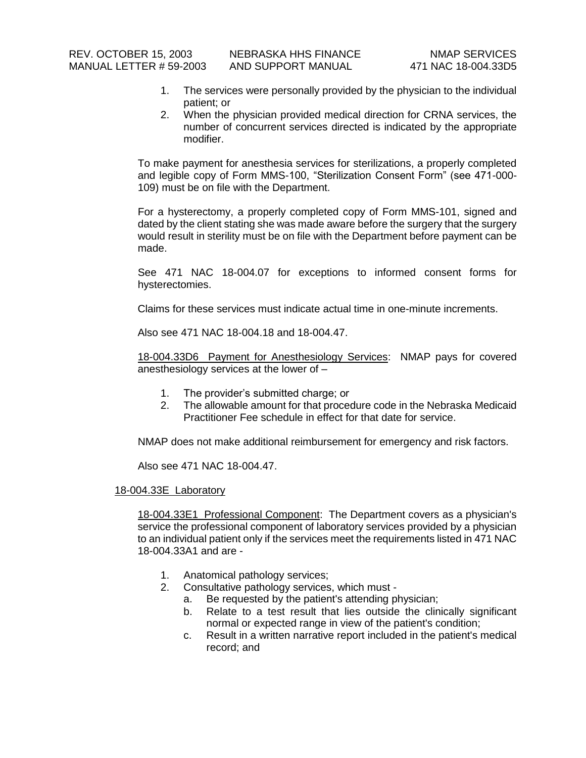- 1. The services were personally provided by the physician to the individual patient; or
- 2. When the physician provided medical direction for CRNA services, the number of concurrent services directed is indicated by the appropriate modifier.

To make payment for anesthesia services for sterilizations, a properly completed and legible copy of Form MMS-100, "Sterilization Consent Form" (see 471-000- 109) must be on file with the Department.

For a hysterectomy, a properly completed copy of Form MMS-101, signed and dated by the client stating she was made aware before the surgery that the surgery would result in sterility must be on file with the Department before payment can be made.

See 471 NAC 18-004.07 for exceptions to informed consent forms for hysterectomies.

Claims for these services must indicate actual time in one-minute increments.

Also see 471 NAC 18-004.18 and 18-004.47.

18-004.33D6 Payment for Anesthesiology Services: NMAP pays for covered anesthesiology services at the lower of –

- 1. The provider's submitted charge; or
- 2. The allowable amount for that procedure code in the Nebraska Medicaid Practitioner Fee schedule in effect for that date for service.

NMAP does not make additional reimbursement for emergency and risk factors.

Also see 471 NAC 18-004.47.

#### 18-004.33E Laboratory

18-004.33E1 Professional Component: The Department covers as a physician's service the professional component of laboratory services provided by a physician to an individual patient only if the services meet the requirements listed in 471 NAC 18-004.33A1 and are -

- 1. Anatomical pathology services;
- 2. Consultative pathology services, which must
	- a. Be requested by the patient's attending physician;
	- b. Relate to a test result that lies outside the clinically significant normal or expected range in view of the patient's condition;
	- c. Result in a written narrative report included in the patient's medical record; and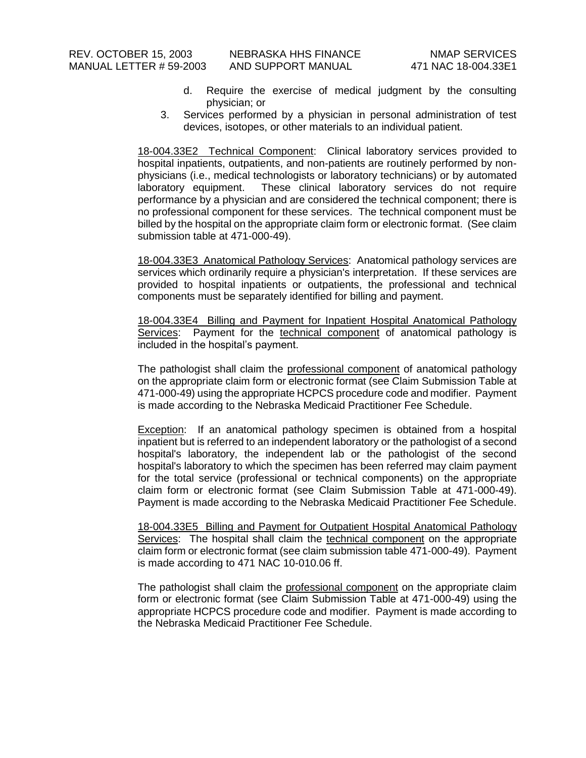- d. Require the exercise of medical judgment by the consulting physician; or
- 3. Services performed by a physician in personal administration of test devices, isotopes, or other materials to an individual patient.

18-004.33E2 Technical Component: Clinical laboratory services provided to hospital inpatients, outpatients, and non-patients are routinely performed by nonphysicians (i.e., medical technologists or laboratory technicians) or by automated laboratory equipment. These clinical laboratory services do not require performance by a physician and are considered the technical component; there is no professional component for these services. The technical component must be billed by the hospital on the appropriate claim form or electronic format. (See claim submission table at 471-000-49).

18-004.33E3 Anatomical Pathology Services: Anatomical pathology services are services which ordinarily require a physician's interpretation. If these services are provided to hospital inpatients or outpatients, the professional and technical components must be separately identified for billing and payment.

18-004.33E4 Billing and Payment for Inpatient Hospital Anatomical Pathology Services: Payment for the technical component of anatomical pathology is included in the hospital's payment.

The pathologist shall claim the professional component of anatomical pathology on the appropriate claim form or electronic format (see Claim Submission Table at 471-000-49) using the appropriate HCPCS procedure code and modifier. Payment is made according to the Nebraska Medicaid Practitioner Fee Schedule.

**Exception:** If an anatomical pathology specimen is obtained from a hospital inpatient but is referred to an independent laboratory or the pathologist of a second hospital's laboratory, the independent lab or the pathologist of the second hospital's laboratory to which the specimen has been referred may claim payment for the total service (professional or technical components) on the appropriate claim form or electronic format (see Claim Submission Table at 471-000-49). Payment is made according to the Nebraska Medicaid Practitioner Fee Schedule.

18-004.33E5 Billing and Payment for Outpatient Hospital Anatomical Pathology Services: The hospital shall claim the technical component on the appropriate claim form or electronic format (see claim submission table 471-000-49). Payment is made according to 471 NAC 10-010.06 ff.

The pathologist shall claim the professional component on the appropriate claim form or electronic format (see Claim Submission Table at 471-000-49) using the appropriate HCPCS procedure code and modifier. Payment is made according to the Nebraska Medicaid Practitioner Fee Schedule.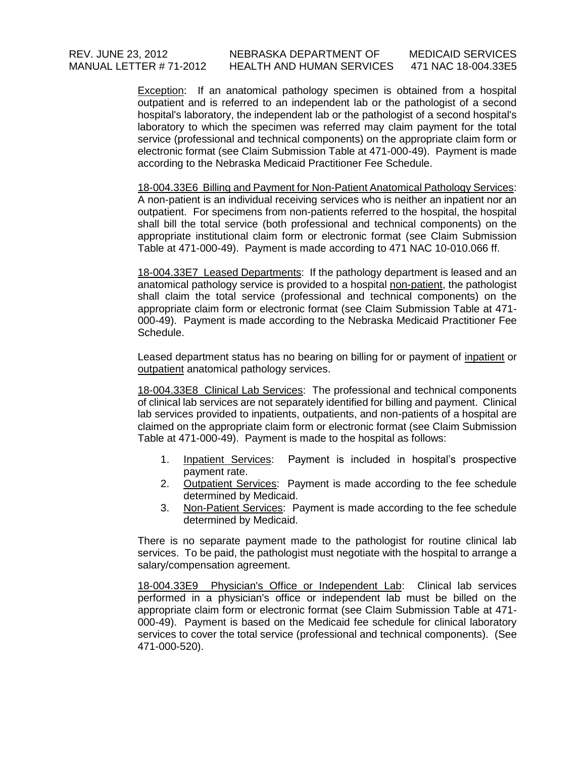## REV. JUNE 23, 2012 NEBRASKA DEPARTMENT OF MEDICAID SERVICES MANUAL LETTER # 71-2012 HEALTH AND HUMAN SERVICES 471 NAC 18-004.33E5

Exception: If an anatomical pathology specimen is obtained from a hospital outpatient and is referred to an independent lab or the pathologist of a second hospital's laboratory, the independent lab or the pathologist of a second hospital's laboratory to which the specimen was referred may claim payment for the total service (professional and technical components) on the appropriate claim form or electronic format (see Claim Submission Table at 471-000-49). Payment is made according to the Nebraska Medicaid Practitioner Fee Schedule.

18-004.33E6 Billing and Payment for Non-Patient Anatomical Pathology Services: A non-patient is an individual receiving services who is neither an inpatient nor an outpatient. For specimens from non-patients referred to the hospital, the hospital shall bill the total service (both professional and technical components) on the appropriate institutional claim form or electronic format (see Claim Submission Table at 471-000-49). Payment is made according to 471 NAC 10-010.066 ff.

18-004.33E7 Leased Departments: If the pathology department is leased and an anatomical pathology service is provided to a hospital non-patient, the pathologist shall claim the total service (professional and technical components) on the appropriate claim form or electronic format (see Claim Submission Table at 471- 000-49). Payment is made according to the Nebraska Medicaid Practitioner Fee Schedule.

Leased department status has no bearing on billing for or payment of inpatient or outpatient anatomical pathology services.

18-004.33E8 Clinical Lab Services: The professional and technical components of clinical lab services are not separately identified for billing and payment. Clinical lab services provided to inpatients, outpatients, and non-patients of a hospital are claimed on the appropriate claim form or electronic format (see Claim Submission Table at 471-000-49). Payment is made to the hospital as follows:

- 1. Inpatient Services: Payment is included in hospital's prospective payment rate.
- 2. Outpatient Services: Payment is made according to the fee schedule determined by Medicaid.
- 3. Non-Patient Services: Payment is made according to the fee schedule determined by Medicaid.

There is no separate payment made to the pathologist for routine clinical lab services. To be paid, the pathologist must negotiate with the hospital to arrange a salary/compensation agreement.

18-004.33E9 Physician's Office or Independent Lab: Clinical lab services performed in a physician's office or independent lab must be billed on the appropriate claim form or electronic format (see Claim Submission Table at 471- 000-49). Payment is based on the Medicaid fee schedule for clinical laboratory services to cover the total service (professional and technical components). (See 471-000-520).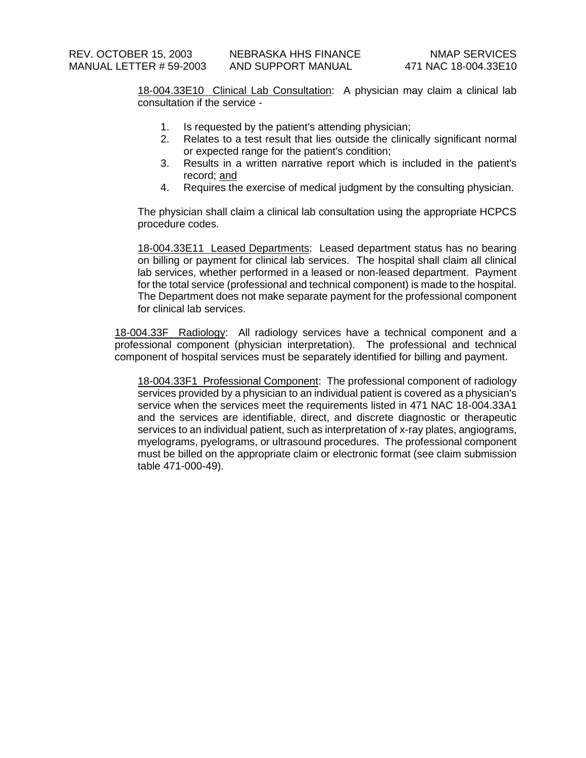18-004.33E10 Clinical Lab Consultation: A physician may claim a clinical lab consultation if the service -

- 1. Is requested by the patient's attending physician;
- 2. Relates to a test result that lies outside the clinically significant normal or expected range for the patient's condition;
- 3. Results in a written narrative report which is included in the patient's record; and
- 4. Requires the exercise of medical judgment by the consulting physician.

The physician shall claim a clinical lab consultation using the appropriate HCPCS procedure codes.

18-004.33E11 Leased Departments: Leased department status has no bearing on billing or payment for clinical lab services. The hospital shall claim all clinical lab services, whether performed in a leased or non-leased department. Payment for the total service (professional and technical component) is made to the hospital. The Department does not make separate payment for the professional component for clinical lab services.

18-004.33F Radiology: All radiology services have a technical component and a professional component (physician interpretation). The professional and technical component of hospital services must be separately identified for billing and payment.

18-004.33F1 Professional Component: The professional component of radiology services provided by a physician to an individual patient is covered as a physician's service when the services meet the requirements listed in 471 NAC 18-004.33A1 and the services are identifiable, direct, and discrete diagnostic or therapeutic services to an individual patient, such as interpretation of x-ray plates, angiograms, myelograms, pyelograms, or ultrasound procedures. The professional component must be billed on the appropriate claim or electronic format (see claim submission table 471-000-49).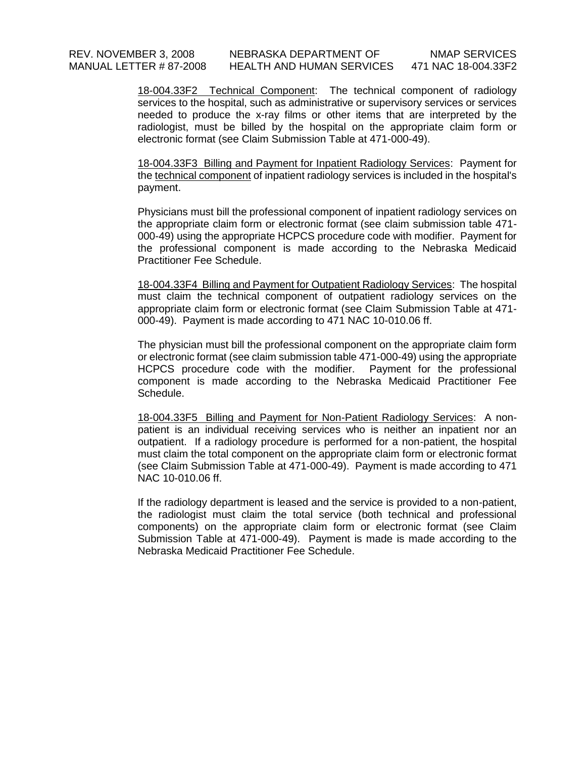18-004.33F3 Billing and Payment for Inpatient Radiology Services: Payment for the technical component of inpatient radiology services is included in the hospital's payment.

Physicians must bill the professional component of inpatient radiology services on the appropriate claim form or electronic format (see claim submission table 471- 000-49) using the appropriate HCPCS procedure code with modifier. Payment for the professional component is made according to the Nebraska Medicaid Practitioner Fee Schedule.

18-004.33F4 Billing and Payment for Outpatient Radiology Services: The hospital must claim the technical component of outpatient radiology services on the appropriate claim form or electronic format (see Claim Submission Table at 471- 000-49). Payment is made according to 471 NAC 10-010.06 ff.

The physician must bill the professional component on the appropriate claim form or electronic format (see claim submission table 471-000-49) using the appropriate HCPCS procedure code with the modifier. Payment for the professional component is made according to the Nebraska Medicaid Practitioner Fee Schedule.

18-004.33F5 Billing and Payment for Non-Patient Radiology Services: A nonpatient is an individual receiving services who is neither an inpatient nor an outpatient. If a radiology procedure is performed for a non-patient, the hospital must claim the total component on the appropriate claim form or electronic format (see Claim Submission Table at 471-000-49). Payment is made according to 471 NAC 10-010.06 ff.

If the radiology department is leased and the service is provided to a non-patient, the radiologist must claim the total service (both technical and professional components) on the appropriate claim form or electronic format (see Claim Submission Table at 471-000-49). Payment is made is made according to the Nebraska Medicaid Practitioner Fee Schedule.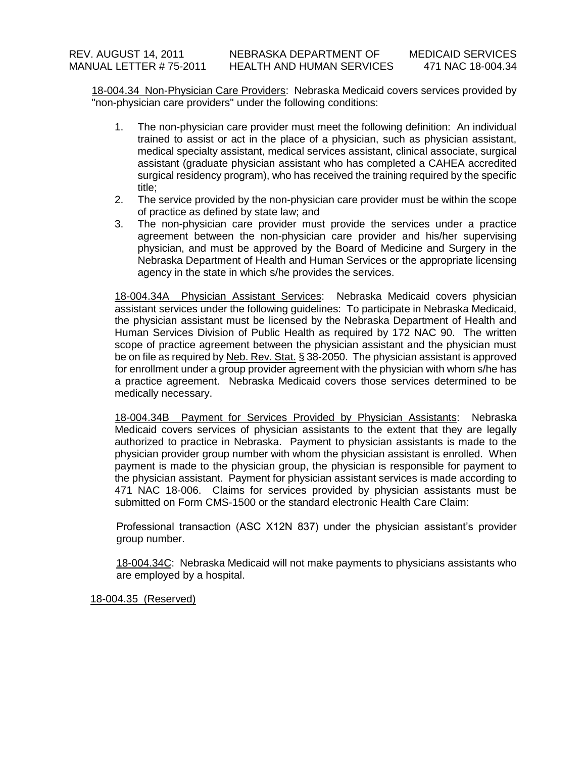18-004.34 Non-Physician Care Providers: Nebraska Medicaid covers services provided by "non-physician care providers" under the following conditions:

- 1. The non-physician care provider must meet the following definition: An individual trained to assist or act in the place of a physician, such as physician assistant, medical specialty assistant, medical services assistant, clinical associate, surgical assistant (graduate physician assistant who has completed a CAHEA accredited surgical residency program), who has received the training required by the specific title;
- 2. The service provided by the non-physician care provider must be within the scope of practice as defined by state law; and
- 3. The non-physician care provider must provide the services under a practice agreement between the non-physician care provider and his/her supervising physician, and must be approved by the Board of Medicine and Surgery in the Nebraska Department of Health and Human Services or the appropriate licensing agency in the state in which s/he provides the services.

18-004.34A Physician Assistant Services: Nebraska Medicaid covers physician assistant services under the following guidelines: To participate in Nebraska Medicaid, the physician assistant must be licensed by the Nebraska Department of Health and Human Services Division of Public Health as required by 172 NAC 90. The written scope of practice agreement between the physician assistant and the physician must be on file as required by Neb. Rev. Stat. § 38-2050. The physician assistant is approved for enrollment under a group provider agreement with the physician with whom s/he has a practice agreement. Nebraska Medicaid covers those services determined to be medically necessary.

18-004.34B Payment for Services Provided by Physician Assistants: Nebraska Medicaid covers services of physician assistants to the extent that they are legally authorized to practice in Nebraska. Payment to physician assistants is made to the physician provider group number with whom the physician assistant is enrolled. When payment is made to the physician group, the physician is responsible for payment to the physician assistant. Payment for physician assistant services is made according to 471 NAC 18-006. Claims for services provided by physician assistants must be submitted on Form CMS-1500 or the standard electronic Health Care Claim:

Professional transaction (ASC X12N 837) under the physician assistant's provider group number.

18-004.34C: Nebraska Medicaid will not make payments to physicians assistants who are employed by a hospital.

18-004.35 (Reserved)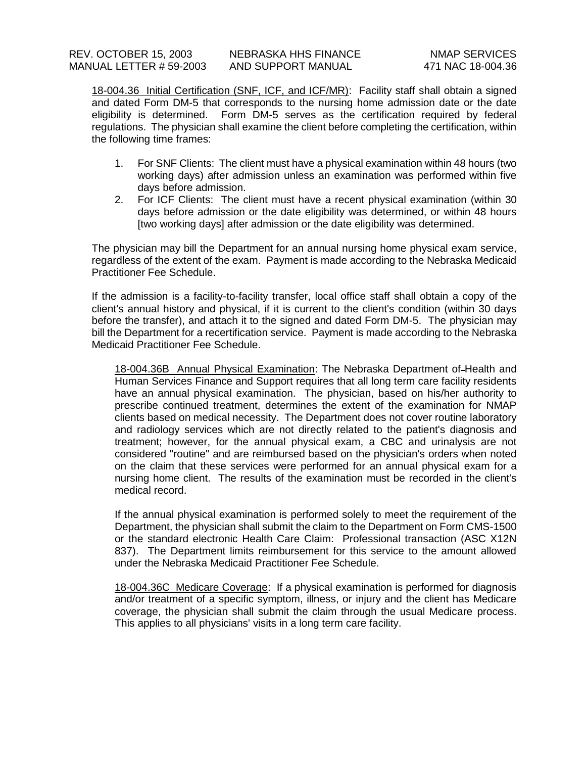18-004.36 Initial Certification (SNF, ICF, and ICF/MR): Facility staff shall obtain a signed and dated Form DM-5 that corresponds to the nursing home admission date or the date eligibility is determined. Form DM-5 serves as the certification required by federal regulations. The physician shall examine the client before completing the certification, within the following time frames:

- 1. For SNF Clients: The client must have a physical examination within 48 hours (two working days) after admission unless an examination was performed within five days before admission.
- 2. For ICF Clients: The client must have a recent physical examination (within 30 days before admission or the date eligibility was determined, or within 48 hours [two working days] after admission or the date eligibility was determined.

The physician may bill the Department for an annual nursing home physical exam service, regardless of the extent of the exam. Payment is made according to the Nebraska Medicaid Practitioner Fee Schedule.

If the admission is a facility-to-facility transfer, local office staff shall obtain a copy of the client's annual history and physical, if it is current to the client's condition (within 30 days before the transfer), and attach it to the signed and dated Form DM-5. The physician may bill the Department for a recertification service. Payment is made according to the Nebraska Medicaid Practitioner Fee Schedule.

18-004.36B Annual Physical Examination: The Nebraska Department of Health and Human Services Finance and Support requires that all long term care facility residents have an annual physical examination. The physician, based on his/her authority to prescribe continued treatment, determines the extent of the examination for NMAP clients based on medical necessity. The Department does not cover routine laboratory and radiology services which are not directly related to the patient's diagnosis and treatment; however, for the annual physical exam, a CBC and urinalysis are not considered "routine" and are reimbursed based on the physician's orders when noted on the claim that these services were performed for an annual physical exam for a nursing home client. The results of the examination must be recorded in the client's medical record.

If the annual physical examination is performed solely to meet the requirement of the Department, the physician shall submit the claim to the Department on Form CMS-1500 or the standard electronic Health Care Claim: Professional transaction (ASC X12N 837). The Department limits reimbursement for this service to the amount allowed under the Nebraska Medicaid Practitioner Fee Schedule.

18-004.36C Medicare Coverage: If a physical examination is performed for diagnosis and/or treatment of a specific symptom, illness, or injury and the client has Medicare coverage, the physician shall submit the claim through the usual Medicare process. This applies to all physicians' visits in a long term care facility.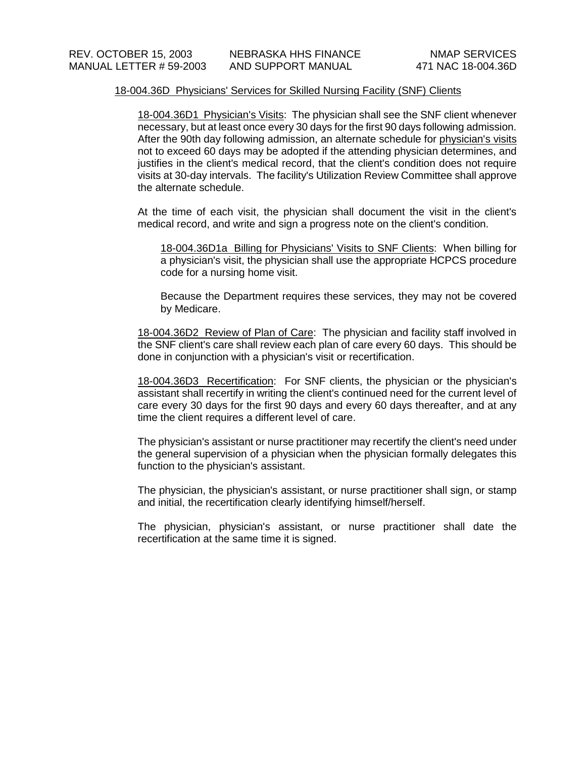## 18-004.36D Physicians' Services for Skilled Nursing Facility (SNF) Clients

18-004.36D1 Physician's Visits: The physician shall see the SNF client whenever necessary, but at least once every 30 days for the first 90 days following admission. After the 90th day following admission, an alternate schedule for physician's visits not to exceed 60 days may be adopted if the attending physician determines, and justifies in the client's medical record, that the client's condition does not require visits at 30-day intervals. The facility's Utilization Review Committee shall approve the alternate schedule.

At the time of each visit, the physician shall document the visit in the client's medical record, and write and sign a progress note on the client's condition.

18-004.36D1a Billing for Physicians' Visits to SNF Clients: When billing for a physician's visit, the physician shall use the appropriate HCPCS procedure code for a nursing home visit.

Because the Department requires these services, they may not be covered by Medicare.

18-004.36D2 Review of Plan of Care: The physician and facility staff involved in the SNF client's care shall review each plan of care every 60 days. This should be done in conjunction with a physician's visit or recertification.

18-004.36D3 Recertification: For SNF clients, the physician or the physician's assistant shall recertify in writing the client's continued need for the current level of care every 30 days for the first 90 days and every 60 days thereafter, and at any time the client requires a different level of care.

The physician's assistant or nurse practitioner may recertify the client's need under the general supervision of a physician when the physician formally delegates this function to the physician's assistant.

The physician, the physician's assistant, or nurse practitioner shall sign, or stamp and initial, the recertification clearly identifying himself/herself.

The physician, physician's assistant, or nurse practitioner shall date the recertification at the same time it is signed.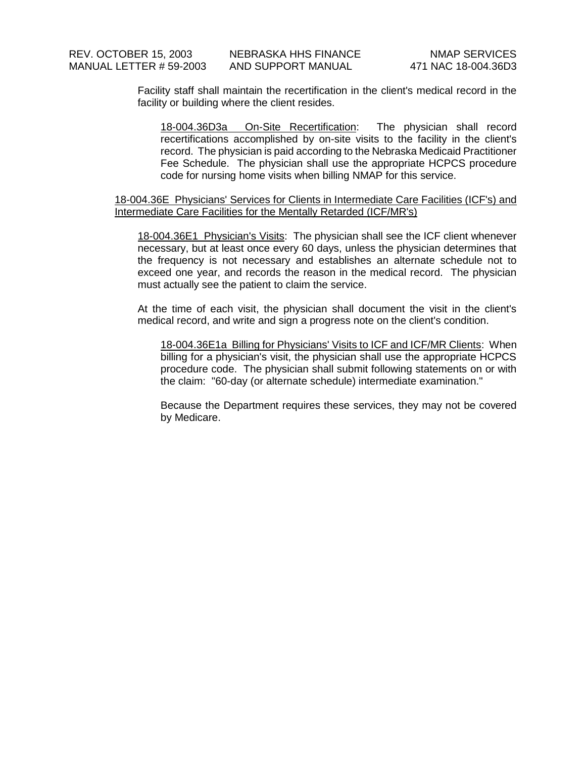Facility staff shall maintain the recertification in the client's medical record in the facility or building where the client resides.

18-004.36D3a On-Site Recertification: The physician shall record recertifications accomplished by on-site visits to the facility in the client's record. The physician is paid according to the Nebraska Medicaid Practitioner Fee Schedule. The physician shall use the appropriate HCPCS procedure code for nursing home visits when billing NMAP for this service.

### 18-004.36E Physicians' Services for Clients in Intermediate Care Facilities (ICF's) and Intermediate Care Facilities for the Mentally Retarded (ICF/MR's)

18-004.36E1 Physician's Visits: The physician shall see the ICF client whenever necessary, but at least once every 60 days, unless the physician determines that the frequency is not necessary and establishes an alternate schedule not to exceed one year, and records the reason in the medical record. The physician must actually see the patient to claim the service.

At the time of each visit, the physician shall document the visit in the client's medical record, and write and sign a progress note on the client's condition.

18-004.36E1a Billing for Physicians' Visits to ICF and ICF/MR Clients: When billing for a physician's visit, the physician shall use the appropriate HCPCS procedure code. The physician shall submit following statements on or with the claim: "60-day (or alternate schedule) intermediate examination."

Because the Department requires these services, they may not be covered by Medicare.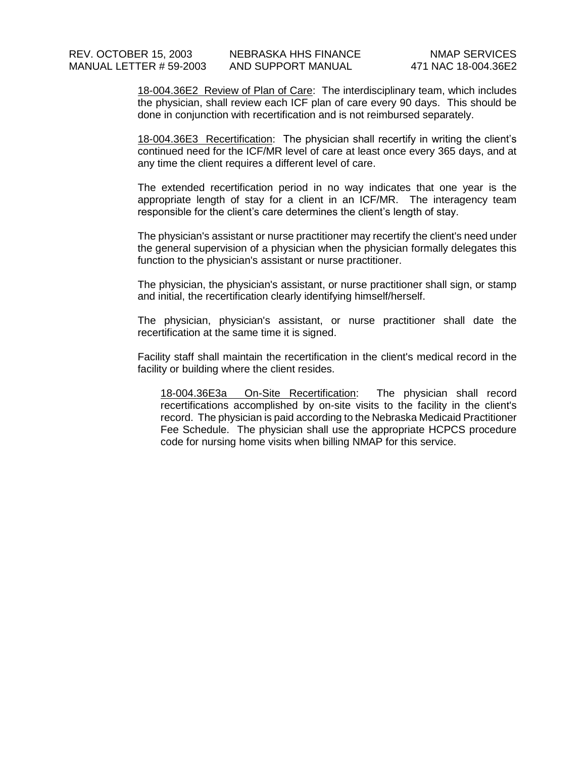18-004.36E2 Review of Plan of Care: The interdisciplinary team, which includes the physician, shall review each ICF plan of care every 90 days. This should be done in conjunction with recertification and is not reimbursed separately.

18-004.36E3 Recertification: The physician shall recertify in writing the client's continued need for the ICF/MR level of care at least once every 365 days, and at any time the client requires a different level of care.

The extended recertification period in no way indicates that one year is the appropriate length of stay for a client in an ICF/MR. The interagency team responsible for the client's care determines the client's length of stay.

The physician's assistant or nurse practitioner may recertify the client's need under the general supervision of a physician when the physician formally delegates this function to the physician's assistant or nurse practitioner.

The physician, the physician's assistant, or nurse practitioner shall sign, or stamp and initial, the recertification clearly identifying himself/herself.

The physician, physician's assistant, or nurse practitioner shall date the recertification at the same time it is signed.

Facility staff shall maintain the recertification in the client's medical record in the facility or building where the client resides.

18-004.36E3a On-Site Recertification: The physician shall record recertifications accomplished by on-site visits to the facility in the client's record. The physician is paid according to the Nebraska Medicaid Practitioner Fee Schedule. The physician shall use the appropriate HCPCS procedure code for nursing home visits when billing NMAP for this service.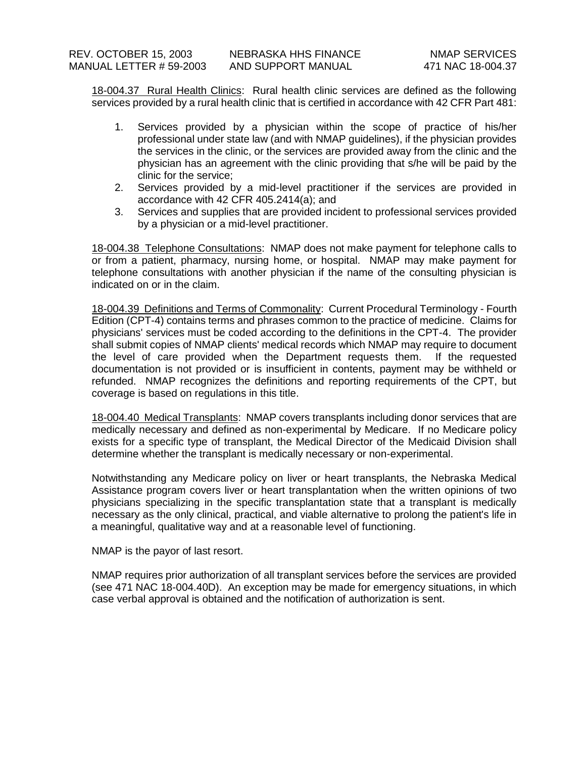18-004.37 Rural Health Clinics: Rural health clinic services are defined as the following services provided by a rural health clinic that is certified in accordance with 42 CFR Part 481:

- 1. Services provided by a physician within the scope of practice of his/her professional under state law (and with NMAP guidelines), if the physician provides the services in the clinic, or the services are provided away from the clinic and the physician has an agreement with the clinic providing that s/he will be paid by the clinic for the service;
- 2. Services provided by a mid-level practitioner if the services are provided in accordance with 42 CFR 405.2414(a); and
- 3. Services and supplies that are provided incident to professional services provided by a physician or a mid-level practitioner.

18-004.38 Telephone Consultations: NMAP does not make payment for telephone calls to or from a patient, pharmacy, nursing home, or hospital. NMAP may make payment for telephone consultations with another physician if the name of the consulting physician is indicated on or in the claim.

18-004.39 Definitions and Terms of Commonality: Current Procedural Terminology - Fourth Edition (CPT-4) contains terms and phrases common to the practice of medicine. Claims for physicians' services must be coded according to the definitions in the CPT-4. The provider shall submit copies of NMAP clients' medical records which NMAP may require to document the level of care provided when the Department requests them. If the requested documentation is not provided or is insufficient in contents, payment may be withheld or refunded. NMAP recognizes the definitions and reporting requirements of the CPT, but coverage is based on regulations in this title.

18-004.40 Medical Transplants: NMAP covers transplants including donor services that are medically necessary and defined as non-experimental by Medicare. If no Medicare policy exists for a specific type of transplant, the Medical Director of the Medicaid Division shall determine whether the transplant is medically necessary or non-experimental.

Notwithstanding any Medicare policy on liver or heart transplants, the Nebraska Medical Assistance program covers liver or heart transplantation when the written opinions of two physicians specializing in the specific transplantation state that a transplant is medically necessary as the only clinical, practical, and viable alternative to prolong the patient's life in a meaningful, qualitative way and at a reasonable level of functioning.

NMAP is the payor of last resort.

NMAP requires prior authorization of all transplant services before the services are provided (see 471 NAC 18-004.40D). An exception may be made for emergency situations, in which case verbal approval is obtained and the notification of authorization is sent.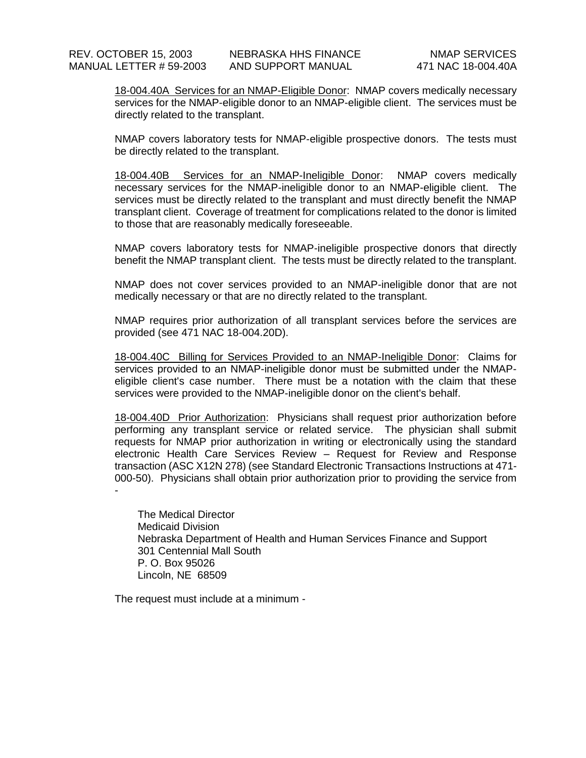18-004.40A Services for an NMAP-Eligible Donor: NMAP covers medically necessary services for the NMAP-eligible donor to an NMAP-eligible client. The services must be directly related to the transplant.

NMAP covers laboratory tests for NMAP-eligible prospective donors. The tests must be directly related to the transplant.

18-004.40B Services for an NMAP-Ineligible Donor: NMAP covers medically necessary services for the NMAP-ineligible donor to an NMAP-eligible client. The services must be directly related to the transplant and must directly benefit the NMAP transplant client. Coverage of treatment for complications related to the donor is limited to those that are reasonably medically foreseeable.

NMAP covers laboratory tests for NMAP-ineligible prospective donors that directly benefit the NMAP transplant client. The tests must be directly related to the transplant.

NMAP does not cover services provided to an NMAP-ineligible donor that are not medically necessary or that are no directly related to the transplant.

NMAP requires prior authorization of all transplant services before the services are provided (see 471 NAC 18-004.20D).

18-004.40C Billing for Services Provided to an NMAP-Ineligible Donor: Claims for services provided to an NMAP-ineligible donor must be submitted under the NMAPeligible client's case number. There must be a notation with the claim that these services were provided to the NMAP-ineligible donor on the client's behalf.

18-004.40D Prior Authorization: Physicians shall request prior authorization before performing any transplant service or related service. The physician shall submit requests for NMAP prior authorization in writing or electronically using the standard electronic Health Care Services Review – Request for Review and Response transaction (ASC X12N 278) (see Standard Electronic Transactions Instructions at 471- 000-50). Physicians shall obtain prior authorization prior to providing the service from -

The Medical Director Medicaid Division Nebraska Department of Health and Human Services Finance and Support 301 Centennial Mall South P. O. Box 95026 Lincoln, NE 68509

The request must include at a minimum -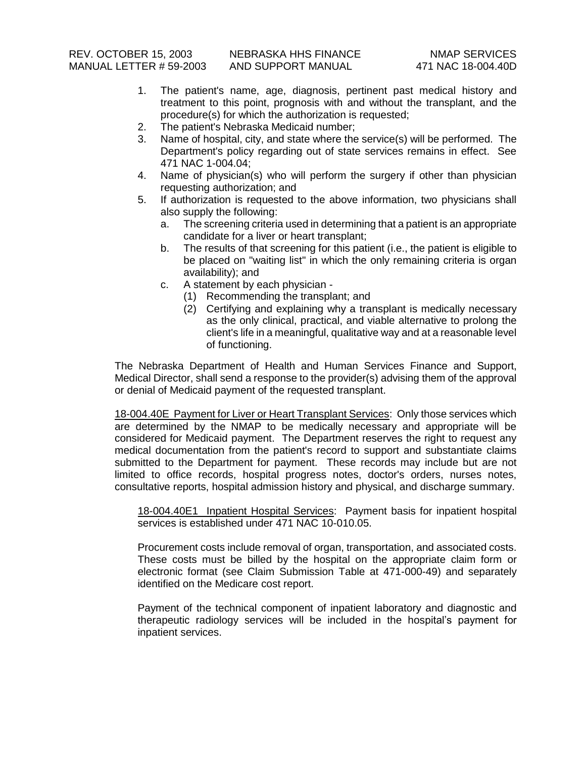- 1. The patient's name, age, diagnosis, pertinent past medical history and treatment to this point, prognosis with and without the transplant, and the procedure(s) for which the authorization is requested;
- 2. The patient's Nebraska Medicaid number;
- 3. Name of hospital, city, and state where the service(s) will be performed. The Department's policy regarding out of state services remains in effect. See 471 NAC 1-004.04;
- 4. Name of physician(s) who will perform the surgery if other than physician requesting authorization; and
- 5. If authorization is requested to the above information, two physicians shall also supply the following:
	- a. The screening criteria used in determining that a patient is an appropriate candidate for a liver or heart transplant;
	- b. The results of that screening for this patient (i.e., the patient is eligible to be placed on "waiting list" in which the only remaining criteria is organ availability); and
	- c. A statement by each physician
		- (1) Recommending the transplant; and
		- (2) Certifying and explaining why a transplant is medically necessary as the only clinical, practical, and viable alternative to prolong the client's life in a meaningful, qualitative way and at a reasonable level of functioning.

The Nebraska Department of Health and Human Services Finance and Support, Medical Director, shall send a response to the provider(s) advising them of the approval or denial of Medicaid payment of the requested transplant.

18-004.40E Payment for Liver or Heart Transplant Services: Only those services which are determined by the NMAP to be medically necessary and appropriate will be considered for Medicaid payment. The Department reserves the right to request any medical documentation from the patient's record to support and substantiate claims submitted to the Department for payment. These records may include but are not limited to office records, hospital progress notes, doctor's orders, nurses notes, consultative reports, hospital admission history and physical, and discharge summary.

18-004.40E1 Inpatient Hospital Services: Payment basis for inpatient hospital services is established under 471 NAC 10-010.05.

Procurement costs include removal of organ, transportation, and associated costs. These costs must be billed by the hospital on the appropriate claim form or electronic format (see Claim Submission Table at 471-000-49) and separately identified on the Medicare cost report.

Payment of the technical component of inpatient laboratory and diagnostic and therapeutic radiology services will be included in the hospital's payment for inpatient services.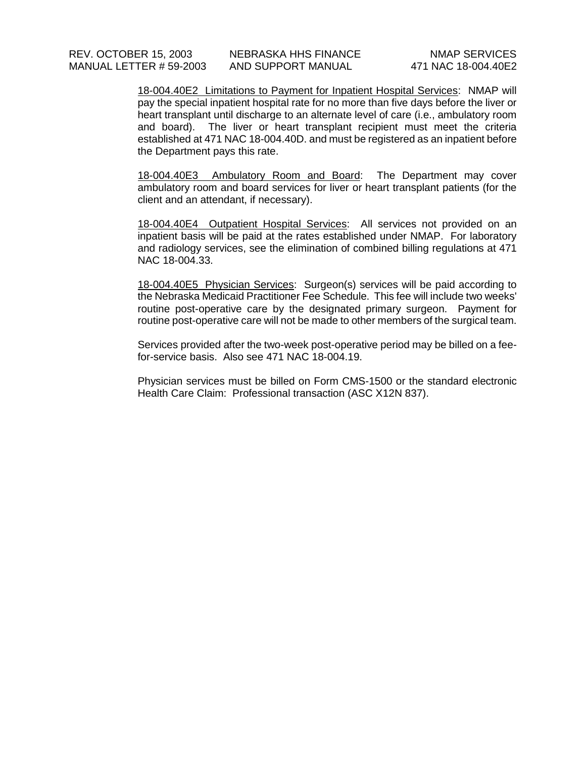18-004.40E2 Limitations to Payment for Inpatient Hospital Services: NMAP will pay the special inpatient hospital rate for no more than five days before the liver or heart transplant until discharge to an alternate level of care (i.e., ambulatory room and board). The liver or heart transplant recipient must meet the criteria established at 471 NAC 18-004.40D. and must be registered as an inpatient before the Department pays this rate.

18-004.40E3 Ambulatory Room and Board: The Department may cover ambulatory room and board services for liver or heart transplant patients (for the client and an attendant, if necessary).

18-004.40E4 Outpatient Hospital Services: All services not provided on an inpatient basis will be paid at the rates established under NMAP. For laboratory and radiology services, see the elimination of combined billing regulations at 471 NAC 18-004.33.

18-004.40E5 Physician Services: Surgeon(s) services will be paid according to the Nebraska Medicaid Practitioner Fee Schedule. This fee will include two weeks' routine post-operative care by the designated primary surgeon. Payment for routine post-operative care will not be made to other members of the surgical team.

Services provided after the two-week post-operative period may be billed on a feefor-service basis. Also see 471 NAC 18-004.19.

Physician services must be billed on Form CMS-1500 or the standard electronic Health Care Claim: Professional transaction (ASC X12N 837).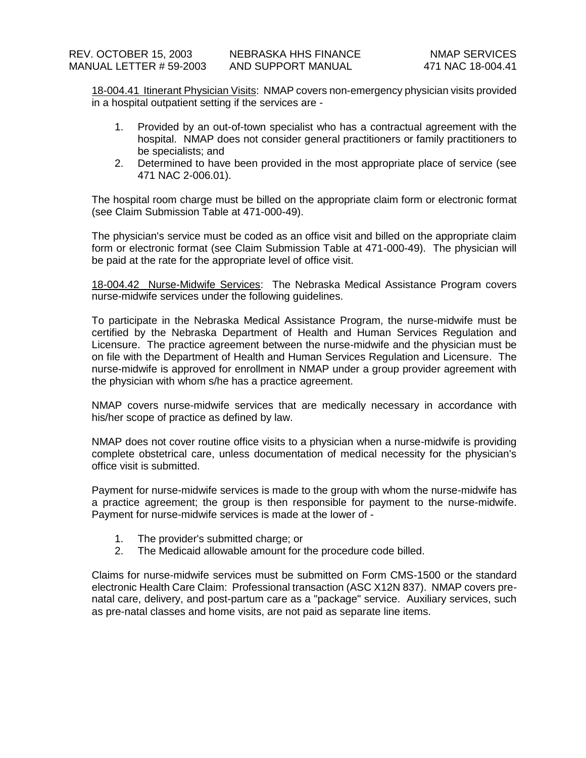18-004.41 Itinerant Physician Visits: NMAP covers non-emergency physician visits provided in a hospital outpatient setting if the services are -

- 1. Provided by an out-of-town specialist who has a contractual agreement with the hospital. NMAP does not consider general practitioners or family practitioners to be specialists; and
- 2. Determined to have been provided in the most appropriate place of service (see 471 NAC 2-006.01).

The hospital room charge must be billed on the appropriate claim form or electronic format (see Claim Submission Table at 471-000-49).

The physician's service must be coded as an office visit and billed on the appropriate claim form or electronic format (see Claim Submission Table at 471-000-49). The physician will be paid at the rate for the appropriate level of office visit.

18-004.42 Nurse-Midwife Services: The Nebraska Medical Assistance Program covers nurse-midwife services under the following guidelines.

To participate in the Nebraska Medical Assistance Program, the nurse-midwife must be certified by the Nebraska Department of Health and Human Services Regulation and Licensure. The practice agreement between the nurse-midwife and the physician must be on file with the Department of Health and Human Services Regulation and Licensure. The nurse-midwife is approved for enrollment in NMAP under a group provider agreement with the physician with whom s/he has a practice agreement.

NMAP covers nurse-midwife services that are medically necessary in accordance with his/her scope of practice as defined by law.

NMAP does not cover routine office visits to a physician when a nurse-midwife is providing complete obstetrical care, unless documentation of medical necessity for the physician's office visit is submitted.

Payment for nurse-midwife services is made to the group with whom the nurse-midwife has a practice agreement; the group is then responsible for payment to the nurse-midwife. Payment for nurse-midwife services is made at the lower of -

- 1. The provider's submitted charge; or
- 2. The Medicaid allowable amount for the procedure code billed.

Claims for nurse-midwife services must be submitted on Form CMS-1500 or the standard electronic Health Care Claim: Professional transaction (ASC X12N 837). NMAP covers prenatal care, delivery, and post-partum care as a "package" service. Auxiliary services, such as pre-natal classes and home visits, are not paid as separate line items.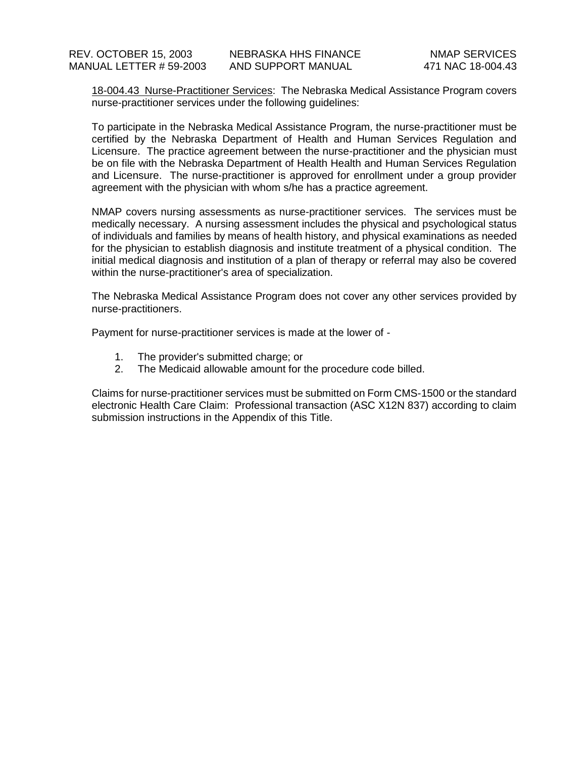18-004.43 Nurse-Practitioner Services: The Nebraska Medical Assistance Program covers nurse-practitioner services under the following guidelines:

To participate in the Nebraska Medical Assistance Program, the nurse-practitioner must be certified by the Nebraska Department of Health and Human Services Regulation and Licensure. The practice agreement between the nurse-practitioner and the physician must be on file with the Nebraska Department of Health Health and Human Services Regulation and Licensure. The nurse-practitioner is approved for enrollment under a group provider agreement with the physician with whom s/he has a practice agreement.

NMAP covers nursing assessments as nurse-practitioner services. The services must be medically necessary. A nursing assessment includes the physical and psychological status of individuals and families by means of health history, and physical examinations as needed for the physician to establish diagnosis and institute treatment of a physical condition. The initial medical diagnosis and institution of a plan of therapy or referral may also be covered within the nurse-practitioner's area of specialization.

The Nebraska Medical Assistance Program does not cover any other services provided by nurse-practitioners.

Payment for nurse-practitioner services is made at the lower of -

- 1. The provider's submitted charge; or
- 2. The Medicaid allowable amount for the procedure code billed.

Claims for nurse-practitioner services must be submitted on Form CMS-1500 or the standard electronic Health Care Claim: Professional transaction (ASC X12N 837) according to claim submission instructions in the Appendix of this Title.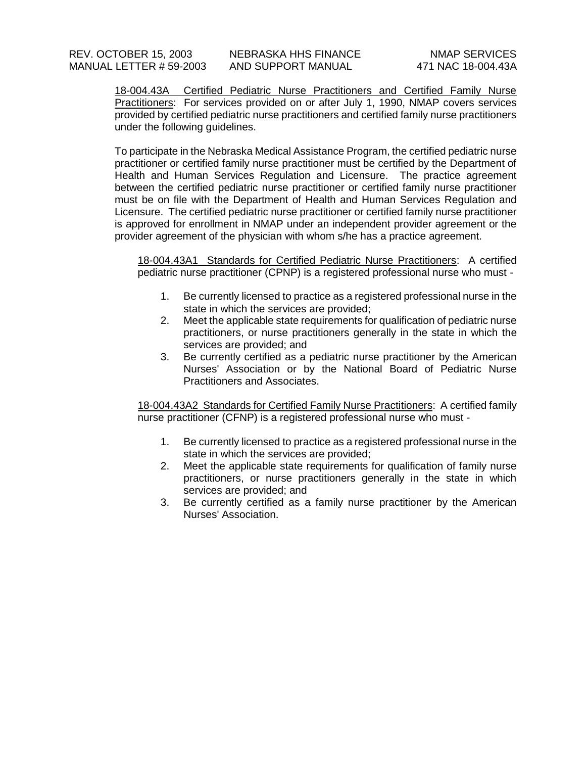18-004.43A Certified Pediatric Nurse Practitioners and Certified Family Nurse Practitioners: For services provided on or after July 1, 1990, NMAP covers services provided by certified pediatric nurse practitioners and certified family nurse practitioners under the following guidelines.

To participate in the Nebraska Medical Assistance Program, the certified pediatric nurse practitioner or certified family nurse practitioner must be certified by the Department of Health and Human Services Regulation and Licensure. The practice agreement between the certified pediatric nurse practitioner or certified family nurse practitioner must be on file with the Department of Health and Human Services Regulation and Licensure. The certified pediatric nurse practitioner or certified family nurse practitioner is approved for enrollment in NMAP under an independent provider agreement or the provider agreement of the physician with whom s/he has a practice agreement.

18-004.43A1 Standards for Certified Pediatric Nurse Practitioners: A certified pediatric nurse practitioner (CPNP) is a registered professional nurse who must -

- 1. Be currently licensed to practice as a registered professional nurse in the state in which the services are provided;
- 2. Meet the applicable state requirements for qualification of pediatric nurse practitioners, or nurse practitioners generally in the state in which the services are provided; and
- 3. Be currently certified as a pediatric nurse practitioner by the American Nurses' Association or by the National Board of Pediatric Nurse Practitioners and Associates.

18-004.43A2 Standards for Certified Family Nurse Practitioners: A certified family nurse practitioner (CFNP) is a registered professional nurse who must -

- 1. Be currently licensed to practice as a registered professional nurse in the state in which the services are provided;
- 2. Meet the applicable state requirements for qualification of family nurse practitioners, or nurse practitioners generally in the state in which services are provided; and
- 3. Be currently certified as a family nurse practitioner by the American Nurses' Association.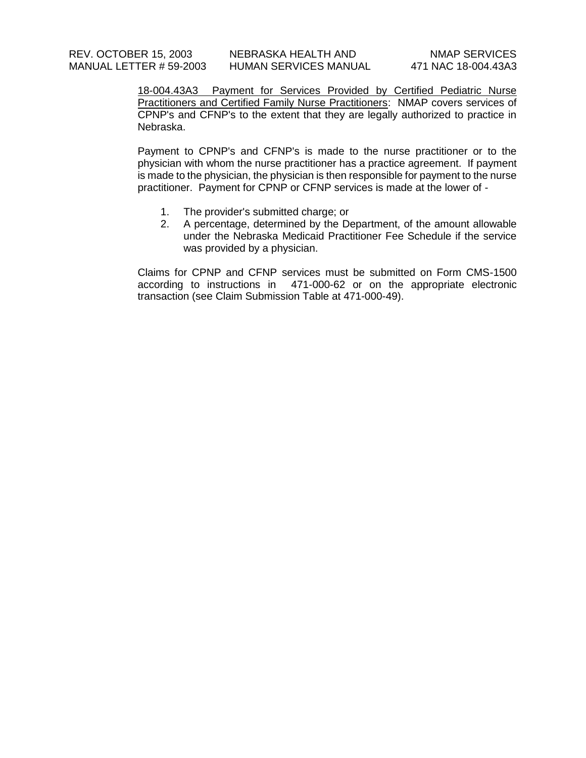18-004.43A3 Payment for Services Provided by Certified Pediatric Nurse Practitioners and Certified Family Nurse Practitioners: NMAP covers services of CPNP's and CFNP's to the extent that they are legally authorized to practice in Nebraska.

Payment to CPNP's and CFNP's is made to the nurse practitioner or to the physician with whom the nurse practitioner has a practice agreement. If payment is made to the physician, the physician is then responsible for payment to the nurse practitioner. Payment for CPNP or CFNP services is made at the lower of -

- 1. The provider's submitted charge; or
- 2. A percentage, determined by the Department, of the amount allowable under the Nebraska Medicaid Practitioner Fee Schedule if the service was provided by a physician.

Claims for CPNP and CFNP services must be submitted on Form CMS-1500 according to instructions in 471-000-62 or on the appropriate electronic transaction (see Claim Submission Table at 471-000-49).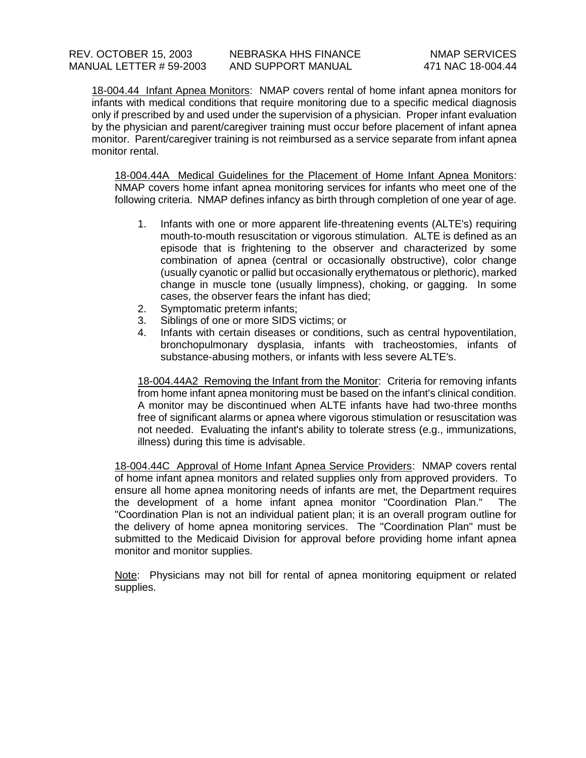18-004.44 Infant Apnea Monitors: NMAP covers rental of home infant apnea monitors for infants with medical conditions that require monitoring due to a specific medical diagnosis only if prescribed by and used under the supervision of a physician. Proper infant evaluation by the physician and parent/caregiver training must occur before placement of infant apnea monitor. Parent/caregiver training is not reimbursed as a service separate from infant apnea monitor rental.

18-004.44A Medical Guidelines for the Placement of Home Infant Apnea Monitors: NMAP covers home infant apnea monitoring services for infants who meet one of the following criteria. NMAP defines infancy as birth through completion of one year of age.

- 1. Infants with one or more apparent life-threatening events (ALTE's) requiring mouth-to-mouth resuscitation or vigorous stimulation. ALTE is defined as an episode that is frightening to the observer and characterized by some combination of apnea (central or occasionally obstructive), color change (usually cyanotic or pallid but occasionally erythematous or plethoric), marked change in muscle tone (usually limpness), choking, or gagging. In some cases, the observer fears the infant has died;
- 2. Symptomatic preterm infants;
- 3. Siblings of one or more SIDS victims; or
- 4. Infants with certain diseases or conditions, such as central hypoventilation, bronchopulmonary dysplasia, infants with tracheostomies, infants of substance-abusing mothers, or infants with less severe ALTE's.

18-004.44A2 Removing the Infant from the Monitor: Criteria for removing infants from home infant apnea monitoring must be based on the infant's clinical condition. A monitor may be discontinued when ALTE infants have had two-three months free of significant alarms or apnea where vigorous stimulation or resuscitation was not needed. Evaluating the infant's ability to tolerate stress (e.g., immunizations, illness) during this time is advisable.

18-004.44C Approval of Home Infant Apnea Service Providers: NMAP covers rental of home infant apnea monitors and related supplies only from approved providers. To ensure all home apnea monitoring needs of infants are met, the Department requires the development of a home infant apnea monitor "Coordination Plan." The "Coordination Plan is not an individual patient plan; it is an overall program outline for the delivery of home apnea monitoring services. The "Coordination Plan" must be submitted to the Medicaid Division for approval before providing home infant apnea monitor and monitor supplies.

Note: Physicians may not bill for rental of apnea monitoring equipment or related supplies.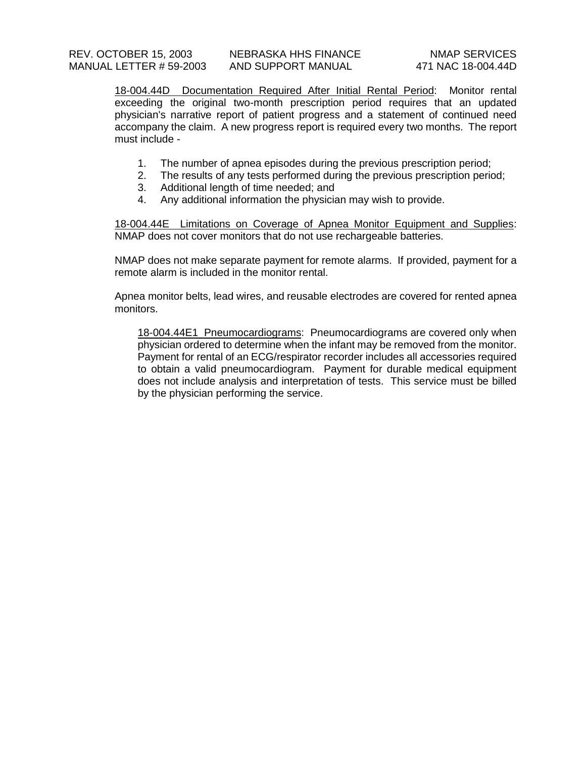18-004.44D Documentation Required After Initial Rental Period: Monitor rental exceeding the original two-month prescription period requires that an updated physician's narrative report of patient progress and a statement of continued need accompany the claim. A new progress report is required every two months. The report must include -

- 1. The number of apnea episodes during the previous prescription period;
- 2. The results of any tests performed during the previous prescription period;
- 3. Additional length of time needed; and
- 4. Any additional information the physician may wish to provide.

18-004.44E Limitations on Coverage of Apnea Monitor Equipment and Supplies: NMAP does not cover monitors that do not use rechargeable batteries.

NMAP does not make separate payment for remote alarms. If provided, payment for a remote alarm is included in the monitor rental.

Apnea monitor belts, lead wires, and reusable electrodes are covered for rented apnea monitors.

18-004.44E1 Pneumocardiograms: Pneumocardiograms are covered only when physician ordered to determine when the infant may be removed from the monitor. Payment for rental of an ECG/respirator recorder includes all accessories required to obtain a valid pneumocardiogram. Payment for durable medical equipment does not include analysis and interpretation of tests. This service must be billed by the physician performing the service.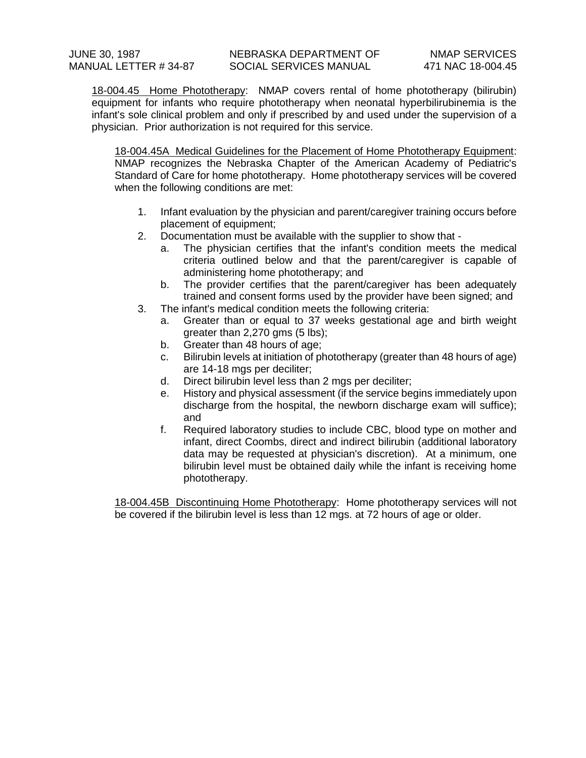18-004.45 Home Phototherapy: NMAP covers rental of home phototherapy (bilirubin) equipment for infants who require phototherapy when neonatal hyperbilirubinemia is the infant's sole clinical problem and only if prescribed by and used under the supervision of a physician. Prior authorization is not required for this service.

18-004.45A Medical Guidelines for the Placement of Home Phototherapy Equipment: NMAP recognizes the Nebraska Chapter of the American Academy of Pediatric's Standard of Care for home phototherapy. Home phototherapy services will be covered when the following conditions are met:

- 1. Infant evaluation by the physician and parent/caregiver training occurs before placement of equipment;
- 2. Documentation must be available with the supplier to show that
	- a. The physician certifies that the infant's condition meets the medical criteria outlined below and that the parent/caregiver is capable of administering home phototherapy; and
	- b. The provider certifies that the parent/caregiver has been adequately trained and consent forms used by the provider have been signed; and
- 3. The infant's medical condition meets the following criteria:
	- a. Greater than or equal to 37 weeks gestational age and birth weight greater than 2,270 gms (5 lbs);
	- b. Greater than 48 hours of age;
	- c. Bilirubin levels at initiation of phototherapy (greater than 48 hours of age) are 14-18 mgs per deciliter;
	- d. Direct bilirubin level less than 2 mgs per deciliter;
	- e. History and physical assessment (if the service begins immediately upon discharge from the hospital, the newborn discharge exam will suffice); and
	- f. Required laboratory studies to include CBC, blood type on mother and infant, direct Coombs, direct and indirect bilirubin (additional laboratory data may be requested at physician's discretion). At a minimum, one bilirubin level must be obtained daily while the infant is receiving home phototherapy.

18-004.45B Discontinuing Home Phototherapy: Home phototherapy services will not be covered if the bilirubin level is less than 12 mgs. at 72 hours of age or older.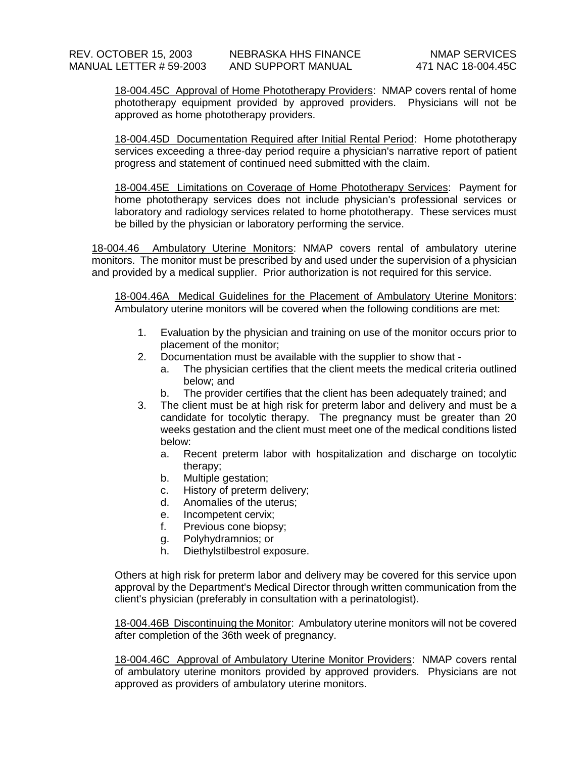18-004.45C Approval of Home Phototherapy Providers: NMAP covers rental of home phototherapy equipment provided by approved providers. Physicians will not be approved as home phototherapy providers.

18-004.45D Documentation Required after Initial Rental Period: Home phototherapy services exceeding a three-day period require a physician's narrative report of patient progress and statement of continued need submitted with the claim.

18-004.45E Limitations on Coverage of Home Phototherapy Services: Payment for home phototherapy services does not include physician's professional services or laboratory and radiology services related to home phototherapy. These services must be billed by the physician or laboratory performing the service.

18-004.46 Ambulatory Uterine Monitors: NMAP covers rental of ambulatory uterine monitors. The monitor must be prescribed by and used under the supervision of a physician and provided by a medical supplier. Prior authorization is not required for this service.

18-004.46A Medical Guidelines for the Placement of Ambulatory Uterine Monitors: Ambulatory uterine monitors will be covered when the following conditions are met:

- 1. Evaluation by the physician and training on use of the monitor occurs prior to placement of the monitor;
- 2. Documentation must be available with the supplier to show that
	- a. The physician certifies that the client meets the medical criteria outlined below; and
	- b. The provider certifies that the client has been adequately trained; and
- 3. The client must be at high risk for preterm labor and delivery and must be a candidate for tocolytic therapy. The pregnancy must be greater than 20 weeks gestation and the client must meet one of the medical conditions listed below:
	- a. Recent preterm labor with hospitalization and discharge on tocolytic therapy;
	- b. Multiple gestation;
	- c. History of preterm delivery;
	- d. Anomalies of the uterus;
	- e. Incompetent cervix;
	- f. Previous cone biopsy;
	- g. Polyhydramnios; or
	- h. Diethylstilbestrol exposure.

Others at high risk for preterm labor and delivery may be covered for this service upon approval by the Department's Medical Director through written communication from the client's physician (preferably in consultation with a perinatologist).

18-004.46B Discontinuing the Monitor: Ambulatory uterine monitors will not be covered after completion of the 36th week of pregnancy.

18-004.46C Approval of Ambulatory Uterine Monitor Providers: NMAP covers rental of ambulatory uterine monitors provided by approved providers. Physicians are not approved as providers of ambulatory uterine monitors.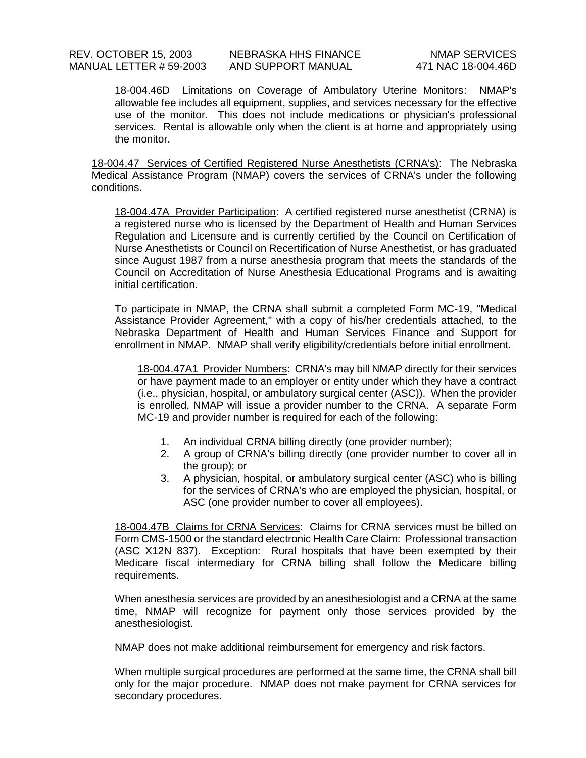18-004.46D Limitations on Coverage of Ambulatory Uterine Monitors: NMAP's allowable fee includes all equipment, supplies, and services necessary for the effective use of the monitor. This does not include medications or physician's professional services. Rental is allowable only when the client is at home and appropriately using the monitor.

18-004.47 Services of Certified Registered Nurse Anesthetists (CRNA's): The Nebraska Medical Assistance Program (NMAP) covers the services of CRNA's under the following conditions.

18-004.47A Provider Participation: A certified registered nurse anesthetist (CRNA) is a registered nurse who is licensed by the Department of Health and Human Services Regulation and Licensure and is currently certified by the Council on Certification of Nurse Anesthetists or Council on Recertification of Nurse Anesthetist, or has graduated since August 1987 from a nurse anesthesia program that meets the standards of the Council on Accreditation of Nurse Anesthesia Educational Programs and is awaiting initial certification.

To participate in NMAP, the CRNA shall submit a completed Form MC-19, "Medical Assistance Provider Agreement," with a copy of his/her credentials attached, to the Nebraska Department of Health and Human Services Finance and Support for enrollment in NMAP. NMAP shall verify eligibility/credentials before initial enrollment.

18-004.47A1 Provider Numbers: CRNA's may bill NMAP directly for their services or have payment made to an employer or entity under which they have a contract (i.e., physician, hospital, or ambulatory surgical center (ASC)). When the provider is enrolled, NMAP will issue a provider number to the CRNA. A separate Form MC-19 and provider number is required for each of the following:

- 1. An individual CRNA billing directly (one provider number);
- 2. A group of CRNA's billing directly (one provider number to cover all in the group); or
- 3. A physician, hospital, or ambulatory surgical center (ASC) who is billing for the services of CRNA's who are employed the physician, hospital, or ASC (one provider number to cover all employees).

18-004.47B Claims for CRNA Services: Claims for CRNA services must be billed on Form CMS-1500 or the standard electronic Health Care Claim: Professional transaction (ASC X12N 837). Exception: Rural hospitals that have been exempted by their Medicare fiscal intermediary for CRNA billing shall follow the Medicare billing requirements.

When anesthesia services are provided by an anesthesiologist and a CRNA at the same time, NMAP will recognize for payment only those services provided by the anesthesiologist.

NMAP does not make additional reimbursement for emergency and risk factors.

When multiple surgical procedures are performed at the same time, the CRNA shall bill only for the major procedure. NMAP does not make payment for CRNA services for secondary procedures.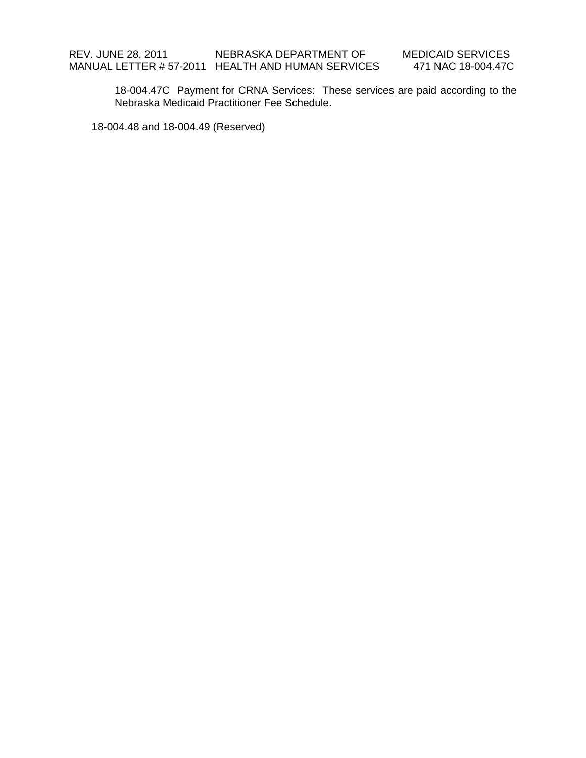18-004.47C Payment for CRNA Services: These services are paid according to the Nebraska Medicaid Practitioner Fee Schedule.

18-004.48 and 18-004.49 (Reserved)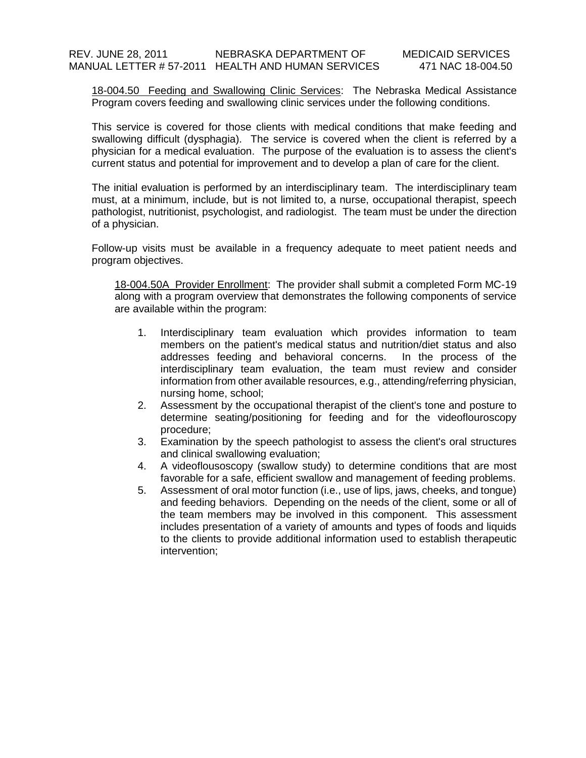18-004.50 Feeding and Swallowing Clinic Services: The Nebraska Medical Assistance Program covers feeding and swallowing clinic services under the following conditions.

This service is covered for those clients with medical conditions that make feeding and swallowing difficult (dysphagia). The service is covered when the client is referred by a physician for a medical evaluation. The purpose of the evaluation is to assess the client's current status and potential for improvement and to develop a plan of care for the client.

The initial evaluation is performed by an interdisciplinary team. The interdisciplinary team must, at a minimum, include, but is not limited to, a nurse, occupational therapist, speech pathologist, nutritionist, psychologist, and radiologist. The team must be under the direction of a physician.

Follow-up visits must be available in a frequency adequate to meet patient needs and program objectives.

18-004.50A Provider Enrollment: The provider shall submit a completed Form MC-19 along with a program overview that demonstrates the following components of service are available within the program:

- 1. Interdisciplinary team evaluation which provides information to team members on the patient's medical status and nutrition/diet status and also addresses feeding and behavioral concerns. In the process of the interdisciplinary team evaluation, the team must review and consider information from other available resources, e.g., attending/referring physician, nursing home, school;
- 2. Assessment by the occupational therapist of the client's tone and posture to determine seating/positioning for feeding and for the videoflouroscopy procedure;
- 3. Examination by the speech pathologist to assess the client's oral structures and clinical swallowing evaluation;
- 4. A videoflousoscopy (swallow study) to determine conditions that are most favorable for a safe, efficient swallow and management of feeding problems.
- 5. Assessment of oral motor function (i.e., use of lips, jaws, cheeks, and tongue) and feeding behaviors. Depending on the needs of the client, some or all of the team members may be involved in this component. This assessment includes presentation of a variety of amounts and types of foods and liquids to the clients to provide additional information used to establish therapeutic intervention;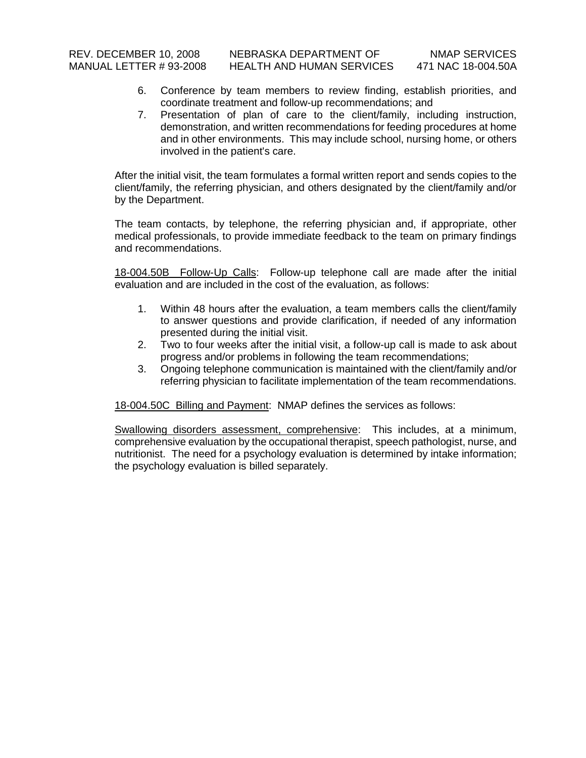- 6. Conference by team members to review finding, establish priorities, and coordinate treatment and follow-up recommendations; and
- 7. Presentation of plan of care to the client/family, including instruction, demonstration, and written recommendations for feeding procedures at home and in other environments. This may include school, nursing home, or others involved in the patient's care.

After the initial visit, the team formulates a formal written report and sends copies to the client/family, the referring physician, and others designated by the client/family and/or by the Department.

The team contacts, by telephone, the referring physician and, if appropriate, other medical professionals, to provide immediate feedback to the team on primary findings and recommendations.

18-004.50B Follow-Up Calls: Follow-up telephone call are made after the initial evaluation and are included in the cost of the evaluation, as follows:

- 1. Within 48 hours after the evaluation, a team members calls the client/family to answer questions and provide clarification, if needed of any information presented during the initial visit.
- 2. Two to four weeks after the initial visit, a follow-up call is made to ask about progress and/or problems in following the team recommendations;
- 3. Ongoing telephone communication is maintained with the client/family and/or referring physician to facilitate implementation of the team recommendations.

18-004.50C Billing and Payment: NMAP defines the services as follows:

Swallowing disorders assessment, comprehensive: This includes, at a minimum, comprehensive evaluation by the occupational therapist, speech pathologist, nurse, and nutritionist. The need for a psychology evaluation is determined by intake information; the psychology evaluation is billed separately.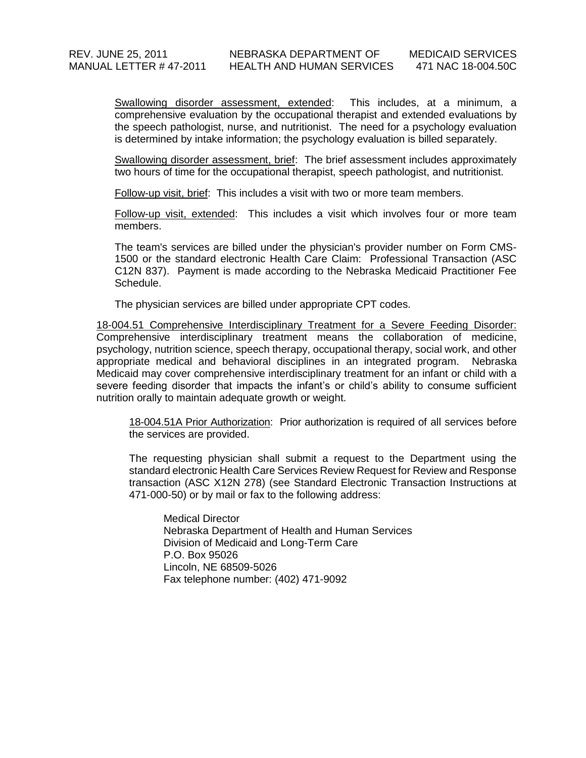Swallowing disorder assessment, extended: This includes, at a minimum, a comprehensive evaluation by the occupational therapist and extended evaluations by the speech pathologist, nurse, and nutritionist. The need for a psychology evaluation is determined by intake information; the psychology evaluation is billed separately.

Swallowing disorder assessment, brief: The brief assessment includes approximately two hours of time for the occupational therapist, speech pathologist, and nutritionist.

Follow-up visit, brief: This includes a visit with two or more team members.

Follow-up visit, extended: This includes a visit which involves four or more team members.

The team's services are billed under the physician's provider number on Form CMS-1500 or the standard electronic Health Care Claim: Professional Transaction (ASC C12N 837). Payment is made according to the Nebraska Medicaid Practitioner Fee Schedule.

The physician services are billed under appropriate CPT codes.

18-004.51 Comprehensive Interdisciplinary Treatment for a Severe Feeding Disorder: Comprehensive interdisciplinary treatment means the collaboration of medicine, psychology, nutrition science, speech therapy, occupational therapy, social work, and other appropriate medical and behavioral disciplines in an integrated program. Nebraska Medicaid may cover comprehensive interdisciplinary treatment for an infant or child with a severe feeding disorder that impacts the infant's or child's ability to consume sufficient nutrition orally to maintain adequate growth or weight.

18-004.51A Prior Authorization: Prior authorization is required of all services before the services are provided.

The requesting physician shall submit a request to the Department using the standard electronic Health Care Services Review Request for Review and Response transaction (ASC X12N 278) (see Standard Electronic Transaction Instructions at 471-000-50) or by mail or fax to the following address:

Medical Director Nebraska Department of Health and Human Services Division of Medicaid and Long-Term Care P.O. Box 95026 Lincoln, NE 68509-5026 Fax telephone number: (402) 471-9092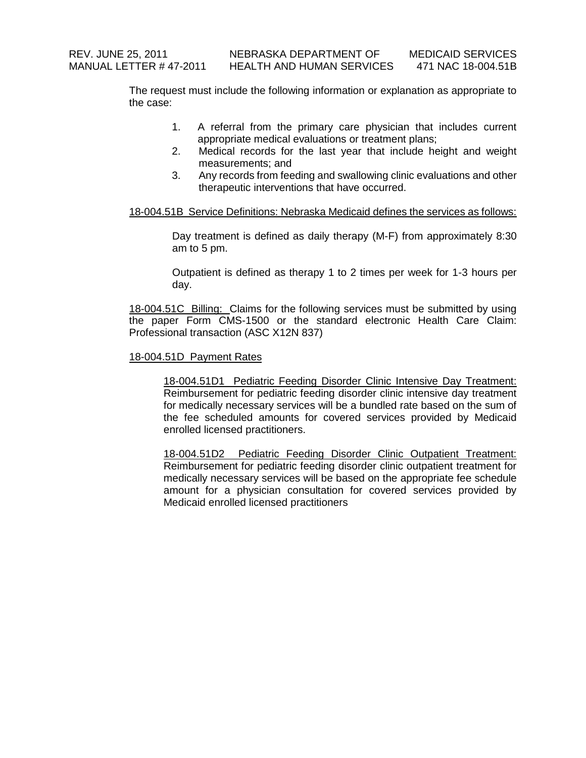The request must include the following information or explanation as appropriate to the case:

- 1. A referral from the primary care physician that includes current appropriate medical evaluations or treatment plans;
- 2. Medical records for the last year that include height and weight measurements; and
- 3. Any records from feeding and swallowing clinic evaluations and other therapeutic interventions that have occurred.

### 18-004.51B Service Definitions: Nebraska Medicaid defines the services as follows:

Day treatment is defined as daily therapy (M-F) from approximately 8:30 am to 5 pm.

Outpatient is defined as therapy 1 to 2 times per week for 1-3 hours per day.

18-004.51C Billing: Claims for the following services must be submitted by using the paper Form CMS-1500 or the standard electronic Health Care Claim: Professional transaction (ASC X12N 837)

#### 18-004.51D Payment Rates

18-004.51D1 Pediatric Feeding Disorder Clinic Intensive Day Treatment: Reimbursement for pediatric feeding disorder clinic intensive day treatment for medically necessary services will be a bundled rate based on the sum of the fee scheduled amounts for covered services provided by Medicaid enrolled licensed practitioners.

18-004.51D2 Pediatric Feeding Disorder Clinic Outpatient Treatment: Reimbursement for pediatric feeding disorder clinic outpatient treatment for medically necessary services will be based on the appropriate fee schedule amount for a physician consultation for covered services provided by Medicaid enrolled licensed practitioners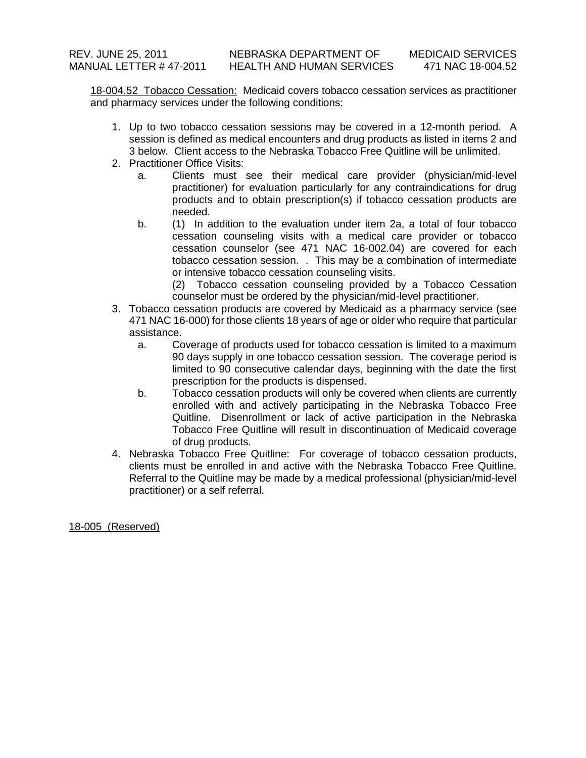18-004.52 Tobacco Cessation: Medicaid covers tobacco cessation services as practitioner and pharmacy services under the following conditions:

- 1. Up to two tobacco cessation sessions may be covered in a 12-month period. A session is defined as medical encounters and drug products as listed in items 2 and 3 below. Client access to the Nebraska Tobacco Free Quitline will be unlimited.
- 2. Practitioner Office Visits:
	- a. Clients must see their medical care provider (physician/mid-level practitioner) for evaluation particularly for any contraindications for drug products and to obtain prescription(s) if tobacco cessation products are needed.
	- b. (1) In addition to the evaluation under item 2a, a total of four tobacco cessation counseling visits with a medical care provider or tobacco cessation counselor (see 471 NAC 16-002.04) are covered for each tobacco cessation session. . This may be a combination of intermediate or intensive tobacco cessation counseling visits.
		- (2) Tobacco cessation counseling provided by a Tobacco Cessation counselor must be ordered by the physician/mid-level practitioner.
- 3. Tobacco cessation products are covered by Medicaid as a pharmacy service (see 471 NAC 16-000) for those clients 18 years of age or older who require that particular assistance.
	- a. Coverage of products used for tobacco cessation is limited to a maximum 90 days supply in one tobacco cessation session. The coverage period is limited to 90 consecutive calendar days, beginning with the date the first prescription for the products is dispensed.
	- b. Tobacco cessation products will only be covered when clients are currently enrolled with and actively participating in the Nebraska Tobacco Free Quitline. Disenrollment or lack of active participation in the Nebraska Tobacco Free Quitline will result in discontinuation of Medicaid coverage of drug products.
- 4. Nebraska Tobacco Free Quitline: For coverage of tobacco cessation products, clients must be enrolled in and active with the Nebraska Tobacco Free Quitline. Referral to the Quitline may be made by a medical professional (physician/mid-level practitioner) or a self referral.

18-005 (Reserved)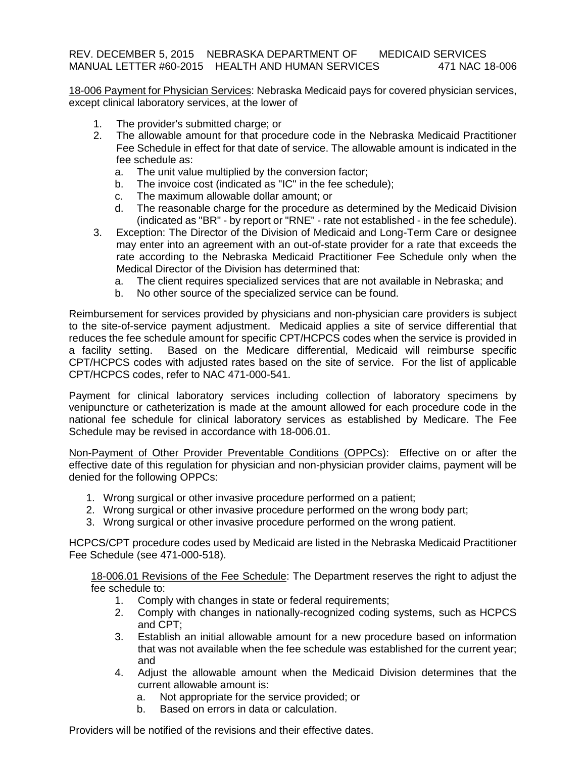### REV. DECEMBER 5, 2015 NEBRASKA DEPARTMENT OF MEDICAID SERVICES MANUAL LETTER #60-2015 HEALTH AND HUMAN SERVICES 471 NAC 18-006

18-006 Payment for Physician Services: Nebraska Medicaid pays for covered physician services, except clinical laboratory services, at the lower of

- 1. The provider's submitted charge; or
- 2. The allowable amount for that procedure code in the Nebraska Medicaid Practitioner Fee Schedule in effect for that date of service. The allowable amount is indicated in the fee schedule as:
	- a. The unit value multiplied by the conversion factor;
	- b. The invoice cost (indicated as "IC" in the fee schedule);
	- c. The maximum allowable dollar amount; or
	- d. The reasonable charge for the procedure as determined by the Medicaid Division (indicated as "BR" - by report or "RNE" - rate not established - in the fee schedule).
- 3. Exception: The Director of the Division of Medicaid and Long-Term Care or designee may enter into an agreement with an out-of-state provider for a rate that exceeds the rate according to the Nebraska Medicaid Practitioner Fee Schedule only when the Medical Director of the Division has determined that:
	- a. The client requires specialized services that are not available in Nebraska; and
	- b. No other source of the specialized service can be found.

Reimbursement for services provided by physicians and non-physician care providers is subject to the site-of-service payment adjustment. Medicaid applies a site of service differential that reduces the fee schedule amount for specific CPT/HCPCS codes when the service is provided in<br>a facility setting. Based on the Medicare differential, Medicaid will reimburse specific Based on the Medicare differential, Medicaid will reimburse specific CPT/HCPCS codes with adjusted rates based on the site of service. For the list of applicable CPT/HCPCS codes, refer to NAC 471-000-541.

Payment for clinical laboratory services including collection of laboratory specimens by venipuncture or catheterization is made at the amount allowed for each procedure code in the national fee schedule for clinical laboratory services as established by Medicare. The Fee Schedule may be revised in accordance with 18-006.01.

Non-Payment of Other Provider Preventable Conditions (OPPCs): Effective on or after the effective date of this regulation for physician and non-physician provider claims, payment will be denied for the following OPPCs:

- 1. Wrong surgical or other invasive procedure performed on a patient;
- 2. Wrong surgical or other invasive procedure performed on the wrong body part;
- 3. Wrong surgical or other invasive procedure performed on the wrong patient.

HCPCS/CPT procedure codes used by Medicaid are listed in the Nebraska Medicaid Practitioner Fee Schedule (see 471-000-518).

18-006.01 Revisions of the Fee Schedule: The Department reserves the right to adjust the fee schedule to:

- 1. Comply with changes in state or federal requirements;
- 2. Comply with changes in nationally-recognized coding systems, such as HCPCS and CPT;
- 3. Establish an initial allowable amount for a new procedure based on information that was not available when the fee schedule was established for the current year; and
- 4. Adjust the allowable amount when the Medicaid Division determines that the current allowable amount is:
	- a. Not appropriate for the service provided; or
	- b. Based on errors in data or calculation.

Providers will be notified of the revisions and their effective dates.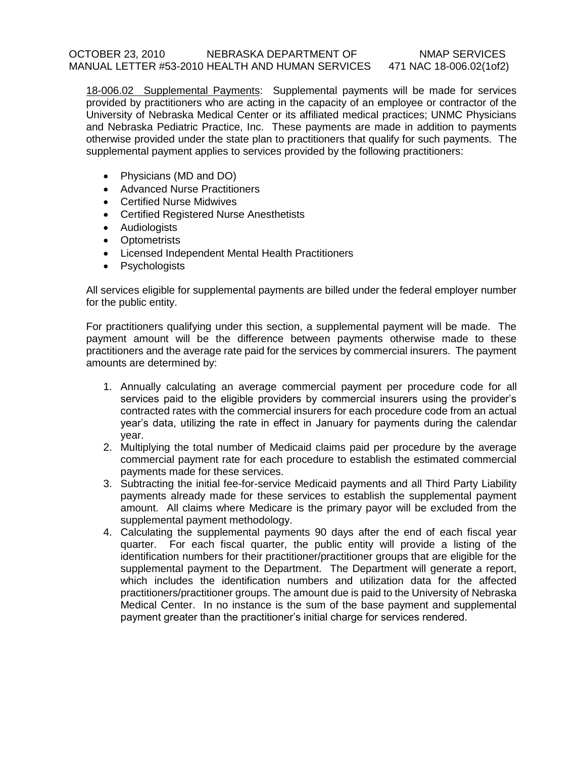### OCTOBER 23, 2010 NEBRASKA DEPARTMENT OF NMAP SERVICES MANUAL LETTER #53-2010 HEALTH AND HUMAN SERVICES 471 NAC 18-006.02(1of2)

18-006.02 Supplemental Payments: Supplemental payments will be made for services provided by practitioners who are acting in the capacity of an employee or contractor of the University of Nebraska Medical Center or its affiliated medical practices; UNMC Physicians and Nebraska Pediatric Practice, Inc. These payments are made in addition to payments otherwise provided under the state plan to practitioners that qualify for such payments. The supplemental payment applies to services provided by the following practitioners:

- Physicians (MD and DO)
- Advanced Nurse Practitioners
- Certified Nurse Midwives
- Certified Registered Nurse Anesthetists
- Audiologists
- Optometrists
- Licensed Independent Mental Health Practitioners
- Psychologists

All services eligible for supplemental payments are billed under the federal employer number for the public entity.

For practitioners qualifying under this section, a supplemental payment will be made. The payment amount will be the difference between payments otherwise made to these practitioners and the average rate paid for the services by commercial insurers. The payment amounts are determined by:

- 1. Annually calculating an average commercial payment per procedure code for all services paid to the eligible providers by commercial insurers using the provider's contracted rates with the commercial insurers for each procedure code from an actual year's data, utilizing the rate in effect in January for payments during the calendar year.
- 2. Multiplying the total number of Medicaid claims paid per procedure by the average commercial payment rate for each procedure to establish the estimated commercial payments made for these services.
- 3. Subtracting the initial fee-for-service Medicaid payments and all Third Party Liability payments already made for these services to establish the supplemental payment amount. All claims where Medicare is the primary payor will be excluded from the supplemental payment methodology.
- 4. Calculating the supplemental payments 90 days after the end of each fiscal year quarter. For each fiscal quarter, the public entity will provide a listing of the identification numbers for their practitioner/practitioner groups that are eligible for the supplemental payment to the Department. The Department will generate a report, which includes the identification numbers and utilization data for the affected practitioners/practitioner groups. The amount due is paid to the University of Nebraska Medical Center. In no instance is the sum of the base payment and supplemental payment greater than the practitioner's initial charge for services rendered.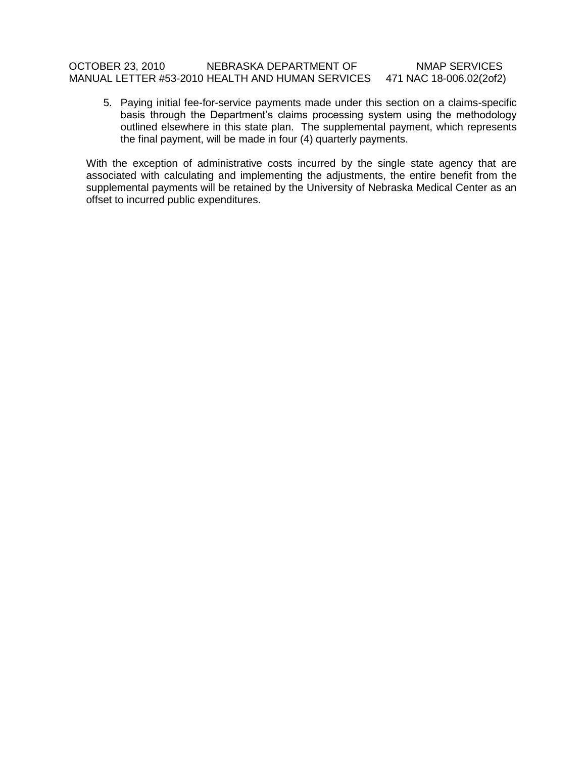# OCTOBER 23, 2010 NEBRASKA DEPARTMENT OF NMAP SERVICES MANUAL LETTER #53-2010 HEALTH AND HUMAN SERVICES 471 NAC 18-006.02(2of2)

5. Paying initial fee-for-service payments made under this section on a claims-specific basis through the Department's claims processing system using the methodology outlined elsewhere in this state plan. The supplemental payment, which represents the final payment, will be made in four (4) quarterly payments.

With the exception of administrative costs incurred by the single state agency that are associated with calculating and implementing the adjustments, the entire benefit from the supplemental payments will be retained by the University of Nebraska Medical Center as an offset to incurred public expenditures.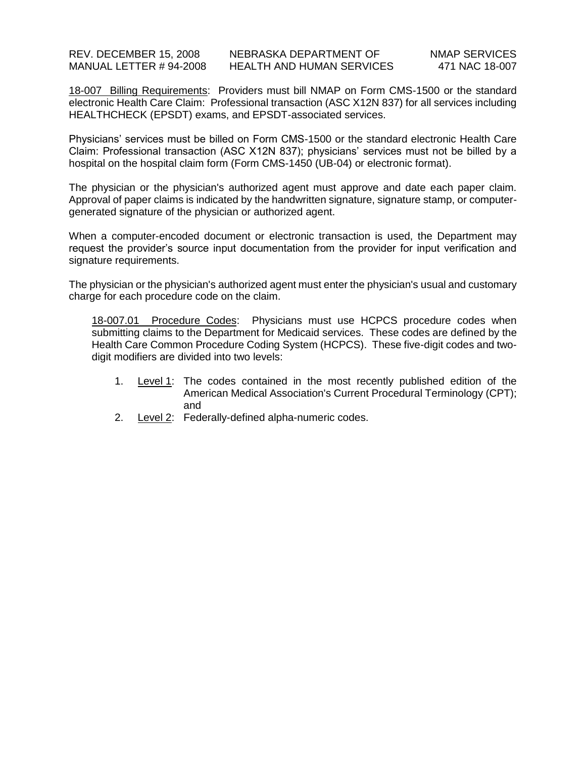18-007 Billing Requirements: Providers must bill NMAP on Form CMS-1500 or the standard electronic Health Care Claim: Professional transaction (ASC X12N 837) for all services including HEALTHCHECK (EPSDT) exams, and EPSDT-associated services.

Physicians' services must be billed on Form CMS-1500 or the standard electronic Health Care Claim: Professional transaction (ASC X12N 837); physicians' services must not be billed by a hospital on the hospital claim form (Form CMS-1450 (UB-04) or electronic format).

The physician or the physician's authorized agent must approve and date each paper claim. Approval of paper claims is indicated by the handwritten signature, signature stamp, or computergenerated signature of the physician or authorized agent.

When a computer-encoded document or electronic transaction is used, the Department may request the provider's source input documentation from the provider for input verification and signature requirements.

The physician or the physician's authorized agent must enter the physician's usual and customary charge for each procedure code on the claim.

18-007.01 Procedure Codes: Physicians must use HCPCS procedure codes when submitting claims to the Department for Medicaid services. These codes are defined by the Health Care Common Procedure Coding System (HCPCS). These five-digit codes and twodigit modifiers are divided into two levels:

- 1. Level 1: The codes contained in the most recently published edition of the American Medical Association's Current Procedural Terminology (CPT); and
- 2. Level 2: Federally-defined alpha-numeric codes.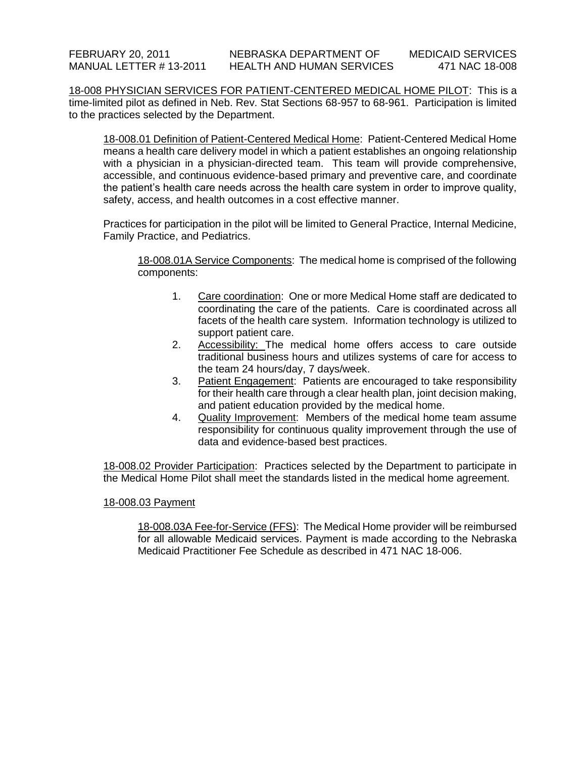18-008 PHYSICIAN SERVICES FOR PATIENT-CENTERED MEDICAL HOME PILOT: This is a time-limited pilot as defined in Neb. Rev. Stat Sections 68-957 to 68-961. Participation is limited to the practices selected by the Department.

18-008.01 Definition of Patient-Centered Medical Home: Patient-Centered Medical Home means a health care delivery model in which a patient establishes an ongoing relationship with a physician in a physician-directed team. This team will provide comprehensive, accessible, and continuous evidence-based primary and preventive care, and coordinate the patient's health care needs across the health care system in order to improve quality, safety, access, and health outcomes in a cost effective manner.

Practices for participation in the pilot will be limited to General Practice, Internal Medicine, Family Practice, and Pediatrics.

18-008.01A Service Components: The medical home is comprised of the following components:

- 1. Care coordination: One or more Medical Home staff are dedicated to coordinating the care of the patients. Care is coordinated across all facets of the health care system. Information technology is utilized to support patient care.
- 2. Accessibility: The medical home offers access to care outside traditional business hours and utilizes systems of care for access to the team 24 hours/day, 7 days/week.
- 3. Patient Engagement: Patients are encouraged to take responsibility for their health care through a clear health plan, joint decision making, and patient education provided by the medical home.
- 4. Quality Improvement: Members of the medical home team assume responsibility for continuous quality improvement through the use of data and evidence-based best practices.

18-008.02 Provider Participation: Practices selected by the Department to participate in the Medical Home Pilot shall meet the standards listed in the medical home agreement.

### 18-008.03 Payment

18-008.03A Fee-for-Service (FFS): The Medical Home provider will be reimbursed for all allowable Medicaid services. Payment is made according to the Nebraska Medicaid Practitioner Fee Schedule as described in 471 NAC 18-006.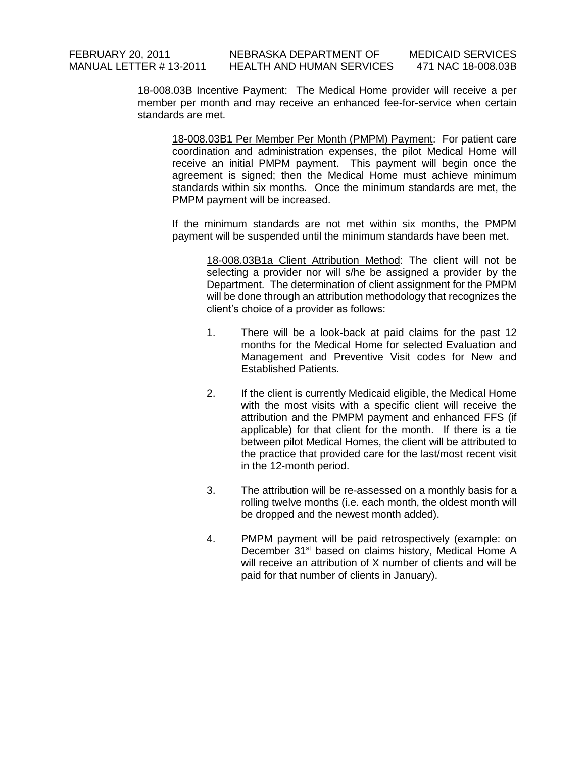18-008.03B Incentive Payment: The Medical Home provider will receive a per member per month and may receive an enhanced fee-for-service when certain standards are met.

18-008.03B1 Per Member Per Month (PMPM) Payment: For patient care coordination and administration expenses, the pilot Medical Home will receive an initial PMPM payment. This payment will begin once the agreement is signed; then the Medical Home must achieve minimum standards within six months. Once the minimum standards are met, the PMPM payment will be increased.

If the minimum standards are not met within six months, the PMPM payment will be suspended until the minimum standards have been met.

18-008.03B1a Client Attribution Method: The client will not be selecting a provider nor will s/he be assigned a provider by the Department. The determination of client assignment for the PMPM will be done through an attribution methodology that recognizes the client's choice of a provider as follows:

- 1. There will be a look-back at paid claims for the past 12 months for the Medical Home for selected Evaluation and Management and Preventive Visit codes for New and Established Patients.
- 2. If the client is currently Medicaid eligible, the Medical Home with the most visits with a specific client will receive the attribution and the PMPM payment and enhanced FFS (if applicable) for that client for the month. If there is a tie between pilot Medical Homes, the client will be attributed to the practice that provided care for the last/most recent visit in the 12-month period.
- 3. The attribution will be re-assessed on a monthly basis for a rolling twelve months (i.e. each month, the oldest month will be dropped and the newest month added).
- 4. PMPM payment will be paid retrospectively (example: on December 31<sup>st</sup> based on claims history, Medical Home A will receive an attribution of X number of clients and will be paid for that number of clients in January).